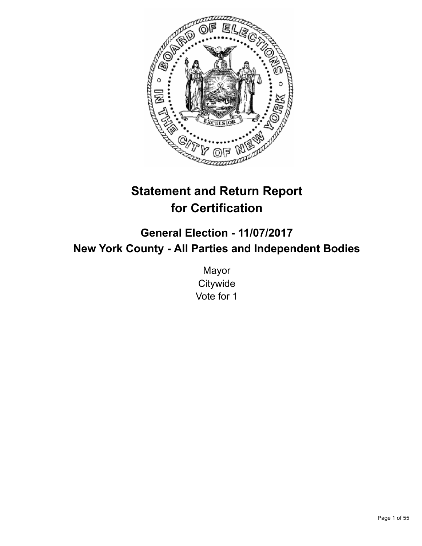

# **Statement and Return Report for Certification**

**General Election - 11/07/2017 New York County - All Parties and Independent Bodies**

> Mayor **Citywide** Vote for 1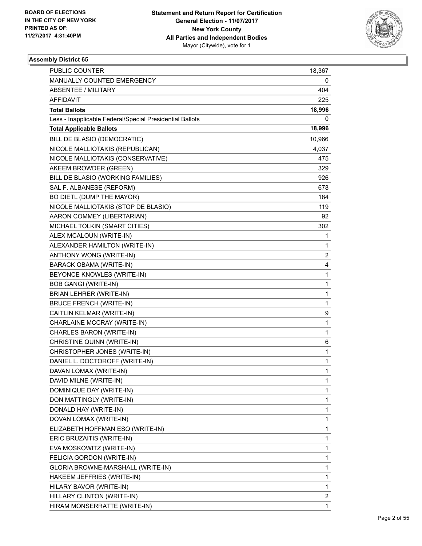

| PUBLIC COUNTER                                           | 18,367       |
|----------------------------------------------------------|--------------|
| MANUALLY COUNTED EMERGENCY                               | 0            |
| <b>ABSENTEE / MILITARY</b>                               | 404          |
| AFFIDAVIT                                                | 225          |
| <b>Total Ballots</b>                                     | 18,996       |
| Less - Inapplicable Federal/Special Presidential Ballots | 0            |
| <b>Total Applicable Ballots</b>                          | 18,996       |
| BILL DE BLASIO (DEMOCRATIC)                              | 10,966       |
| NICOLE MALLIOTAKIS (REPUBLICAN)                          | 4,037        |
| NICOLE MALLIOTAKIS (CONSERVATIVE)                        | 475          |
| AKEEM BROWDER (GREEN)                                    | 329          |
| BILL DE BLASIO (WORKING FAMILIES)                        | 926          |
| SAL F. ALBANESE (REFORM)                                 | 678          |
| BO DIETL (DUMP THE MAYOR)                                | 184          |
| NICOLE MALLIOTAKIS (STOP DE BLASIO)                      | 119          |
| AARON COMMEY (LIBERTARIAN)                               | 92           |
| MICHAEL TOLKIN (SMART CITIES)                            | 302          |
| ALEX MCALOUN (WRITE-IN)                                  | 1            |
| ALEXANDER HAMILTON (WRITE-IN)                            | 1            |
| ANTHONY WONG (WRITE-IN)                                  | 2            |
| BARACK OBAMA (WRITE-IN)                                  | 4            |
| BEYONCE KNOWLES (WRITE-IN)                               | 1            |
| <b>BOB GANGI (WRITE-IN)</b>                              | 1            |
| BRIAN LEHRER (WRITE-IN)                                  | 1            |
| <b>BRUCE FRENCH (WRITE-IN)</b>                           | 1            |
| CAITLIN KELMAR (WRITE-IN)                                | 9            |
| CHARLAINE MCCRAY (WRITE-IN)                              | 1            |
| CHARLES BARON (WRITE-IN)                                 | 1            |
| CHRISTINE QUINN (WRITE-IN)                               | 6            |
| CHRISTOPHER JONES (WRITE-IN)                             | 1            |
| DANIEL L. DOCTOROFF (WRITE-IN)                           | 1            |
| DAVAN LOMAX (WRITE-IN)                                   | $\mathbf{1}$ |
| DAVID MILNE (WRITE-IN)                                   | 1            |
| DOMINIQUE DAY (WRITE-IN)                                 | 1            |
| DON MATTINGLY (WRITE-IN)                                 | 1            |
| DONALD HAY (WRITE-IN)                                    | 1            |
| DOVAN LOMAX (WRITE-IN)                                   | 1            |
| ELIZABETH HOFFMAN ESQ (WRITE-IN)                         | 1            |
| ERIC BRUZAITIS (WRITE-IN)                                | 1            |
| EVA MOSKOWITZ (WRITE-IN)                                 | 1            |
| FELICIA GORDON (WRITE-IN)                                | 1            |
| GLORIA BROWNE-MARSHALL (WRITE-IN)                        | 1            |
| HAKEEM JEFFRIES (WRITE-IN)                               | 1            |
| HILARY BAVOR (WRITE-IN)                                  | 1            |
| HILLARY CLINTON (WRITE-IN)                               | 2            |
| HIRAM MONSERRATTE (WRITE-IN)                             | 1            |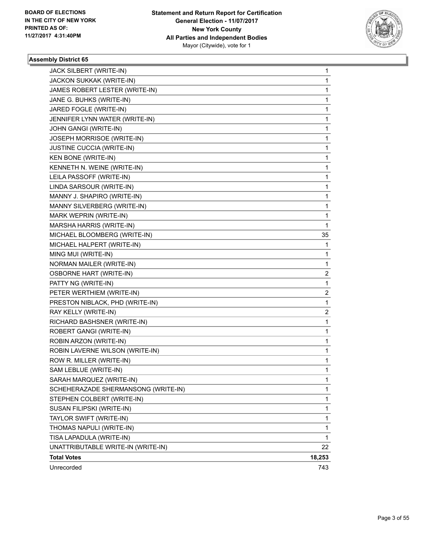

| STEPHEN COLBERT (WRITE-IN)                                 | 1      |
|------------------------------------------------------------|--------|
| SCHEHERAZADE SHERMANSONG (WRITE-IN)                        | 1      |
| SARAH MARQUEZ (WRITE-IN)                                   | 1      |
| SAM LEBLUE (WRITE-IN)                                      | 1      |
| ROW R. MILLER (WRITE-IN)                                   | 1      |
| ROBIN LAVERNE WILSON (WRITE-IN)                            | 1      |
| ROBIN ARZON (WRITE-IN)                                     | 1      |
| ROBERT GANGI (WRITE-IN)                                    | 1      |
| RICHARD BASHSNER (WRITE-IN)                                | 1      |
| RAY KELLY (WRITE-IN)                                       | 2      |
| PRESTON NIBLACK, PHD (WRITE-IN)                            | 1      |
| PETER WERTHIEM (WRITE-IN)                                  | 2      |
| PATTY NG (WRITE-IN)                                        | 1      |
|                                                            |        |
| <b>OSBORNE HART (WRITE-IN)</b>                             | 2      |
| NORMAN MAILER (WRITE-IN)                                   | 1      |
| MING MUI (WRITE-IN)                                        | 1      |
| MICHAEL HALPERT (WRITE-IN)                                 | 1      |
| MICHAEL BLOOMBERG (WRITE-IN)                               | 35     |
| MARK WEPRIN (WRITE-IN)<br>MARSHA HARRIS (WRITE-IN)         | 1      |
|                                                            | 1      |
| MANNY J. SHAPIRO (WRITE-IN)<br>MANNY SILVERBERG (WRITE-IN) | 1      |
| LINDA SARSOUR (WRITE-IN)                                   | 1<br>1 |
| LEILA PASSOFF (WRITE-IN)                                   | 1      |
| KENNETH N. WEINE (WRITE-IN)                                | 1      |
| KEN BONE (WRITE-IN)                                        | 1      |
| JUSTINE CUCCIA (WRITE-IN)                                  | 1      |
| JOSEPH MORRISOE (WRITE-IN)                                 | 1      |
| JOHN GANGI (WRITE-IN)                                      | 1      |
| JENNIFER LYNN WATER (WRITE-IN)                             | 1      |
| JARED FOGLE (WRITE-IN)                                     | 1      |
| JANE G. BUHKS (WRITE-IN)                                   | 1      |
| JAMES ROBERT LESTER (WRITE-IN)                             | 1      |
| JACKON SUKKAK (WRITE-IN)                                   | 1      |
| JACK SILBERT (WRITE-IN)                                    | 1      |
|                                                            |        |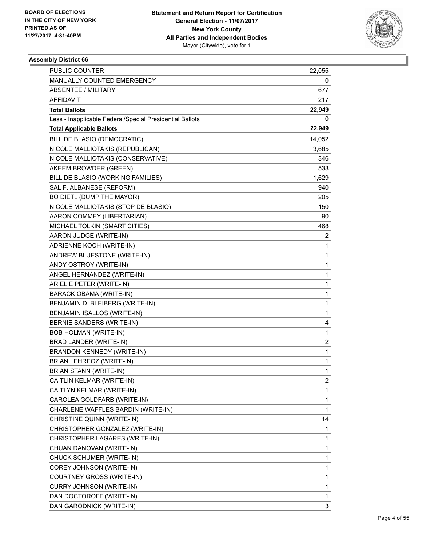

| <b>PUBLIC COUNTER</b>                                    | 22,055 |
|----------------------------------------------------------|--------|
| MANUALLY COUNTED EMERGENCY                               | 0      |
| ABSENTEE / MILITARY                                      | 677    |
| AFFIDAVIT                                                | 217    |
| <b>Total Ballots</b>                                     | 22,949 |
| Less - Inapplicable Federal/Special Presidential Ballots | 0      |
| <b>Total Applicable Ballots</b>                          | 22,949 |
| BILL DE BLASIO (DEMOCRATIC)                              | 14,052 |
| NICOLE MALLIOTAKIS (REPUBLICAN)                          | 3,685  |
| NICOLE MALLIOTAKIS (CONSERVATIVE)                        | 346    |
| AKEEM BROWDER (GREEN)                                    | 533    |
| BILL DE BLASIO (WORKING FAMILIES)                        | 1,629  |
| SAL F. ALBANESE (REFORM)                                 | 940    |
| BO DIETL (DUMP THE MAYOR)                                | 205    |
| NICOLE MALLIOTAKIS (STOP DE BLASIO)                      | 150    |
| AARON COMMEY (LIBERTARIAN)                               | 90     |
| MICHAEL TOLKIN (SMART CITIES)                            | 468    |
| AARON JUDGE (WRITE-IN)                                   | 2      |
| ADRIENNE KOCH (WRITE-IN)                                 | 1      |
| ANDREW BLUESTONE (WRITE-IN)                              | 1      |
| ANDY OSTROY (WRITE-IN)                                   | 1      |
| ANGEL HERNANDEZ (WRITE-IN)                               | 1      |
| ARIEL E PETER (WRITE-IN)                                 | 1      |
| <b>BARACK OBAMA (WRITE-IN)</b>                           | 1      |
| BENJAMIN D. BLEIBERG (WRITE-IN)                          | 1      |
| BENJAMIN ISALLOS (WRITE-IN)                              | 1      |
| BERNIE SANDERS (WRITE-IN)                                | 4      |
| BOB HOLMAN (WRITE-IN)                                    | 1      |
| BRAD LANDER (WRITE-IN)                                   | 2      |
| BRANDON KENNEDY (WRITE-IN)                               | 1      |
| <b>BRIAN LEHREOZ (WRITE-IN)</b>                          | 1      |
| BRIAN STANN (WRITE-IN)                                   | 1      |
| CAITLIN KELMAR (WRITE-IN)                                | 2      |
| CAITLYN KELMAR (WRITE-IN)                                | 1      |
| CAROLEA GOLDFARB (WRITE-IN)                              | 1      |
| CHARLENE WAFFLES BARDIN (WRITE-IN)                       | 1      |
| CHRISTINE QUINN (WRITE-IN)                               | 14     |
| CHRISTOPHER GONZALEZ (WRITE-IN)                          | 1      |
| CHRISTOPHER LAGARES (WRITE-IN)                           | 1      |
| CHUAN DANOVAN (WRITE-IN)                                 | 1      |
| CHUCK SCHUMER (WRITE-IN)                                 | 1      |
| COREY JOHNSON (WRITE-IN)                                 | 1      |
| COURTNEY GROSS (WRITE-IN)                                | 1      |
| CURRY JOHNSON (WRITE-IN)                                 | 1      |
| DAN DOCTOROFF (WRITE-IN)                                 | 1      |
| DAN GARODNICK (WRITE-IN)                                 | 3      |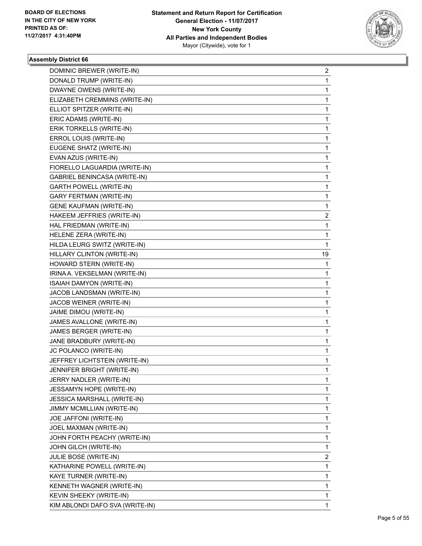

| DOMINIC BREWER (WRITE-IN)       | $\overline{2}$ |
|---------------------------------|----------------|
| DONALD TRUMP (WRITE-IN)         | 1              |
| DWAYNE OWENS (WRITE-IN)         | 1              |
| ELIZABETH CREMMINS (WRITE-IN)   | 1              |
| ELLIOT SPITZER (WRITE-IN)       | 1              |
| ERIC ADAMS (WRITE-IN)           | 1              |
| ERIK TORKELLS (WRITE-IN)        | 1              |
| ERROL LOUIS (WRITE-IN)          | 1              |
| EUGENE SHATZ (WRITE-IN)         | 1              |
| EVAN AZUS (WRITE-IN)            | 1              |
| FIORELLO LAGUARDIA (WRITE-IN)   | 1              |
| GABRIEL BENINCASA (WRITE-IN)    | 1              |
| <b>GARTH POWELL (WRITE-IN)</b>  | 1              |
| <b>GARY FERTMAN (WRITE-IN)</b>  | 1              |
| <b>GENE KAUFMAN (WRITE-IN)</b>  | 1              |
| HAKEEM JEFFRIES (WRITE-IN)      | 2              |
| HAL FRIEDMAN (WRITE-IN)         | 1              |
| HELENE ZERA (WRITE-IN)          | 1              |
| HILDA LEURG SWITZ (WRITE-IN)    | 1              |
| HILLARY CLINTON (WRITE-IN)      | 19             |
| HOWARD STERN (WRITE-IN)         | 1              |
| IRINA A. VEKSELMAN (WRITE-IN)   | 1              |
| ISAIAH DAMYON (WRITE-IN)        | 1              |
| JACOB LANDSMAN (WRITE-IN)       | 1              |
| JACOB WEINER (WRITE-IN)         | 1              |
| JAIME DIMOU (WRITE-IN)          | 1              |
| JAMES AVALLONE (WRITE-IN)       | 1              |
| JAMES BERGER (WRITE-IN)         | 1              |
| JANE BRADBURY (WRITE-IN)        | 1              |
| JC POLANCO (WRITE-IN)           | 1              |
| JEFFREY LICHTSTEIN (WRITE-IN)   | 1              |
| JENNIFER BRIGHT (WRITE-IN)      | $\mathbf{1}$   |
| JERRY NADLER (WRITE-IN)         | 1              |
| JESSAMYN HOPE (WRITE-IN)        | 1              |
| JESSICA MARSHALL (WRITE-IN)     | 1              |
| JIMMY MCMILLIAN (WRITE-IN)      | 1              |
| JOE JAFFONI (WRITE-IN)          | 1              |
| JOEL MAXMAN (WRITE-IN)          | 1              |
| JOHN FORTH PEACHY (WRITE-IN)    | 1              |
| JOHN GILCH (WRITE-IN)           | 1              |
| JULIE BOSE (WRITE-IN)           | 2              |
| KATHARINE POWELL (WRITE-IN)     | 1              |
| KAYE TURNER (WRITE-IN)          | 1              |
| KENNETH WAGNER (WRITE-IN)       | 1              |
| KEVIN SHEEKY (WRITE-IN)         | 1              |
| KIM ABLONDI DAFO SVA (WRITE-IN) | 1              |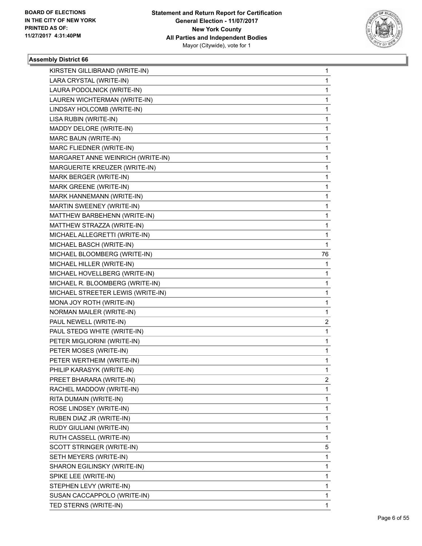

| KIRSTEN GILLIBRAND (WRITE-IN)     | 1  |
|-----------------------------------|----|
| LARA CRYSTAL (WRITE-IN)           | 1  |
| LAURA PODOLNICK (WRITE-IN)        | 1  |
| LAUREN WICHTERMAN (WRITE-IN)      | 1  |
| LINDSAY HOLCOMB (WRITE-IN)        | 1  |
| LISA RUBIN (WRITE-IN)             | 1  |
| MADDY DELORE (WRITE-IN)           | 1  |
| MARC BAUN (WRITE-IN)              | 1  |
| MARC FLIEDNER (WRITE-IN)          | 1  |
| MARGARET ANNE WEINRICH (WRITE-IN) | 1  |
| MARGUERITE KREUZER (WRITE-IN)     | 1  |
| MARK BERGER (WRITE-IN)            | 1  |
| MARK GREENE (WRITE-IN)            | 1  |
| MARK HANNEMANN (WRITE-IN)         | 1  |
| MARTIN SWEENEY (WRITE-IN)         | 1  |
| MATTHEW BARBEHENN (WRITE-IN)      | 1  |
| MATTHEW STRAZZA (WRITE-IN)        | 1  |
| MICHAEL ALLEGRETTI (WRITE-IN)     | 1  |
| MICHAEL BASCH (WRITE-IN)          | 1  |
| MICHAEL BLOOMBERG (WRITE-IN)      | 76 |
| MICHAEL HILLER (WRITE-IN)         | 1  |
| MICHAEL HOVELLBERG (WRITE-IN)     | 1  |
| MICHAEL R. BLOOMBERG (WRITE-IN)   | 1  |
| MICHAEL STREETER LEWIS (WRITE-IN) | 1  |
| MONA JOY ROTH (WRITE-IN)          | 1  |
| NORMAN MAILER (WRITE-IN)          | 1  |
| PAUL NEWELL (WRITE-IN)            | 2  |
| PAUL STEDG WHITE (WRITE-IN)       | 1  |
| PETER MIGLIORINI (WRITE-IN)       | 1  |
| PETER MOSES (WRITE-IN)            | 1  |
| PETER WERTHEIM (WRITE-IN)         | 1  |
| PHILIP KARASYK (WRITE-IN)         | 1  |
| PREET BHARARA (WRITE-IN)          | 2  |
| RACHEL MADDOW (WRITE-IN)          | 1  |
| RITA DUMAIN (WRITE-IN)            | 1  |
| ROSE LINDSEY (WRITE-IN)           | 1  |
| RUBEN DIAZ JR (WRITE-IN)          | 1  |
| RUDY GIULIANI (WRITE-IN)          | 1  |
| RUTH CASSELL (WRITE-IN)           | 1  |
| SCOTT STRINGER (WRITE-IN)         | 5  |
| SETH MEYERS (WRITE-IN)            | 1  |
| SHARON EGILINSKY (WRITE-IN)       | 1  |
| SPIKE LEE (WRITE-IN)              | 1  |
| STEPHEN LEVY (WRITE-IN)           | 1  |
| SUSAN CACCAPPOLO (WRITE-IN)       | 1  |
| TED STERNS (WRITE-IN)             | 1  |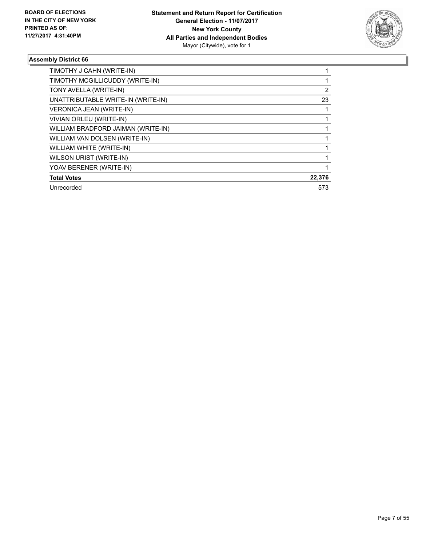

| TIMOTHY J CAHN (WRITE-IN)          |        |
|------------------------------------|--------|
| TIMOTHY MCGILLICUDDY (WRITE-IN)    |        |
| TONY AVELLA (WRITE-IN)             | 2      |
| UNATTRIBUTABLE WRITE-IN (WRITE-IN) | 23     |
| <b>VERONICA JEAN (WRITE-IN)</b>    |        |
| <b>VIVIAN ORLEU (WRITE-IN)</b>     |        |
| WILLIAM BRADFORD JAIMAN (WRITE-IN) |        |
| WILLIAM VAN DOLSEN (WRITE-IN)      |        |
| WILLIAM WHITE (WRITE-IN)           |        |
| WILSON URIST (WRITE-IN)            |        |
| YOAV BERENER (WRITE-IN)            |        |
| <b>Total Votes</b>                 | 22,376 |
| Unrecorded                         | 573    |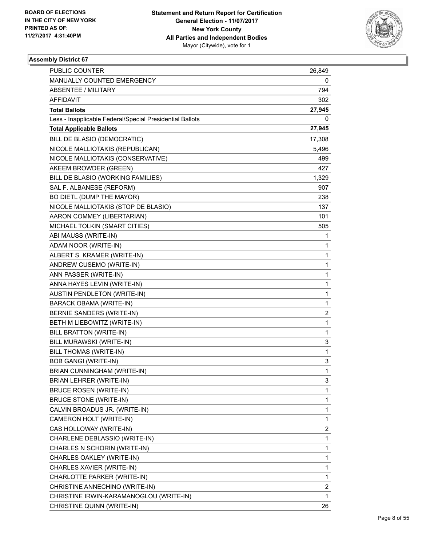

| <b>PUBLIC COUNTER</b>                                    | 26,849      |
|----------------------------------------------------------|-------------|
| MANUALLY COUNTED EMERGENCY                               | 0           |
| ABSENTEE / MILITARY                                      | 794         |
| AFFIDAVIT                                                | 302         |
| <b>Total Ballots</b>                                     | 27,945      |
| Less - Inapplicable Federal/Special Presidential Ballots | 0           |
| <b>Total Applicable Ballots</b>                          | 27,945      |
| BILL DE BLASIO (DEMOCRATIC)                              | 17,308      |
| NICOLE MALLIOTAKIS (REPUBLICAN)                          | 5,496       |
| NICOLE MALLIOTAKIS (CONSERVATIVE)                        | 499         |
| AKEEM BROWDER (GREEN)                                    | 427         |
| BILL DE BLASIO (WORKING FAMILIES)                        | 1,329       |
| SAL F. ALBANESE (REFORM)                                 | 907         |
| BO DIETL (DUMP THE MAYOR)                                | 238         |
| NICOLE MALLIOTAKIS (STOP DE BLASIO)                      | 137         |
| AARON COMMEY (LIBERTARIAN)                               | 101         |
| MICHAEL TOLKIN (SMART CITIES)                            | 505         |
| ABI MAUSS (WRITE-IN)                                     | 1           |
| ADAM NOOR (WRITE-IN)                                     | 1           |
| ALBERT S. KRAMER (WRITE-IN)                              | 1           |
| ANDREW CUSEMO (WRITE-IN)                                 | 1           |
| ANN PASSER (WRITE-IN)                                    | 1           |
| ANNA HAYES LEVIN (WRITE-IN)                              | 1           |
| <b>AUSTIN PENDLETON (WRITE-IN)</b>                       | 1           |
| BARACK OBAMA (WRITE-IN)                                  | 1           |
| BERNIE SANDERS (WRITE-IN)                                | 2           |
| BETH M LIEBOWITZ (WRITE-IN)                              | $\mathbf 1$ |
| <b>BILL BRATTON (WRITE-IN)</b>                           | 1           |
| BILL MURAWSKI (WRITE-IN)                                 | 3           |
| BILL THOMAS (WRITE-IN)                                   | 1           |
| <b>BOB GANGI (WRITE-IN)</b>                              | 3           |
| BRIAN CUNNINGHAM (WRITE-IN)                              | 1           |
| BRIAN LEHRER (WRITE-IN)                                  | 3           |
| <b>BRUCE ROSEN (WRITE-IN)</b>                            | 1           |
| BRUCE STONE (WRITE-IN)                                   | 1           |
| CALVIN BROADUS JR. (WRITE-IN)                            | 1           |
| CAMERON HOLT (WRITE-IN)                                  | 1           |
| CAS HOLLOWAY (WRITE-IN)                                  | 2           |
| CHARLENE DEBLASSIO (WRITE-IN)                            | 1           |
| CHARLES N SCHORIN (WRITE-IN)                             | 1           |
| CHARLES OAKLEY (WRITE-IN)                                | 1           |
| CHARLES XAVIER (WRITE-IN)                                | 1           |
| CHARLOTTE PARKER (WRITE-IN)                              | 1           |
| CHRISTINE ANNECHINO (WRITE-IN)                           | 2           |
| CHRISTINE IRWIN-KARAMANOGLOU (WRITE-IN)                  | 1           |
| CHRISTINE QUINN (WRITE-IN)                               | 26          |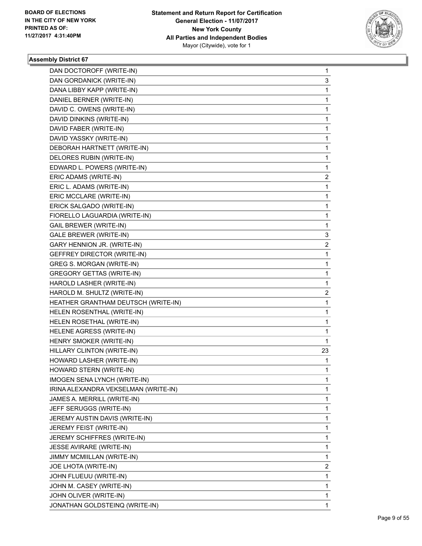

| DAN DOCTOROFF (WRITE-IN)             | 1  |
|--------------------------------------|----|
| DAN GORDANICK (WRITE-IN)             | 3  |
| DANA LIBBY KAPP (WRITE-IN)           | 1  |
| DANIEL BERNER (WRITE-IN)             | 1  |
| DAVID C. OWENS (WRITE-IN)            | 1  |
| DAVID DINKINS (WRITE-IN)             | 1  |
| DAVID FABER (WRITE-IN)               | 1  |
| DAVID YASSKY (WRITE-IN)              | 1  |
| DEBORAH HARTNETT (WRITE-IN)          | 1  |
| DELORES RUBIN (WRITE-IN)             | 1  |
| EDWARD L. POWERS (WRITE-IN)          | 1  |
| ERIC ADAMS (WRITE-IN)                | 2  |
| ERIC L. ADAMS (WRITE-IN)             | 1  |
| ERIC MCCLARE (WRITE-IN)              | 1  |
| ERICK SALGADO (WRITE-IN)             | 1  |
| FIORELLO LAGUARDIA (WRITE-IN)        | 1  |
| <b>GAIL BREWER (WRITE-IN)</b>        | 1  |
| <b>GALE BREWER (WRITE-IN)</b>        | 3  |
| GARY HENNION JR. (WRITE-IN)          | 2  |
| GEFFREY DIRECTOR (WRITE-IN)          | 1  |
| <b>GREG S. MORGAN (WRITE-IN)</b>     | 1  |
| <b>GREGORY GETTAS (WRITE-IN)</b>     | 1  |
| HAROLD LASHER (WRITE-IN)             | 1  |
| HAROLD M. SHULTZ (WRITE-IN)          | 2  |
| HEATHER GRANTHAM DEUTSCH (WRITE-IN)  | 1  |
| HELEN ROSENTHAL (WRITE-IN)           | 1  |
| HELEN ROSETHAL (WRITE-IN)            | 1  |
| HELENE AGRESS (WRITE-IN)             | 1  |
| HENRY SMOKER (WRITE-IN)              | 1  |
| HILLARY CLINTON (WRITE-IN)           | 23 |
| HOWARD LASHER (WRITE-IN)             | 1  |
| HOWARD STERN (WRITE-IN)              | 1  |
| IMOGEN SENA LYNCH (WRITE-IN)         | 1  |
| IRINA ALEXANDRA VEKSELMAN (WRITE-IN) | 1  |
| JAMES A. MERRILL (WRITE-IN)          | 1  |
| JEFF SERUGGS (WRITE-IN)              | 1  |
| JEREMY AUSTIN DAVIS (WRITE-IN)       | 1  |
| JEREMY FEIST (WRITE-IN)              | 1  |
| <b>JEREMY SCHIFFRES (WRITE-IN)</b>   | 1  |
| JESSE AVIRARE (WRITE-IN)             | 1  |
| JIMMY MCMIILLAN (WRITE-IN)           | 1  |
| JOE LHOTA (WRITE-IN)                 | 2  |
| JOHN FLUEUU (WRITE-IN)               | 1  |
| JOHN M. CASEY (WRITE-IN)             | 1  |
| JOHN OLIVER (WRITE-IN)               | 1  |
| JONATHAN GOLDSTEINQ (WRITE-IN)       | 1  |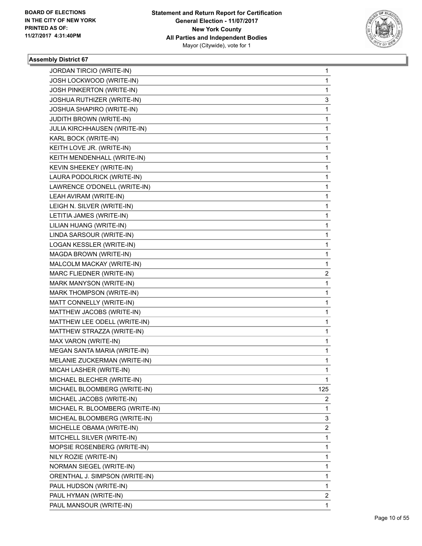

| JORDAN TIRCIO (WRITE-IN)        | 1                       |
|---------------------------------|-------------------------|
| JOSH LOCKWOOD (WRITE-IN)        | 1                       |
| JOSH PINKERTON (WRITE-IN)       | 1                       |
| JOSHUA RUTHIZER (WRITE-IN)      | 3                       |
| JOSHUA SHAPIRO (WRITE-IN)       | 1                       |
| JUDITH BROWN (WRITE-IN)         | 1                       |
| JULIA KIRCHHAUSEN (WRITE-IN)    | 1                       |
| KARL BOCK (WRITE-IN)            | 1                       |
| KEITH LOVE JR. (WRITE-IN)       | 1                       |
| KEITH MENDENHALL (WRITE-IN)     | 1                       |
| KEVIN SHEEKEY (WRITE-IN)        | 1                       |
| LAURA PODOLRICK (WRITE-IN)      | 1                       |
| LAWRENCE O'DONELL (WRITE-IN)    | 1                       |
| LEAH AVIRAM (WRITE-IN)          | 1                       |
| LEIGH N. SILVER (WRITE-IN)      | 1                       |
| LETITIA JAMES (WRITE-IN)        | 1                       |
| LILIAN HUANG (WRITE-IN)         | 1                       |
| LINDA SARSOUR (WRITE-IN)        | 1                       |
| LOGAN KESSLER (WRITE-IN)        | 1                       |
| MAGDA BROWN (WRITE-IN)          | 1                       |
| MALCOLM MACKAY (WRITE-IN)       | 1                       |
| MARC FLIEDNER (WRITE-IN)        | 2                       |
| MARK MANYSON (WRITE-IN)         | 1                       |
| MARK THOMPSON (WRITE-IN)        | 1                       |
| MATT CONNELLY (WRITE-IN)        | 1                       |
| MATTHEW JACOBS (WRITE-IN)       | 1                       |
| MATTHEW LEE ODELL (WRITE-IN)    | 1                       |
| MATTHEW STRAZZA (WRITE-IN)      | 1                       |
| MAX VARON (WRITE-IN)            | 1                       |
| MEGAN SANTA MARIA (WRITE-IN)    | 1                       |
| MELANIE ZUCKERMAN (WRITE-IN)    | 1                       |
| MICAH LASHER (WRITE-IN)         | 1                       |
| MICHAEL BLECHER (WRITE-IN)      | 1                       |
| MICHAEL BLOOMBERG (WRITE-IN)    | 125                     |
| MICHAEL JACOBS (WRITE-IN)       | $\mathbf{2}$            |
| MICHAEL R. BLOOMBERG (WRITE-IN) | $\mathbf{1}$            |
| MICHEAL BLOOMBERG (WRITE-IN)    | 3                       |
| MICHELLE OBAMA (WRITE-IN)       | $\overline{\mathbf{c}}$ |
| MITCHELL SILVER (WRITE-IN)      | 1                       |
| MOPSIE ROSENBERG (WRITE-IN)     | 1                       |
| NILY ROZIE (WRITE-IN)           | 1                       |
| NORMAN SIEGEL (WRITE-IN)        | 1                       |
| ORENTHAL J. SIMPSON (WRITE-IN)  | 1                       |
| PAUL HUDSON (WRITE-IN)          | 1                       |
| PAUL HYMAN (WRITE-IN)           | $\overline{c}$          |
| PAUL MANSOUR (WRITE-IN)         | 1                       |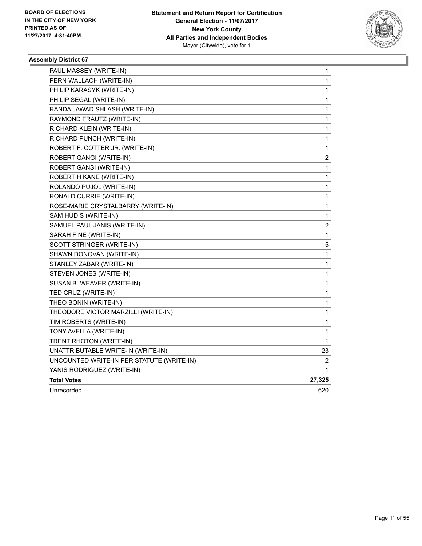

| PAUL MASSEY (WRITE-IN)                    | 1            |
|-------------------------------------------|--------------|
| PERN WALLACH (WRITE-IN)                   | 1            |
| PHILIP KARASYK (WRITE-IN)                 | 1            |
| PHILIP SEGAL (WRITE-IN)                   | $\mathbf 1$  |
| RANDA JAWAD SHLASH (WRITE-IN)             | $\mathbf 1$  |
| RAYMOND FRAUTZ (WRITE-IN)                 | $\mathbf 1$  |
| RICHARD KLEIN (WRITE-IN)                  | 1            |
| RICHARD PUNCH (WRITE-IN)                  | 1            |
| ROBERT F. COTTER JR. (WRITE-IN)           | 1            |
| ROBERT GANGI (WRITE-IN)                   | 2            |
| ROBERT GANSI (WRITE-IN)                   | $\mathbf{1}$ |
| ROBERT H KANE (WRITE-IN)                  | 1            |
| ROLANDO PUJOL (WRITE-IN)                  | 1            |
| RONALD CURRIE (WRITE-IN)                  | 1            |
| ROSE-MARIE CRYSTALBARRY (WRITE-IN)        | $\mathbf 1$  |
| SAM HUDIS (WRITE-IN)                      | 1            |
| SAMUEL PAUL JANIS (WRITE-IN)              | 2            |
| SARAH FINE (WRITE-IN)                     | 1            |
| SCOTT STRINGER (WRITE-IN)                 | 5            |
| SHAWN DONOVAN (WRITE-IN)                  | $\mathbf{1}$ |
| STANLEY ZABAR (WRITE-IN)                  | $\mathbf{1}$ |
| STEVEN JONES (WRITE-IN)                   | 1            |
| SUSAN B. WEAVER (WRITE-IN)                | 1            |
| TED CRUZ (WRITE-IN)                       | 1            |
| THEO BONIN (WRITE-IN)                     | $\mathbf 1$  |
| THEODORE VICTOR MARZILLI (WRITE-IN)       | $\mathbf{1}$ |
| TIM ROBERTS (WRITE-IN)                    | $\mathbf 1$  |
| TONY AVELLA (WRITE-IN)                    | 1            |
| TRENT RHOTON (WRITE-IN)                   | 1            |
| UNATTRIBUTABLE WRITE-IN (WRITE-IN)        | 23           |
| UNCOUNTED WRITE-IN PER STATUTE (WRITE-IN) | 2            |
| YANIS RODRIGUEZ (WRITE-IN)                | 1            |
| <b>Total Votes</b>                        | 27,325       |
| Unrecorded                                | 620          |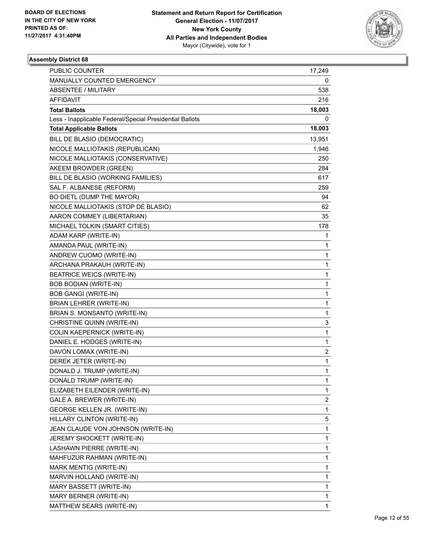

| PUBLIC COUNTER                                           | 17,249 |
|----------------------------------------------------------|--------|
| MANUALLY COUNTED EMERGENCY                               | 0      |
| <b>ABSENTEE / MILITARY</b>                               | 538    |
| <b>AFFIDAVIT</b>                                         | 216    |
| <b>Total Ballots</b>                                     | 18,003 |
| Less - Inapplicable Federal/Special Presidential Ballots | 0      |
| <b>Total Applicable Ballots</b>                          | 18,003 |
| BILL DE BLASIO (DEMOCRATIC)                              | 13,951 |
| NICOLE MALLIOTAKIS (REPUBLICAN)                          | 1,946  |
| NICOLE MALLIOTAKIS (CONSERVATIVE)                        | 250    |
| AKEEM BROWDER (GREEN)                                    | 284    |
| BILL DE BLASIO (WORKING FAMILIES)                        | 617    |
| SAL F. ALBANESE (REFORM)                                 | 259    |
| BO DIETL (DUMP THE MAYOR)                                | 94     |
| NICOLE MALLIOTAKIS (STOP DE BLASIO)                      | 62     |
| AARON COMMEY (LIBERTARIAN)                               | 35     |
| MICHAEL TOLKIN (SMART CITIES)                            | 178    |
| ADAM KARP (WRITE-IN)                                     | 1      |
| AMANDA PAUL (WRITE-IN)                                   | 1      |
| ANDREW CUOMO (WRITE-IN)                                  | 1      |
| ARCHANA PRAKAUH (WRITE-IN)                               | 1      |
| <b>BEATRICE WEICS (WRITE-IN)</b>                         | 1      |
| <b>BOB BODIAN (WRITE-IN)</b>                             | 1      |
| <b>BOB GANGI (WRITE-IN)</b>                              | 1      |
| BRIAN LEHRER (WRITE-IN)                                  | 1      |
| BRIAN S. MONSANTO (WRITE-IN)                             | 1      |
| CHRISTINE QUINN (WRITE-IN)                               | 3      |
| COLIN KAEPERNICK (WRITE-IN)                              | 1      |
| DANIEL E. HODGES (WRITE-IN)                              | 1      |
| DAVON LOMAX (WRITE-IN)                                   | 2      |
| DEREK JETER (WRITE-IN)                                   | 1      |
| DONALD J. TRUMP (WRITE-IN)                               | 1      |
| DONALD TRUMP (WRITE-IN)                                  | 1      |
| ELIZABETH EILENDER (WRITE-IN)                            | 1      |
| GALE A. BREWER (WRITE-IN)                                | 2      |
| GEORGE KELLEN JR. (WRITE-IN)                             | 1      |
| HILLARY CLINTON (WRITE-IN)                               | 5      |
| JEAN CLAUDE VON JOHNSON (WRITE-IN)                       | 1      |
| JEREMY SHOCKETT (WRITE-IN)                               | 1      |
| LASHAWN PIERRE (WRITE-IN)                                | 1      |
| MAHFUZUR RAHMAN (WRITE-IN)                               | 1      |
| MARK MENTIG (WRITE-IN)                                   | 1      |
| MARVIN HOLLAND (WRITE-IN)                                | 1      |
| MARY BASSETT (WRITE-IN)                                  | 1      |
| MARY BERNER (WRITE-IN)                                   | 1      |
| MATTHEW SEARS (WRITE-IN)                                 | 1      |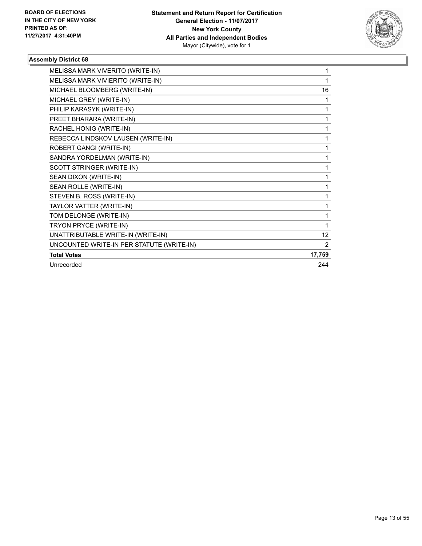

| MELISSA MARK VIVERITO (WRITE-IN)          | 1               |
|-------------------------------------------|-----------------|
| MELISSA MARK VIVIERITO (WRITE-IN)         | 1               |
| MICHAEL BLOOMBERG (WRITE-IN)              | 16              |
| MICHAEL GREY (WRITE-IN)                   | 1               |
| PHILIP KARASYK (WRITE-IN)                 | 1               |
| PREET BHARARA (WRITE-IN)                  | 1               |
| RACHEL HONIG (WRITE-IN)                   | 1               |
| REBECCA LINDSKOV LAUSEN (WRITE-IN)        | 1               |
| ROBERT GANGI (WRITE-IN)                   | 1               |
| SANDRA YORDELMAN (WRITE-IN)               | 1               |
| SCOTT STRINGER (WRITE-IN)                 | 1               |
| SEAN DIXON (WRITE-IN)                     | 1               |
| SEAN ROLLE (WRITE-IN)                     | 1               |
| STEVEN B. ROSS (WRITE-IN)                 | 1               |
| TAYLOR VATTER (WRITE-IN)                  | 1               |
| TOM DELONGE (WRITE-IN)                    | 1               |
| TRYON PRYCE (WRITE-IN)                    | 1               |
| UNATTRIBUTABLE WRITE-IN (WRITE-IN)        | 12 <sup>°</sup> |
| UNCOUNTED WRITE-IN PER STATUTE (WRITE-IN) | 2               |
| <b>Total Votes</b>                        | 17,759          |
| Unrecorded                                | 244             |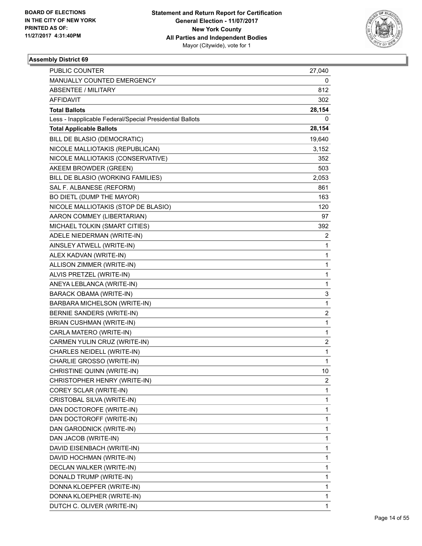

| <b>PUBLIC COUNTER</b>                                    | 27,040 |
|----------------------------------------------------------|--------|
| MANUALLY COUNTED EMERGENCY                               | 0      |
| ABSENTEE / MILITARY                                      | 812    |
| <b>AFFIDAVIT</b>                                         | 302    |
| <b>Total Ballots</b>                                     | 28,154 |
| Less - Inapplicable Federal/Special Presidential Ballots | 0      |
| <b>Total Applicable Ballots</b>                          | 28,154 |
| BILL DE BLASIO (DEMOCRATIC)                              | 19,640 |
| NICOLE MALLIOTAKIS (REPUBLICAN)                          | 3,152  |
| NICOLE MALLIOTAKIS (CONSERVATIVE)                        | 352    |
| AKEEM BROWDER (GREEN)                                    | 503    |
| BILL DE BLASIO (WORKING FAMILIES)                        | 2,053  |
| SAL F. ALBANESE (REFORM)                                 | 861    |
| BO DIETL (DUMP THE MAYOR)                                | 163    |
| NICOLE MALLIOTAKIS (STOP DE BLASIO)                      | 120    |
| AARON COMMEY (LIBERTARIAN)                               | 97     |
| MICHAEL TOLKIN (SMART CITIES)                            | 392    |
| ADELE NIEDERMAN (WRITE-IN)                               | 2      |
| AINSLEY ATWELL (WRITE-IN)                                | 1      |
| ALEX KADVAN (WRITE-IN)                                   | 1      |
| ALLISON ZIMMER (WRITE-IN)                                | 1      |
| ALVIS PRETZEL (WRITE-IN)                                 | 1      |
| ANEYA LEBLANCA (WRITE-IN)                                | 1      |
| <b>BARACK OBAMA (WRITE-IN)</b>                           | 3      |
| BARBARA MICHELSON (WRITE-IN)                             | 1      |
| BERNIE SANDERS (WRITE-IN)                                | 2      |
| BRIAN CUSHMAN (WRITE-IN)                                 | 1      |
| CARLA MATERO (WRITE-IN)                                  | 1      |
| CARMEN YULIN CRUZ (WRITE-IN)                             | 2      |
| <b>CHARLES NEIDELL (WRITE-IN)</b>                        | 1      |
| CHARLIE GROSSO (WRITE-IN)                                | 1      |
| CHRISTINE QUINN (WRITE-IN)                               | 10     |
| CHRISTOPHER HENRY (WRITE-IN)                             | 2      |
| COREY SCLAR (WRITE-IN)                                   | 1      |
| CRISTOBAL SILVA (WRITE-IN)                               | 1      |
| DAN DOCTOROFE (WRITE-IN)                                 | 1      |
| DAN DOCTOROFF (WRITE-IN)                                 | 1      |
| DAN GARODNICK (WRITE-IN)                                 | 1      |
| DAN JACOB (WRITE-IN)                                     | 1      |
| DAVID EISENBACH (WRITE-IN)                               | 1      |
| DAVID HOCHMAN (WRITE-IN)                                 | 1      |
| DECLAN WALKER (WRITE-IN)                                 | 1      |
| DONALD TRUMP (WRITE-IN)                                  | 1      |
| DONNA KLOEPFER (WRITE-IN)                                | 1      |
| DONNA KLOEPHER (WRITE-IN)                                | 1      |
| DUTCH C. OLIVER (WRITE-IN)                               | 1      |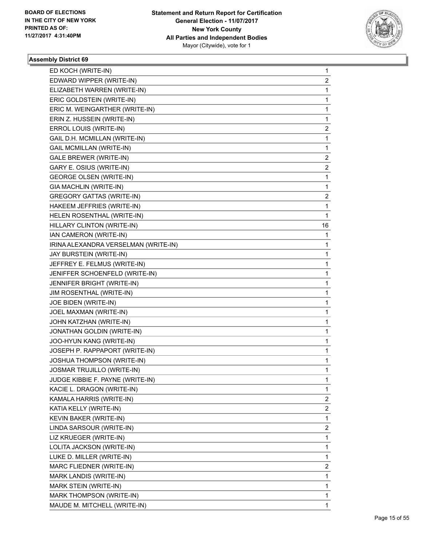

| ED KOCH (WRITE-IN)                   | 1                       |
|--------------------------------------|-------------------------|
| EDWARD WIPPER (WRITE-IN)             | 2                       |
| ELIZABETH WARREN (WRITE-IN)          | 1                       |
| ERIC GOLDSTEIN (WRITE-IN)            | 1                       |
| ERIC M. WEINGARTHER (WRITE-IN)       | 1                       |
| ERIN Z. HUSSEIN (WRITE-IN)           | 1                       |
| ERROL LOUIS (WRITE-IN)               | 2                       |
| GAIL D.H. MCMILLAN (WRITE-IN)        | 1                       |
| GAIL MCMILLAN (WRITE-IN)             | 1                       |
| <b>GALE BREWER (WRITE-IN)</b>        | 2                       |
| GARY E. OSIUS (WRITE-IN)             | 2                       |
| <b>GEORGE OLSEN (WRITE-IN)</b>       | 1                       |
| GIA MACHLIN (WRITE-IN)               | 1                       |
| <b>GREGORY GATTAS (WRITE-IN)</b>     | 2                       |
| HAKEEM JEFFRIES (WRITE-IN)           | 1                       |
| HELEN ROSENTHAL (WRITE-IN)           | 1                       |
| HILLARY CLINTON (WRITE-IN)           | 16                      |
| IAN CAMERON (WRITE-IN)               | $\mathbf{1}$            |
| IRINA ALEXANDRA VERSELMAN (WRITE-IN) | 1                       |
| JAY BURSTEIN (WRITE-IN)              | 1                       |
| JEFFREY E. FELMUS (WRITE-IN)         | 1                       |
| JENIFFER SCHOENFELD (WRITE-IN)       | 1                       |
| JENNIFER BRIGHT (WRITE-IN)           | 1                       |
| JIM ROSENTHAL (WRITE-IN)             | 1                       |
| JOE BIDEN (WRITE-IN)                 | 1                       |
| JOEL MAXMAN (WRITE-IN)               | 1                       |
| JOHN KATZHAN (WRITE-IN)              | 1                       |
| JONATHAN GOLDIN (WRITE-IN)           | 1                       |
| JOO-HYUN KANG (WRITE-IN)             | 1                       |
| JOSEPH P. RAPPAPORT (WRITE-IN)       | 1                       |
| JOSHUA THOMPSON (WRITE-IN)           | 1                       |
| <b>JOSMAR TRUJILLO (WRITE-IN)</b>    | 1                       |
| JUDGE KIBBIE F. PAYNE (WRITE-IN)     | 1                       |
| KACIE L. DRAGON (WRITE-IN)           | 1                       |
| KAMALA HARRIS (WRITE-IN)             | $\overline{\mathbf{c}}$ |
| KATIA KELLY (WRITE-IN)               | $\overline{2}$          |
| KEVIN BAKER (WRITE-IN)               | $\mathbf{1}$            |
| LINDA SARSOUR (WRITE-IN)             | $\overline{\mathbf{c}}$ |
| LIZ KRUEGER (WRITE-IN)               | 1                       |
| LOLITA JACKSON (WRITE-IN)            | 1                       |
| LUKE D. MILLER (WRITE-IN)            | 1                       |
| MARC FLIEDNER (WRITE-IN)             | $\overline{2}$          |
| MARK LANDIS (WRITE-IN)               | $\mathbf{1}$            |
| MARK STEIN (WRITE-IN)                | 1                       |
| MARK THOMPSON (WRITE-IN)             | 1                       |
| MAUDE M. MITCHELL (WRITE-IN)         | 1                       |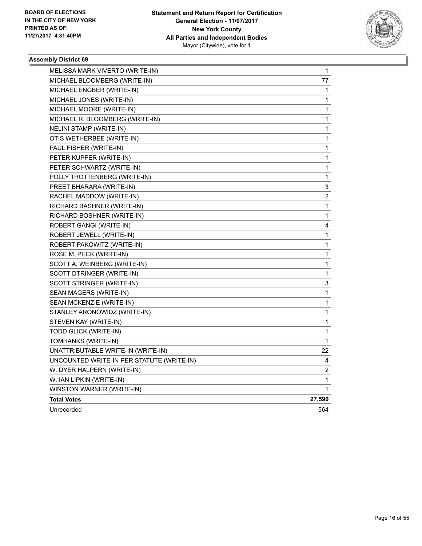

| MELISSA MARK VIVERTO (WRITE-IN)           | 1            |
|-------------------------------------------|--------------|
| MICHAEL BLOOMBERG (WRITE-IN)              | 77           |
| MICHAEL ENGBER (WRITE-IN)                 | 1            |
| MICHAEL JONES (WRITE-IN)                  | 1            |
| MICHAEL MOORE (WRITE-IN)                  | 1            |
| MICHAEL R. BLOOMBERG (WRITE-IN)           | 1            |
| NELINI STAMP (WRITE-IN)                   | 1            |
| OTIS WETHERBEE (WRITE-IN)                 | 1            |
| PAUL FISHER (WRITE-IN)                    | 1            |
| PETER KUPFER (WRITE-IN)                   | 1            |
| PETER SCHWARTZ (WRITE-IN)                 | 1            |
| POLLY TROTTENBERG (WRITE-IN)              | 1            |
| PREET BHARARA (WRITE-IN)                  | 3            |
| RACHEL MADDOW (WRITE-IN)                  | 2            |
| RICHARD BASHNER (WRITE-IN)                | 1            |
| RICHARD BOSHNER (WRITE-IN)                | 1            |
| ROBERT GANGI (WRITE-IN)                   | 4            |
| ROBERT JEWELL (WRITE-IN)                  | 1            |
| ROBERT PAKOWITZ (WRITE-IN)                | 1            |
| ROSE M. PECK (WRITE-IN)                   | 1            |
| SCOTT A. WEINBERG (WRITE-IN)              | 1            |
| SCOTT DTRINGER (WRITE-IN)                 | 1            |
| SCOTT STRINGER (WRITE-IN)                 | 3            |
| SEAN MAGERS (WRITE-IN)                    | 1            |
| SEAN MCKENZIE (WRITE-IN)                  | 1            |
| STANLEY ARONOWIDZ (WRITE-IN)              | 1            |
| STEVEN KAY (WRITE-IN)                     | 1            |
| TODD GLICK (WRITE-IN)                     | 1            |
| TOMHANKS (WRITE-IN)                       | $\mathbf{1}$ |
| UNATTRIBUTABLE WRITE-IN (WRITE-IN)        | 22           |
| UNCOUNTED WRITE-IN PER STATUTE (WRITE-IN) | 4            |
| W. DYER HALPERN (WRITE-IN)                | 2            |
| W. IAN LIPKIN (WRITE-IN)                  | 1            |
| WINSTON WARNER (WRITE-IN)                 | 1            |
| <b>Total Votes</b>                        | 27,590       |
| Unrecorded                                | 564          |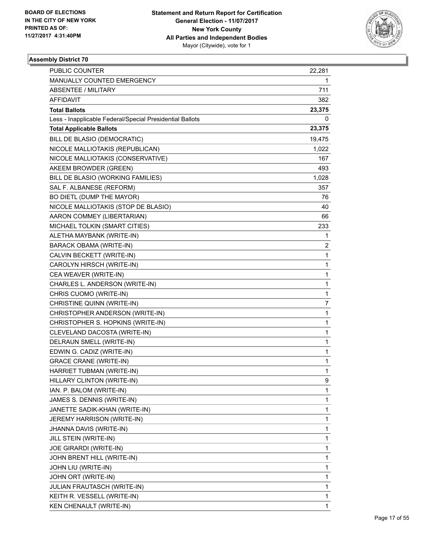

| <b>PUBLIC COUNTER</b>                                    | 22,281 |
|----------------------------------------------------------|--------|
| MANUALLY COUNTED EMERGENCY                               | 1      |
| ABSENTEE / MILITARY                                      | 711    |
| AFFIDAVIT                                                | 382    |
| <b>Total Ballots</b>                                     | 23,375 |
| Less - Inapplicable Federal/Special Presidential Ballots | 0      |
| <b>Total Applicable Ballots</b>                          | 23,375 |
| BILL DE BLASIO (DEMOCRATIC)                              | 19,475 |
| NICOLE MALLIOTAKIS (REPUBLICAN)                          | 1,022  |
| NICOLE MALLIOTAKIS (CONSERVATIVE)                        | 167    |
| AKEEM BROWDER (GREEN)                                    | 493    |
| BILL DE BLASIO (WORKING FAMILIES)                        | 1,028  |
| SAL F. ALBANESE (REFORM)                                 | 357    |
| BO DIETL (DUMP THE MAYOR)                                | 76     |
| NICOLE MALLIOTAKIS (STOP DE BLASIO)                      | 40     |
| AARON COMMEY (LIBERTARIAN)                               | 66     |
| MICHAEL TOLKIN (SMART CITIES)                            | 233    |
| ALETHA MAYBANK (WRITE-IN)                                | 1      |
| BARACK OBAMA (WRITE-IN)                                  | 2      |
| CALVIN BECKETT (WRITE-IN)                                | 1      |
| CAROLYN HIRSCH (WRITE-IN)                                | 1      |
| CEA WEAVER (WRITE-IN)                                    | 1      |
| CHARLES L. ANDERSON (WRITE-IN)                           | 1      |
| CHRIS CUOMO (WRITE-IN)                                   | 1      |
| CHRISTINE QUINN (WRITE-IN)                               | 7      |
| CHRISTOPHER ANDERSON (WRITE-IN)                          | 1      |
| CHRISTOPHER S. HOPKINS (WRITE-IN)                        | 1      |
| CLEVELAND DACOSTA (WRITE-IN)                             | 1      |
| DELRAUN SMELL (WRITE-IN)                                 | 1      |
| EDWIN G. CADIZ (WRITE-IN)                                | 1      |
| <b>GRACE CRANE (WRITE-IN)</b>                            | 1      |
| HARRIET TUBMAN (WRITE-IN)                                | 1      |
| HILLARY CLINTON (WRITE-IN)                               | 9      |
| IAN. P. BALOM (WRITE-IN)                                 | 1      |
| JAMES S. DENNIS (WRITE-IN)                               | 1      |
| JANETTE SADIK-KHAN (WRITE-IN)                            | 1      |
| JEREMY HARRISON (WRITE-IN)                               | 1      |
| JHANNA DAVIS (WRITE-IN)                                  | 1      |
| JILL STEIN (WRITE-IN)                                    | 1      |
| JOE GIRARDI (WRITE-IN)                                   | 1      |
| JOHN BRENT HILL (WRITE-IN)                               | 1      |
| JOHN LIU (WRITE-IN)                                      | 1      |
| JOHN ORT (WRITE-IN)                                      | 1      |
| JULIAN FRAUTASCH (WRITE-IN)                              | 1      |
| KEITH R. VESSELL (WRITE-IN)                              | 1      |
| KEN CHENAULT (WRITE-IN)                                  | 1      |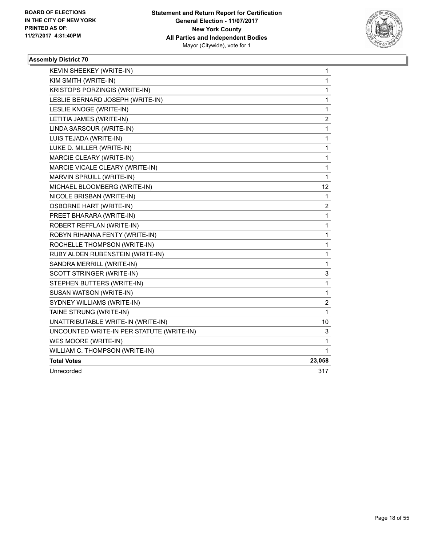

| KEVIN SHEEKEY (WRITE-IN)                  | 1              |
|-------------------------------------------|----------------|
| KIM SMITH (WRITE-IN)                      | 1              |
| KRISTOPS PORZINGIS (WRITE-IN)             | 1              |
| LESLIE BERNARD JOSEPH (WRITE-IN)          | 1              |
| LESLIE KNOGE (WRITE-IN)                   | 1              |
| LETITIA JAMES (WRITE-IN)                  | 2              |
| LINDA SARSOUR (WRITE-IN)                  | 1              |
| LUIS TEJADA (WRITE-IN)                    | 1              |
| LUKE D. MILLER (WRITE-IN)                 | 1              |
| MARCIE CLEARY (WRITE-IN)                  | 1              |
| MARCIE VICALE CLEARY (WRITE-IN)           | 1              |
| MARVIN SPRUILL (WRITE-IN)                 | 1              |
| MICHAEL BLOOMBERG (WRITE-IN)              | 12             |
| NICOLE BRISBAN (WRITE-IN)                 | 1              |
| <b>OSBORNE HART (WRITE-IN)</b>            | $\overline{c}$ |
| PREET BHARARA (WRITE-IN)                  | 1              |
| ROBERT REFFLAN (WRITE-IN)                 | 1              |
| ROBYN RIHANNA FENTY (WRITE-IN)            | 1              |
| ROCHELLE THOMPSON (WRITE-IN)              | 1              |
| RUBY ALDEN RUBENSTEIN (WRITE-IN)          | 1              |
| SANDRA MERRILL (WRITE-IN)                 | 1              |
| SCOTT STRINGER (WRITE-IN)                 | 3              |
| STEPHEN BUTTERS (WRITE-IN)                | 1              |
| SUSAN WATSON (WRITE-IN)                   | 1              |
| SYDNEY WILLIAMS (WRITE-IN)                | 2              |
| TAINE STRUNG (WRITE-IN)                   | 1              |
| UNATTRIBUTABLE WRITE-IN (WRITE-IN)        | 10             |
| UNCOUNTED WRITE-IN PER STATUTE (WRITE-IN) | 3              |
| WES MOORE (WRITE-IN)                      | 1              |
| WILLIAM C. THOMPSON (WRITE-IN)            | 1              |
| <b>Total Votes</b>                        | 23,058         |
| Unrecorded                                | 317            |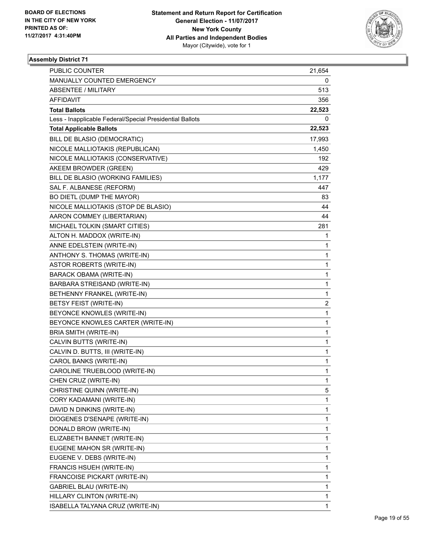

| <b>PUBLIC COUNTER</b>                                    | 21,654 |
|----------------------------------------------------------|--------|
| MANUALLY COUNTED EMERGENCY                               | 0      |
| <b>ABSENTEE / MILITARY</b>                               | 513    |
| AFFIDAVIT                                                | 356    |
| <b>Total Ballots</b>                                     | 22,523 |
| Less - Inapplicable Federal/Special Presidential Ballots | 0      |
| <b>Total Applicable Ballots</b>                          | 22,523 |
| BILL DE BLASIO (DEMOCRATIC)                              | 17,993 |
| NICOLE MALLIOTAKIS (REPUBLICAN)                          | 1,450  |
| NICOLE MALLIOTAKIS (CONSERVATIVE)                        | 192    |
| AKEEM BROWDER (GREEN)                                    | 429    |
| BILL DE BLASIO (WORKING FAMILIES)                        | 1,177  |
| SAL F. ALBANESE (REFORM)                                 | 447    |
| BO DIETL (DUMP THE MAYOR)                                | 83     |
| NICOLE MALLIOTAKIS (STOP DE BLASIO)                      | 44     |
| AARON COMMEY (LIBERTARIAN)                               | 44     |
| MICHAEL TOLKIN (SMART CITIES)                            | 281    |
| ALTON H. MADDOX (WRITE-IN)                               | 1      |
| ANNE EDELSTEIN (WRITE-IN)                                | 1      |
| ANTHONY S. THOMAS (WRITE-IN)                             | 1      |
| <b>ASTOR ROBERTS (WRITE-IN)</b>                          | 1      |
| BARACK OBAMA (WRITE-IN)                                  | 1      |
| BARBARA STREISAND (WRITE-IN)                             | 1      |
| BETHENNY FRANKEL (WRITE-IN)                              | 1      |
| BETSY FEIST (WRITE-IN)                                   | 2      |
| BEYONCE KNOWLES (WRITE-IN)                               | 1      |
| BEYONCE KNOWLES CARTER (WRITE-IN)                        | 1      |
| BRIA SMITH (WRITE-IN)                                    | 1      |
| CALVIN BUTTS (WRITE-IN)                                  | 1      |
| CALVIN D. BUTTS, III (WRITE-IN)                          | 1      |
| CAROL BANKS (WRITE-IN)                                   | 1      |
| CAROLINE TRUEBLOOD (WRITE-IN)                            | 1      |
| CHEN CRUZ (WRITE-IN)                                     | 1      |
| CHRISTINE QUINN (WRITE-IN)                               | 5      |
| CORY KADAMANI (WRITE-IN)                                 | 1      |
| DAVID N DINKINS (WRITE-IN)                               | 1      |
| DIOGENES D'SENAPE (WRITE-IN)                             | 1      |
| DONALD BROW (WRITE-IN)                                   | 1      |
| ELIZABETH BANNET (WRITE-IN)                              | 1      |
| EUGENE MAHON SR (WRITE-IN)                               | 1      |
| EUGENE V. DEBS (WRITE-IN)                                | 1      |
| FRANCIS HSUEH (WRITE-IN)                                 | 1      |
| FRANCOISE PICKART (WRITE-IN)                             | 1      |
| GABRIEL BLAU (WRITE-IN)                                  | 1      |
| HILLARY CLINTON (WRITE-IN)                               | 1      |
| ISABELLA TALYANA CRUZ (WRITE-IN)                         | 1      |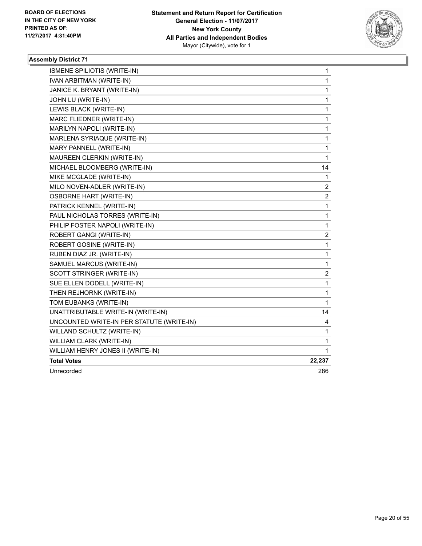

| ISMENE SPILIOTIS (WRITE-IN)               | 1                       |
|-------------------------------------------|-------------------------|
| IVAN ARBITMAN (WRITE-IN)                  | $\mathbf{1}$            |
| JANICE K. BRYANT (WRITE-IN)               | 1                       |
| JOHN LU (WRITE-IN)                        | $\mathbf{1}$            |
| LEWIS BLACK (WRITE-IN)                    | 1                       |
| MARC FLIEDNER (WRITE-IN)                  | 1                       |
| MARILYN NAPOLI (WRITE-IN)                 | $\mathbf{1}$            |
| MARLENA SYRIAQUE (WRITE-IN)               | $\mathbf 1$             |
| MARY PANNELL (WRITE-IN)                   | 1                       |
| MAUREEN CLERKIN (WRITE-IN)                | 1                       |
| MICHAEL BLOOMBERG (WRITE-IN)              | 14                      |
| MIKE MCGLADE (WRITE-IN)                   | 1                       |
| MILO NOVEN-ADLER (WRITE-IN)               | 2                       |
| <b>OSBORNE HART (WRITE-IN)</b>            | $\boldsymbol{2}$        |
| PATRICK KENNEL (WRITE-IN)                 | $\mathbf{1}$            |
| PAUL NICHOLAS TORRES (WRITE-IN)           | 1                       |
| PHILIP FOSTER NAPOLI (WRITE-IN)           | $\mathbf{1}$            |
| ROBERT GANGI (WRITE-IN)                   | $\overline{\mathbf{c}}$ |
| ROBERT GOSINE (WRITE-IN)                  | $\mathbf 1$             |
| RUBEN DIAZ JR. (WRITE-IN)                 | 1                       |
| SAMUEL MARCUS (WRITE-IN)                  | 1                       |
| SCOTT STRINGER (WRITE-IN)                 | 2                       |
| SUE ELLEN DODELL (WRITE-IN)               | $\mathbf{1}$            |
| THEN REJHORNK (WRITE-IN)                  | 1                       |
| TOM EUBANKS (WRITE-IN)                    | $\mathbf{1}$            |
| UNATTRIBUTABLE WRITE-IN (WRITE-IN)        | 14                      |
| UNCOUNTED WRITE-IN PER STATUTE (WRITE-IN) | 4                       |
| WILLAND SCHULTZ (WRITE-IN)                | $\mathbf{1}$            |
| WILLIAM CLARK (WRITE-IN)                  | 1                       |
| WILLIAM HENRY JONES II (WRITE-IN)         | 1                       |
| <b>Total Votes</b>                        | 22,237                  |
| Unrecorded                                | 286                     |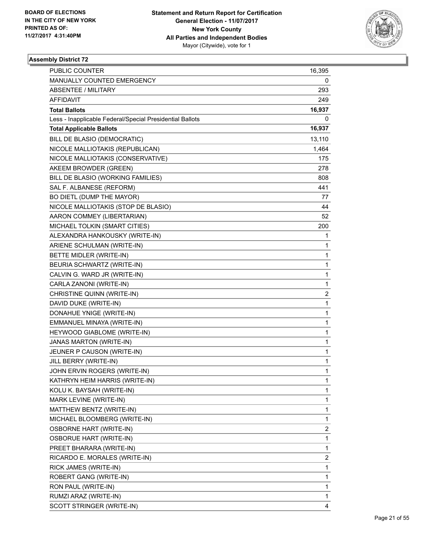

| <b>PUBLIC COUNTER</b>                                    | 16,395 |
|----------------------------------------------------------|--------|
| MANUALLY COUNTED EMERGENCY                               | 0      |
| ABSENTEE / MILITARY                                      | 293    |
| AFFIDAVIT                                                | 249    |
| <b>Total Ballots</b>                                     | 16,937 |
| Less - Inapplicable Federal/Special Presidential Ballots | 0      |
| <b>Total Applicable Ballots</b>                          | 16,937 |
| BILL DE BLASIO (DEMOCRATIC)                              | 13,110 |
| NICOLE MALLIOTAKIS (REPUBLICAN)                          | 1,464  |
| NICOLE MALLIOTAKIS (CONSERVATIVE)                        | 175    |
| AKEEM BROWDER (GREEN)                                    | 278    |
| BILL DE BLASIO (WORKING FAMILIES)                        | 808    |
| SAL F. ALBANESE (REFORM)                                 | 441    |
| BO DIETL (DUMP THE MAYOR)                                | 77     |
| NICOLE MALLIOTAKIS (STOP DE BLASIO)                      | 44     |
| AARON COMMEY (LIBERTARIAN)                               | 52     |
| MICHAEL TOLKIN (SMART CITIES)                            | 200    |
| ALEXANDRA HANKOUSKY (WRITE-IN)                           | 1      |
| ARIENE SCHULMAN (WRITE-IN)                               | 1      |
| BETTE MIDLER (WRITE-IN)                                  | 1      |
| BEURIA SCHWARTZ (WRITE-IN)                               | 1      |
| CALVIN G. WARD JR (WRITE-IN)                             | 1      |
| CARLA ZANONI (WRITE-IN)                                  | 1      |
| CHRISTINE QUINN (WRITE-IN)                               | 2      |
| DAVID DUKE (WRITE-IN)                                    | 1      |
| DONAHUE YNIGE (WRITE-IN)                                 | 1      |
| EMMANUEL MINAYA (WRITE-IN)                               | 1      |
| HEYWOOD GIABLOME (WRITE-IN)                              | 1      |
| <b>JANAS MARTON (WRITE-IN)</b>                           | 1      |
| JEUNER P CAUSON (WRITE-IN)                               | 1      |
| JILL BERRY (WRITE-IN)                                    | 1      |
| JOHN ERVIN ROGERS (WRITE-IN)                             | 1      |
| KATHRYN HEIM HARRIS (WRITE-IN)                           | 1      |
| KOLU K. BAYSAH (WRITE-IN)                                | 1      |
| MARK LEVINE (WRITE-IN)                                   | 1      |
| MATTHEW BENTZ (WRITE-IN)                                 | 1      |
| MICHAEL BLOOMBERG (WRITE-IN)                             | 1      |
| <b>OSBORNE HART (WRITE-IN)</b>                           | 2      |
| <b>OSBORUE HART (WRITE-IN)</b>                           | 1      |
| PREET BHARARA (WRITE-IN)                                 | 1      |
| RICARDO E. MORALES (WRITE-IN)                            | 2      |
| RICK JAMES (WRITE-IN)                                    | 1      |
| ROBERT GANG (WRITE-IN)                                   | 1      |
| RON PAUL (WRITE-IN)                                      | 1      |
| RUMZI ARAZ (WRITE-IN)                                    | 1      |
| SCOTT STRINGER (WRITE-IN)                                | 4      |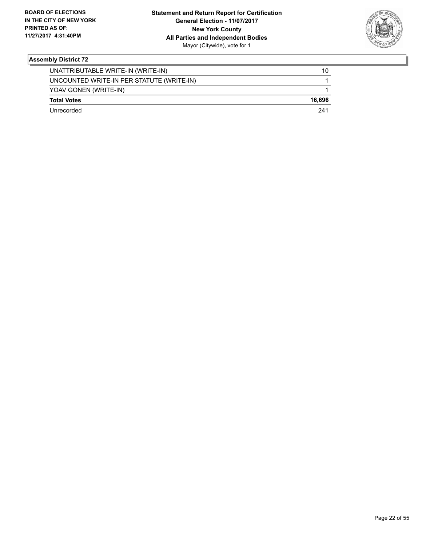

| Unrecorded                                | 241    |
|-------------------------------------------|--------|
| <b>Total Votes</b>                        | 16.696 |
| YOAV GONEN (WRITE-IN)                     |        |
| UNCOUNTED WRITE-IN PER STATUTE (WRITE-IN) |        |
| UNATTRIBUTABLE WRITE-IN (WRITE-IN)        | 10     |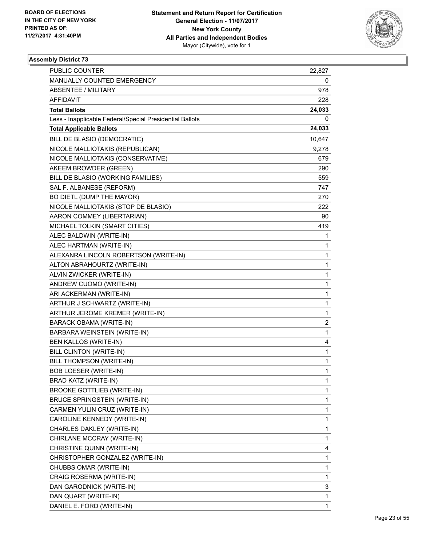

| <b>PUBLIC COUNTER</b>                                    | 22,827 |
|----------------------------------------------------------|--------|
| MANUALLY COUNTED EMERGENCY                               | 0      |
| ABSENTEE / MILITARY                                      | 978    |
| AFFIDAVIT                                                | 228    |
| <b>Total Ballots</b>                                     | 24,033 |
| Less - Inapplicable Federal/Special Presidential Ballots | 0      |
| <b>Total Applicable Ballots</b>                          | 24,033 |
| BILL DE BLASIO (DEMOCRATIC)                              | 10,647 |
| NICOLE MALLIOTAKIS (REPUBLICAN)                          | 9,278  |
| NICOLE MALLIOTAKIS (CONSERVATIVE)                        | 679    |
| AKEEM BROWDER (GREEN)                                    | 290    |
| BILL DE BLASIO (WORKING FAMILIES)                        | 559    |
| SAL F. ALBANESE (REFORM)                                 | 747    |
| BO DIETL (DUMP THE MAYOR)                                | 270    |
| NICOLE MALLIOTAKIS (STOP DE BLASIO)                      | 222    |
| AARON COMMEY (LIBERTARIAN)                               | 90     |
| MICHAEL TOLKIN (SMART CITIES)                            | 419    |
| ALEC BALDWIN (WRITE-IN)                                  | 1      |
| ALEC HARTMAN (WRITE-IN)                                  | 1      |
| ALEXANRA LINCOLN ROBERTSON (WRITE-IN)                    | 1      |
| ALTON ABRAHOURTZ (WRITE-IN)                              | 1      |
| ALVIN ZWICKER (WRITE-IN)                                 | 1      |
| ANDREW CUOMO (WRITE-IN)                                  | 1      |
| ARI ACKERMAN (WRITE-IN)                                  | 1      |
| ARTHUR J SCHWARTZ (WRITE-IN)                             | 1      |
| ARTHUR JEROME KREMER (WRITE-IN)                          | 1      |
| BARACK OBAMA (WRITE-IN)                                  | 2      |
| BARBARA WEINSTEIN (WRITE-IN)                             | 1      |
| BEN KALLOS (WRITE-IN)                                    | 4      |
| BILL CLINTON (WRITE-IN)                                  | 1      |
| BILL THOMPSON (WRITE-IN)                                 | 1      |
| <b>BOB LOESER (WRITE-IN)</b>                             | 1      |
| BRAD KATZ (WRITE-IN)                                     | 1      |
| <b>BROOKE GOTTLIEB (WRITE-IN)</b>                        | 1      |
| <b>BRUCE SPRINGSTEIN (WRITE-IN)</b>                      | 1      |
| CARMEN YULIN CRUZ (WRITE-IN)                             | 1      |
| CAROLINE KENNEDY (WRITE-IN)                              | 1      |
| CHARLES DAKLEY (WRITE-IN)                                | 1      |
| CHIRLANE MCCRAY (WRITE-IN)                               | 1      |
| CHRISTINE QUINN (WRITE-IN)                               | 4      |
| CHRISTOPHER GONZALEZ (WRITE-IN)                          | 1      |
| CHUBBS OMAR (WRITE-IN)                                   | 1      |
| CRAIG ROSERMA (WRITE-IN)                                 | 1      |
| DAN GARODNICK (WRITE-IN)                                 | 3      |
| DAN QUART (WRITE-IN)                                     | 1      |
| DANIEL E. FORD (WRITE-IN)                                | 1      |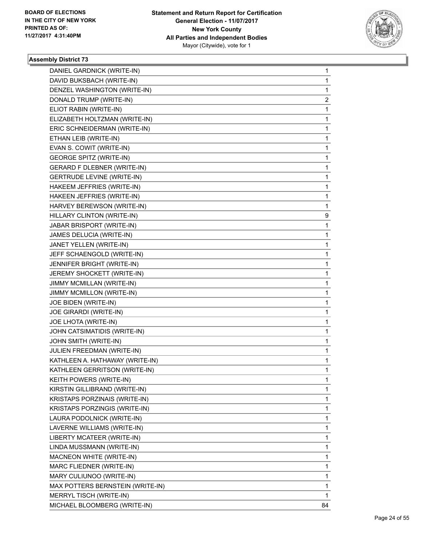

| DANIEL GARDNICK (WRITE-IN)         | 1  |
|------------------------------------|----|
| DAVID BUKSBACH (WRITE-IN)          | 1  |
| DENZEL WASHINGTON (WRITE-IN)       | 1  |
| DONALD TRUMP (WRITE-IN)            | 2  |
| ELIOT RABIN (WRITE-IN)             | 1  |
| ELIZABETH HOLTZMAN (WRITE-IN)      | 1  |
| ERIC SCHNEIDERMAN (WRITE-IN)       | 1  |
| ETHAN LEIB (WRITE-IN)              | 1  |
| EVAN S. COWIT (WRITE-IN)           | 1  |
| <b>GEORGE SPITZ (WRITE-IN)</b>     | 1  |
| <b>GERARD F DLEBNER (WRITE-IN)</b> | 1  |
| GERTRUDE LEVINE (WRITE-IN)         | 1  |
| HAKEEM JEFFRIES (WRITE-IN)         | 1  |
| HAKEEN JEFFRIES (WRITE-IN)         | 1  |
| HARVEY BEREWSON (WRITE-IN)         | 1  |
| HILLARY CLINTON (WRITE-IN)         | 9  |
| JABAR BRISPORT (WRITE-IN)          | 1  |
| JAMES DELUCIA (WRITE-IN)           | 1  |
| JANET YELLEN (WRITE-IN)            | 1  |
| JEFF SCHAENGOLD (WRITE-IN)         | 1  |
| JENNIFER BRIGHT (WRITE-IN)         | 1  |
| JEREMY SHOCKETT (WRITE-IN)         | 1  |
| JIMMY MCMILLAN (WRITE-IN)          | 1  |
| JIMMY MCMILLON (WRITE-IN)          | 1  |
| JOE BIDEN (WRITE-IN)               | 1  |
| JOE GIRARDI (WRITE-IN)             | 1  |
| JOE LHOTA (WRITE-IN)               | 1  |
| JOHN CATSIMATIDIS (WRITE-IN)       | 1  |
| JOHN SMITH (WRITE-IN)              | 1  |
| JULIEN FREEDMAN (WRITE-IN)         | 1  |
| KATHLEEN A. HATHAWAY (WRITE-IN)    | 1  |
| KATHLEEN GERRITSON (WRITE-IN)      | 1  |
| KEITH POWERS (WRITE-IN)            | 1  |
| KIRSTIN GILLIBRAND (WRITE-IN)      | 1  |
| KRISTAPS PORZINAIS (WRITE-IN)      | 1  |
| KRISTAPS PORZINGIS (WRITE-IN)      | 1  |
| LAURA PODOLNICK (WRITE-IN)         | 1  |
| LAVERNE WILLIAMS (WRITE-IN)        | 1  |
| LIBERTY MCATEER (WRITE-IN)         | 1  |
| LINDA MUSSMANN (WRITE-IN)          | 1  |
| MACNEON WHITE (WRITE-IN)           | 1  |
| MARC FLIEDNER (WRITE-IN)           | 1  |
| MARY CULIUNOO (WRITE-IN)           | 1  |
| MAX POTTERS BERNSTEIN (WRITE-IN)   | 1  |
| MERRYL TISCH (WRITE-IN)            | 1  |
| MICHAEL BLOOMBERG (WRITE-IN)       | 84 |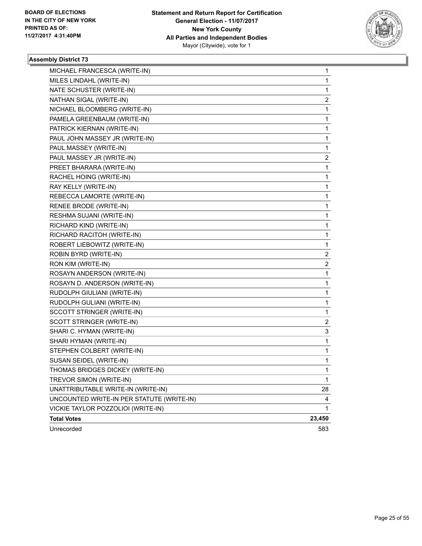

| MICHAEL FRANCESCA (WRITE-IN)              | 1                       |
|-------------------------------------------|-------------------------|
| MILES LINDAHL (WRITE-IN)                  | 1                       |
| NATE SCHUSTER (WRITE-IN)                  | 1                       |
| NATHAN SIGAL (WRITE-IN)                   | $\overline{\mathbf{c}}$ |
| NICHAEL BLOOMBERG (WRITE-IN)              | 1                       |
| PAMELA GREENBAUM (WRITE-IN)               | 1                       |
| PATRICK KIERNAN (WRITE-IN)                | 1                       |
| PAUL JOHN MASSEY JR (WRITE-IN)            | 1                       |
| PAUL MASSEY (WRITE-IN)                    | 1                       |
| PAUL MASSEY JR (WRITE-IN)                 | 2                       |
| PREET BHARARA (WRITE-IN)                  | 1                       |
| RACHEL HOING (WRITE-IN)                   | 1                       |
| RAY KELLY (WRITE-IN)                      | 1                       |
| REBECCA LAMORTE (WRITE-IN)                | 1                       |
| RENEE BRODE (WRITE-IN)                    | 1                       |
| RESHMA SUJANI (WRITE-IN)                  | 1                       |
| RICHARD KIND (WRITE-IN)                   | 1                       |
| RICHARD RACITOH (WRITE-IN)                | 1                       |
| ROBERT LIEBOWITZ (WRITE-IN)               | 1                       |
| ROBIN BYRD (WRITE-IN)                     | 2                       |
| RON KIM (WRITE-IN)                        | 2                       |
| ROSAYN ANDERSON (WRITE-IN)                | 1                       |
| ROSAYN D. ANDERSON (WRITE-IN)             | 1                       |
| RUDOLPH GIULIANI (WRITE-IN)               | 1                       |
| RUDOLPH GULIANI (WRITE-IN)                | 1                       |
| SCCOTT STRINGER (WRITE-IN)                | 1                       |
| SCOTT STRINGER (WRITE-IN)                 | 2                       |
| SHARI C. HYMAN (WRITE-IN)                 | 3                       |
| SHARI HYMAN (WRITE-IN)                    | 1                       |
| STEPHEN COLBERT (WRITE-IN)                | 1                       |
| SUSAN SEIDEL (WRITE-IN)                   | 1                       |
| THOMAS BRIDGES DICKEY (WRITE-IN)          | 1                       |
| TREVOR SIMON (WRITE-IN)                   | 1                       |
| UNATTRIBUTABLE WRITE-IN (WRITE-IN)        | 28                      |
| UNCOUNTED WRITE-IN PER STATUTE (WRITE-IN) | 4                       |
| VICKIE TAYLOR POZZOLIOI (WRITE-IN)        | $\mathbf{1}$            |
| <b>Total Votes</b>                        | 23,450                  |
| Unrecorded                                | 583                     |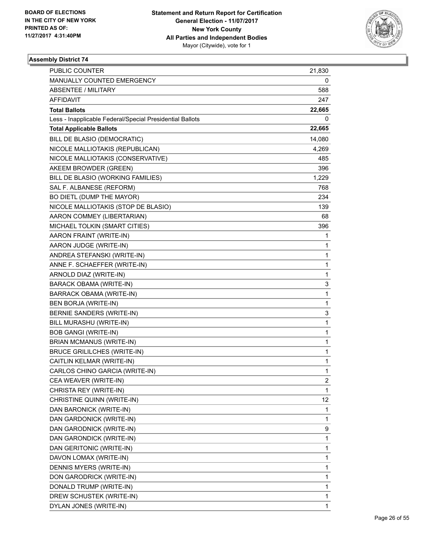

| <b>PUBLIC COUNTER</b>                                    | 21,830       |
|----------------------------------------------------------|--------------|
| MANUALLY COUNTED EMERGENCY                               | 0            |
| ABSENTEE / MILITARY                                      | 588          |
| AFFIDAVIT                                                | 247          |
| <b>Total Ballots</b>                                     | 22,665       |
| Less - Inapplicable Federal/Special Presidential Ballots | 0            |
| <b>Total Applicable Ballots</b>                          | 22,665       |
| BILL DE BLASIO (DEMOCRATIC)                              | 14,080       |
| NICOLE MALLIOTAKIS (REPUBLICAN)                          | 4,269        |
| NICOLE MALLIOTAKIS (CONSERVATIVE)                        | 485          |
| AKEEM BROWDER (GREEN)                                    | 396          |
| BILL DE BLASIO (WORKING FAMILIES)                        | 1,229        |
| SAL F. ALBANESE (REFORM)                                 | 768          |
| BO DIETL (DUMP THE MAYOR)                                | 234          |
| NICOLE MALLIOTAKIS (STOP DE BLASIO)                      | 139          |
| AARON COMMEY (LIBERTARIAN)                               | 68           |
| MICHAEL TOLKIN (SMART CITIES)                            | 396          |
| AARON FRAINT (WRITE-IN)                                  | 1            |
| AARON JUDGE (WRITE-IN)                                   | 1            |
| ANDREA STEFANSKI (WRITE-IN)                              | 1            |
| ANNE F. SCHAEFFER (WRITE-IN)                             | 1            |
| ARNOLD DIAZ (WRITE-IN)                                   | 1            |
| BARACK OBAMA (WRITE-IN)                                  | 3            |
| BARRACK OBAMA (WRITE-IN)                                 | $\mathbf 1$  |
| BEN BORJA (WRITE-IN)                                     | 1            |
| BERNIE SANDERS (WRITE-IN)                                | 3            |
| BILL MURASHU (WRITE-IN)                                  | $\mathbf{1}$ |
| <b>BOB GANGI (WRITE-IN)</b>                              | 1            |
| <b>BRIAN MCMANUS (WRITE-IN)</b>                          | 1            |
| <b>BRUCE GRILILCHES (WRITE-IN)</b>                       | 1            |
| CAITLIN KELMAR (WRITE-IN)                                | 1            |
| CARLOS CHINO GARCIA (WRITE-IN)                           | 1            |
| CEA WEAVER (WRITE-IN)                                    | 2            |
| CHRISTA REY (WRITE-IN)                                   | 1            |
| CHRISTINE QUINN (WRITE-IN)                               | 12           |
| DAN BARONICK (WRITE-IN)                                  | 1            |
| DAN GARDONICK (WRITE-IN)                                 | 1            |
| DAN GARODNICK (WRITE-IN)                                 | 9            |
| DAN GARONDICK (WRITE-IN)                                 | 1            |
| DAN GERITONIC (WRITE-IN)                                 | 1            |
| DAVON LOMAX (WRITE-IN)                                   | 1            |
| DENNIS MYERS (WRITE-IN)                                  | 1            |
| DON GARODRICK (WRITE-IN)                                 | 1            |
| DONALD TRUMP (WRITE-IN)                                  | 1            |
| DREW SCHUSTEK (WRITE-IN)                                 | 1            |
| DYLAN JONES (WRITE-IN)                                   | 1            |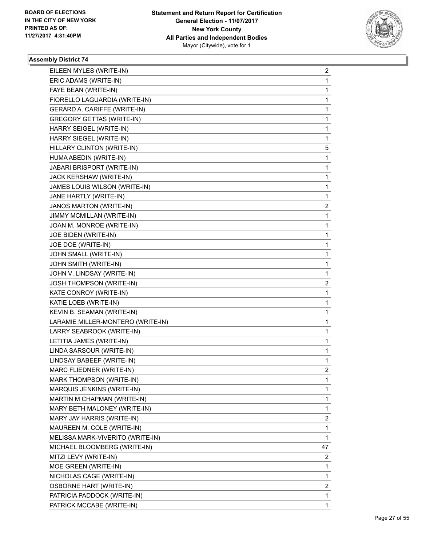

| EILEEN MYLES (WRITE-IN)           | 2              |
|-----------------------------------|----------------|
| ERIC ADAMS (WRITE-IN)             | 1              |
| FAYE BEAN (WRITE-IN)              | 1              |
| FIORELLO LAGUARDIA (WRITE-IN)     | 1              |
| GERARD A. CARIFFE (WRITE-IN)      | 1              |
| <b>GREGORY GETTAS (WRITE-IN)</b>  | 1              |
| HARRY SEIGEL (WRITE-IN)           | 1              |
| HARRY SIEGEL (WRITE-IN)           | 1              |
| HILLARY CLINTON (WRITE-IN)        | 5              |
| HUMA ABEDIN (WRITE-IN)            | 1              |
| JABARI BRISPORT (WRITE-IN)        | 1              |
| JACK KERSHAW (WRITE-IN)           | 1              |
| JAMES LOUIS WILSON (WRITE-IN)     | 1              |
| JANE HARTLY (WRITE-IN)            | 1              |
| JANOS MARTON (WRITE-IN)           | 2              |
| JIMMY MCMILLAN (WRITE-IN)         | 1              |
| JOAN M. MONROE (WRITE-IN)         | 1              |
| JOE BIDEN (WRITE-IN)              | 1              |
| JOE DOE (WRITE-IN)                | 1              |
| JOHN SMALL (WRITE-IN)             | 1              |
| JOHN SMITH (WRITE-IN)             | 1              |
| JOHN V. LINDSAY (WRITE-IN)        | 1              |
| <b>JOSH THOMPSON (WRITE-IN)</b>   | 2              |
| KATE CONROY (WRITE-IN)            | 1              |
| KATIE LOEB (WRITE-IN)             | 1              |
| KEVIN B. SEAMAN (WRITE-IN)        | 1              |
| LARAMIE MILLER-MONTERO (WRITE-IN) | 1              |
| LARRY SEABROOK (WRITE-IN)         | 1              |
| LETITIA JAMES (WRITE-IN)          | 1              |
| LINDA SARSOUR (WRITE-IN)          | 1              |
| LINDSAY BABEEF (WRITE-IN)         | 1              |
| MARC FLIEDNER (WRITE-IN)          | $\overline{c}$ |
| MARK THOMPSON (WRITE-IN)          | 1              |
| MARQUIS JENKINS (WRITE-IN)        | 1              |
| MARTIN M CHAPMAN (WRITE-IN)       | 1              |
| MARY BETH MALONEY (WRITE-IN)      | 1              |
| MARY JAY HARRIS (WRITE-IN)        | 2              |
| MAUREEN M. COLE (WRITE-IN)        | 1              |
| MELISSA MARK-VIVERITO (WRITE-IN)  | 1              |
| MICHAEL BLOOMBERG (WRITE-IN)      | 47             |
| MITZI LEVY (WRITE-IN)             | 2              |
| MOE GREEN (WRITE-IN)              | 1              |
| NICHOLAS CAGE (WRITE-IN)          | 1              |
| <b>OSBORNE HART (WRITE-IN)</b>    | 2              |
| PATRICIA PADDOCK (WRITE-IN)       | 1              |
| PATRICK MCCABE (WRITE-IN)         | 1              |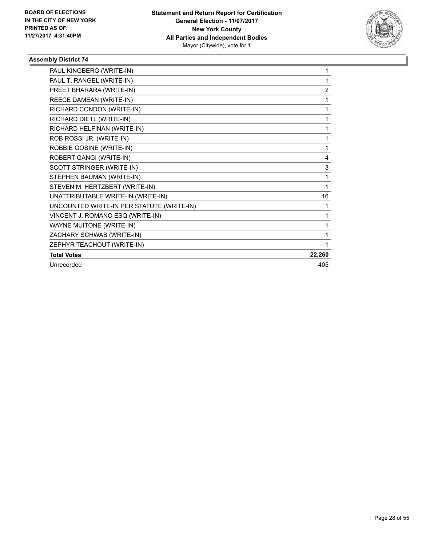

| PAUL KINGBERG (WRITE-IN)                  | 1              |
|-------------------------------------------|----------------|
| PAUL T. RANGEL (WRITE-IN)                 | 1              |
| PREET BHARARA (WRITE-IN)                  | $\overline{2}$ |
| REECE DAMEAN (WRITE-IN)                   | 1              |
| RICHARD CONDON (WRITE-IN)                 | 1              |
| RICHARD DIETL (WRITE-IN)                  | 1              |
| RICHARD HELFINAN (WRITE-IN)               | 1              |
| ROB ROSSI JR. (WRITE-IN)                  | 1              |
| ROBBIE GOSINE (WRITE-IN)                  | 1              |
| ROBERT GANGI (WRITE-IN)                   | 4              |
| <b>SCOTT STRINGER (WRITE-IN)</b>          | 3              |
| STEPHEN BAUMAN (WRITE-IN)                 | 1              |
| STEVEN M. HERTZBERT (WRITE-IN)            | 1              |
| UNATTRIBUTABLE WRITE-IN (WRITE-IN)        | 16             |
| UNCOUNTED WRITE-IN PER STATUTE (WRITE-IN) | 1              |
| VINCENT J. ROMANO ESQ (WRITE-IN)          | 1              |
| <b>WAYNE MUITONE (WRITE-IN)</b>           | 1              |
| ZACHARY SCHWAB (WRITE-IN)                 | 1              |
| ZEPHYR TEACHOUT (WRITE-IN)                | 1              |
| <b>Total Votes</b>                        | 22,260         |
| Unrecorded                                | 405            |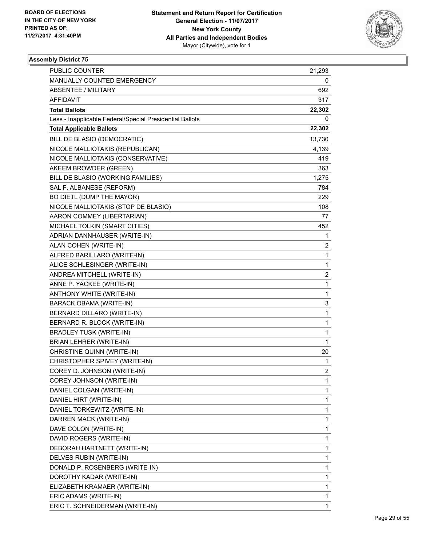

| PUBLIC COUNTER                                           | 21,293                  |
|----------------------------------------------------------|-------------------------|
| MANUALLY COUNTED EMERGENCY                               | 0                       |
| <b>ABSENTEE / MILITARY</b>                               | 692                     |
| AFFIDAVIT                                                | 317                     |
| <b>Total Ballots</b>                                     | 22,302                  |
| Less - Inapplicable Federal/Special Presidential Ballots | 0                       |
| <b>Total Applicable Ballots</b>                          | 22,302                  |
| BILL DE BLASIO (DEMOCRATIC)                              | 13,730                  |
| NICOLE MALLIOTAKIS (REPUBLICAN)                          | 4,139                   |
| NICOLE MALLIOTAKIS (CONSERVATIVE)                        | 419                     |
| AKEEM BROWDER (GREEN)                                    | 363                     |
| BILL DE BLASIO (WORKING FAMILIES)                        | 1,275                   |
| SAL F. ALBANESE (REFORM)                                 | 784                     |
| BO DIETL (DUMP THE MAYOR)                                | 229                     |
| NICOLE MALLIOTAKIS (STOP DE BLASIO)                      | 108                     |
| AARON COMMEY (LIBERTARIAN)                               | 77                      |
| MICHAEL TOLKIN (SMART CITIES)                            | 452                     |
| ADRIAN DANNHAUSER (WRITE-IN)                             | 1                       |
| ALAN COHEN (WRITE-IN)                                    | 2                       |
| ALFRED BARILLARO (WRITE-IN)                              | 1                       |
| ALICE SCHLESINGER (WRITE-IN)                             | 1                       |
| ANDREA MITCHELL (WRITE-IN)                               | $\overline{\mathbf{c}}$ |
| ANNE P. YACKEE (WRITE-IN)                                | 1                       |
| ANTHONY WHITE (WRITE-IN)                                 | 1                       |
| <b>BARACK OBAMA (WRITE-IN)</b>                           | 3                       |
| BERNARD DILLARO (WRITE-IN)                               | 1                       |
| BERNARD R. BLOCK (WRITE-IN)                              | 1                       |
| <b>BRADLEY TUSK (WRITE-IN)</b>                           | 1                       |
| BRIAN LEHRER (WRITE-IN)                                  | 1                       |
| CHRISTINE QUINN (WRITE-IN)                               | 20                      |
| CHRISTOPHER SPIVEY (WRITE-IN)                            | 1                       |
| COREY D. JOHNSON (WRITE-IN)                              | $\overline{2}$          |
| COREY JOHNSON (WRITE-IN)                                 | 1                       |
| DANIEL COLGAN (WRITE-IN)                                 | 1                       |
| DANIEL HIRT (WRITE-IN)                                   | 1                       |
| DANIEL TORKEWITZ (WRITE-IN)                              | 1                       |
| DARREN MACK (WRITE-IN)                                   | 1                       |
| DAVE COLON (WRITE-IN)                                    | 1                       |
| DAVID ROGERS (WRITE-IN)                                  | 1                       |
| DEBORAH HARTNETT (WRITE-IN)                              | 1                       |
| DELVES RUBIN (WRITE-IN)                                  | 1                       |
| DONALD P. ROSENBERG (WRITE-IN)                           | 1                       |
| DOROTHY KADAR (WRITE-IN)                                 | 1                       |
| ELIZABETH KRAMAER (WRITE-IN)                             | 1                       |
| ERIC ADAMS (WRITE-IN)                                    | 1                       |
| ERIC T. SCHNEIDERMAN (WRITE-IN)                          | 1                       |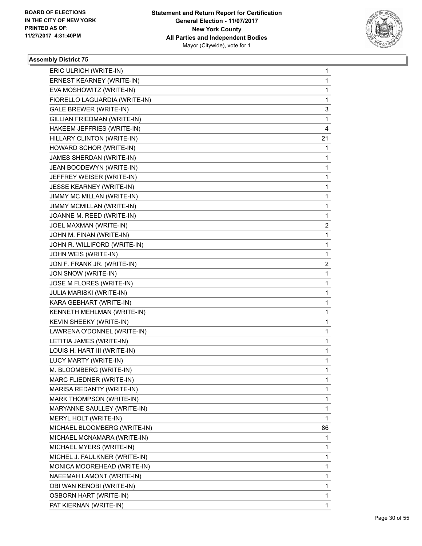

| ERIC ULRICH (WRITE-IN)          | 1           |
|---------------------------------|-------------|
| ERNEST KEARNEY (WRITE-IN)       | $\mathbf 1$ |
| EVA MOSHOWITZ (WRITE-IN)        | 1           |
| FIORELLO LAGUARDIA (WRITE-IN)   | 1           |
| GALE BREWER (WRITE-IN)          | 3           |
| GILLIAN FRIEDMAN (WRITE-IN)     | 1           |
| HAKEEM JEFFRIES (WRITE-IN)      | 4           |
| HILLARY CLINTON (WRITE-IN)      | 21          |
| HOWARD SCHOR (WRITE-IN)         | 1           |
| JAMES SHERDAN (WRITE-IN)        | 1           |
| JEAN BOODEWYN (WRITE-IN)        | 1           |
| JEFFREY WEISER (WRITE-IN)       | 1           |
| JESSE KEARNEY (WRITE-IN)        | 1           |
| JIMMY MC MILLAN (WRITE-IN)      | 1           |
| JIMMY MCMILLAN (WRITE-IN)       | 1           |
| JOANNE M. REED (WRITE-IN)       | 1           |
| JOEL MAXMAN (WRITE-IN)          | 2           |
| JOHN M. FINAN (WRITE-IN)        | 1           |
| JOHN R. WILLIFORD (WRITE-IN)    | 1           |
| JOHN WEIS (WRITE-IN)            | 1           |
| JON F. FRANK JR. (WRITE-IN)     | 2           |
| JON SNOW (WRITE-IN)             | 1           |
| JOSE M FLORES (WRITE-IN)        | 1           |
| <b>JULIA MARISKI (WRITE-IN)</b> | 1           |
| KARA GEBHART (WRITE-IN)         | 1           |
| KENNETH MEHLMAN (WRITE-IN)      | 1           |
| KEVIN SHEEKY (WRITE-IN)         | 1           |
| LAWRENA O'DONNEL (WRITE-IN)     | 1           |
| LETITIA JAMES (WRITE-IN)        | 1           |
| LOUIS H. HART III (WRITE-IN)    | 1           |
| LUCY MARTY (WRITE-IN)           | 1           |
| M. BLOOMBERG (WRITE-IN)         | $\mathbf 1$ |
| MARC FLIEDNER (WRITE-IN)        | 1           |
| MARISA REDANTY (WRITE-IN)       | 1           |
| MARK THOMPSON (WRITE-IN)        | 1           |
| MARYANNE SAULLEY (WRITE-IN)     | 1           |
| MERYL HOLT (WRITE-IN)           | 1           |
| MICHAEL BLOOMBERG (WRITE-IN)    | 86          |
| MICHAEL MCNAMARA (WRITE-IN)     | 1           |
| MICHAEL MYERS (WRITE-IN)        | 1           |
| MICHEL J. FAULKNER (WRITE-IN)   | 1           |
| MONICA MOOREHEAD (WRITE-IN)     | 1           |
| NAEEMAH LAMONT (WRITE-IN)       | 1           |
| OBI WAN KENOBI (WRITE-IN)       | 1           |
| OSBORN HART (WRITE-IN)          | 1           |
| PAT KIERNAN (WRITE-IN)          | 1           |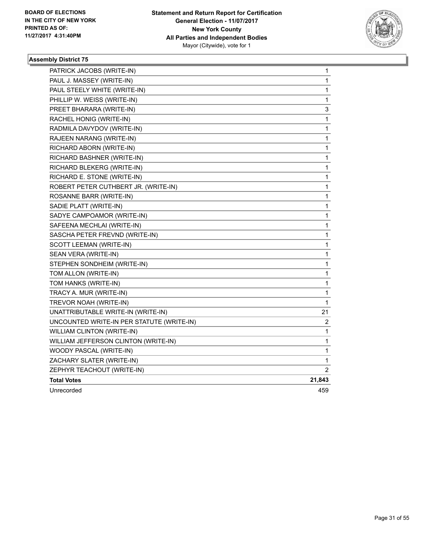

| PATRICK JACOBS (WRITE-IN)                 | 1      |
|-------------------------------------------|--------|
| PAUL J. MASSEY (WRITE-IN)                 | 1      |
| PAUL STEELY WHITE (WRITE-IN)              | 1      |
| PHILLIP W. WEISS (WRITE-IN)               | 1      |
| PREET BHARARA (WRITE-IN)                  | 3      |
| RACHEL HONIG (WRITE-IN)                   | 1      |
| RADMILA DAVYDOV (WRITE-IN)                | 1      |
| RAJEEN NARANG (WRITE-IN)                  | 1      |
| RICHARD ABORN (WRITE-IN)                  | 1      |
| RICHARD BASHNER (WRITE-IN)                | 1      |
| RICHARD BLEKERG (WRITE-IN)                | 1      |
| RICHARD E. STONE (WRITE-IN)               | 1      |
| ROBERT PETER CUTHBERT JR. (WRITE-IN)      | 1      |
| ROSANNE BARR (WRITE-IN)                   | 1      |
| SADIE PLATT (WRITE-IN)                    | 1      |
| SADYE CAMPOAMOR (WRITE-IN)                | 1      |
| SAFEENA MECHLAI (WRITE-IN)                | 1      |
| SASCHA PETER FREVND (WRITE-IN)            | 1      |
| SCOTT LEEMAN (WRITE-IN)                   | 1      |
| SEAN VERA (WRITE-IN)                      | 1      |
| STEPHEN SONDHEIM (WRITE-IN)               | 1      |
| TOM ALLON (WRITE-IN)                      | 1      |
| TOM HANKS (WRITE-IN)                      | 1      |
| TRACY A. MUR (WRITE-IN)                   | 1      |
| TREVOR NOAH (WRITE-IN)                    | 1      |
| UNATTRIBUTABLE WRITE-IN (WRITE-IN)        | 21     |
| UNCOUNTED WRITE-IN PER STATUTE (WRITE-IN) | 2      |
| WILLIAM CLINTON (WRITE-IN)                | 1      |
| WILLIAM JEFFERSON CLINTON (WRITE-IN)      | 1      |
| WOODY PASCAL (WRITE-IN)                   | 1      |
| ZACHARY SLATER (WRITE-IN)                 | 1      |
| ZEPHYR TEACHOUT (WRITE-IN)                | 2      |
| <b>Total Votes</b>                        | 21,843 |
| Unrecorded                                | 459    |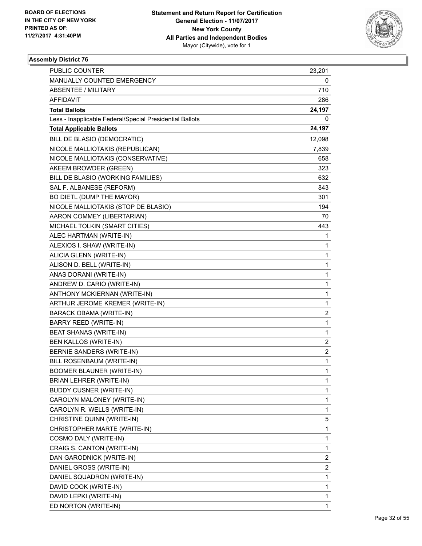

| <b>PUBLIC COUNTER</b>                                    | 23,201 |
|----------------------------------------------------------|--------|
| MANUALLY COUNTED EMERGENCY                               | 0      |
| ABSENTEE / MILITARY                                      | 710    |
| AFFIDAVIT                                                | 286    |
| <b>Total Ballots</b>                                     | 24,197 |
| Less - Inapplicable Federal/Special Presidential Ballots | 0      |
| <b>Total Applicable Ballots</b>                          | 24,197 |
| BILL DE BLASIO (DEMOCRATIC)                              | 12,098 |
| NICOLE MALLIOTAKIS (REPUBLICAN)                          | 7,839  |
| NICOLE MALLIOTAKIS (CONSERVATIVE)                        | 658    |
| AKEEM BROWDER (GREEN)                                    | 323    |
| BILL DE BLASIO (WORKING FAMILIES)                        | 632    |
| SAL F. ALBANESE (REFORM)                                 | 843    |
| BO DIETL (DUMP THE MAYOR)                                | 301    |
| NICOLE MALLIOTAKIS (STOP DE BLASIO)                      | 194    |
| AARON COMMEY (LIBERTARIAN)                               | 70     |
| MICHAEL TOLKIN (SMART CITIES)                            | 443    |
| ALEC HARTMAN (WRITE-IN)                                  | 1      |
| ALEXIOS I. SHAW (WRITE-IN)                               | 1      |
| ALICIA GLENN (WRITE-IN)                                  | 1      |
| ALISON D. BELL (WRITE-IN)                                | 1      |
| ANAS DORANI (WRITE-IN)                                   | 1      |
| ANDREW D. CARIO (WRITE-IN)                               | 1      |
| ANTHONY MCKIERNAN (WRITE-IN)                             | 1      |
| ARTHUR JEROME KREMER (WRITE-IN)                          | 1      |
| BARACK OBAMA (WRITE-IN)                                  | 2      |
| <b>BARRY REED (WRITE-IN)</b>                             | 1      |
| BEAT SHANAS (WRITE-IN)                                   | 1      |
| BEN KALLOS (WRITE-IN)                                    | 2      |
| BERNIE SANDERS (WRITE-IN)                                | 2      |
| BILL ROSENBAUM (WRITE-IN)                                | 1      |
| <b>BOOMER BLAUNER (WRITE-IN)</b>                         | 1      |
| BRIAN LEHRER (WRITE-IN)                                  | 1      |
| <b>BUDDY CUSNER (WRITE-IN)</b>                           | 1      |
| CAROLYN MALONEY (WRITE-IN)                               | 1      |
| CAROLYN R. WELLS (WRITE-IN)                              | 1      |
| CHRISTINE QUINN (WRITE-IN)                               | 5      |
| CHRISTOPHER MARTE (WRITE-IN)                             | 1      |
| COSMO DALY (WRITE-IN)                                    | 1      |
| CRAIG S. CANTON (WRITE-IN)                               | 1      |
| DAN GARODNICK (WRITE-IN)                                 | 2      |
| DANIEL GROSS (WRITE-IN)                                  | 2      |
| DANIEL SQUADRON (WRITE-IN)                               | 1      |
| DAVID COOK (WRITE-IN)                                    | 1      |
| DAVID LEPKI (WRITE-IN)                                   | 1      |
| ED NORTON (WRITE-IN)                                     | 1      |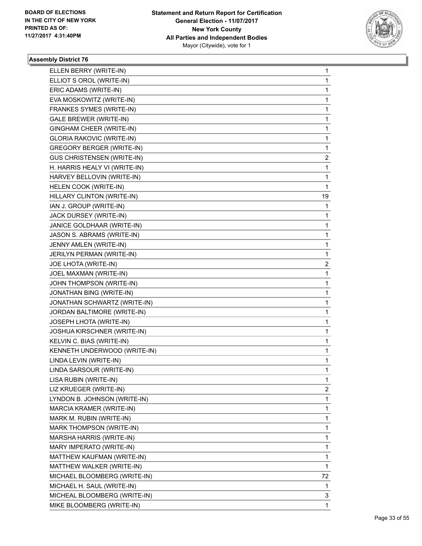

| ELLEN BERRY (WRITE-IN)            | 1  |
|-----------------------------------|----|
| ELLIOT S OROL (WRITE-IN)          | 1  |
| ERIC ADAMS (WRITE-IN)             | 1  |
| EVA MOSKOWITZ (WRITE-IN)          | 1  |
| FRANKES SYMES (WRITE-IN)          | 1  |
| <b>GALE BREWER (WRITE-IN)</b>     | 1  |
| GINGHAM CHEER (WRITE-IN)          | 1  |
| <b>GLORIA RAKOVIC (WRITE-IN)</b>  | 1  |
| <b>GREGORY BERGER (WRITE-IN)</b>  | 1  |
| <b>GUS CHRISTENSEN (WRITE-IN)</b> | 2  |
| H. HARRIS HEALY VI (WRITE-IN)     | 1  |
| HARVEY BELLOVIN (WRITE-IN)        | 1  |
| HELEN COOK (WRITE-IN)             | 1  |
| HILLARY CLINTON (WRITE-IN)        | 19 |
| IAN J. GROUP (WRITE-IN)           | 1  |
| JACK DURSEY (WRITE-IN)            | 1  |
| JANICE GOLDHAAR (WRITE-IN)        | 1  |
| JASON S. ABRAMS (WRITE-IN)        | 1  |
| JENNY AMLEN (WRITE-IN)            | 1  |
| JERILYN PERMAN (WRITE-IN)         | 1  |
| JOE LHOTA (WRITE-IN)              | 2  |
| JOEL MAXMAN (WRITE-IN)            | 1  |
| JOHN THOMPSON (WRITE-IN)          | 1  |
| JONATHAN BING (WRITE-IN)          | 1  |
| JONATHAN SCHWARTZ (WRITE-IN)      | 1  |
| JORDAN BALTIMORE (WRITE-IN)       | 1  |
| JOSEPH LHOTA (WRITE-IN)           | 1  |
| JOSHUA KIRSCHNER (WRITE-IN)       | 1  |
| KELVIN C. BIAS (WRITE-IN)         | 1  |
| KENNETH UNDERWOOD (WRITE-IN)      | 1  |
| LINDA LEVIN (WRITE-IN)            | 1  |
| LINDA SARSOUR (WRITE-IN)          | 1  |
| LISA RUBIN (WRITE-IN)             | 1  |
| LIZ KRUEGER (WRITE-IN)            | 2  |
| LYNDON B. JOHNSON (WRITE-IN)      | 1  |
| MARCIA KRAMER (WRITE-IN)          | 1  |
| MARK M. RUBIN (WRITE-IN)          | 1  |
| MARK THOMPSON (WRITE-IN)          | 1  |
| MARSHA HARRIS (WRITE-IN)          | 1  |
| MARY IMPERATO (WRITE-IN)          | 1  |
| MATTHEW KAUFMAN (WRITE-IN)        | 1  |
| MATTHEW WALKER (WRITE-IN)         | 1  |
| MICHAEL BLOOMBERG (WRITE-IN)      | 72 |
| MICHAEL H. SAUL (WRITE-IN)        | 1  |
| MICHEAL BLOOMBERG (WRITE-IN)      | 3  |
| MIKE BLOOMBERG (WRITE-IN)         | 1  |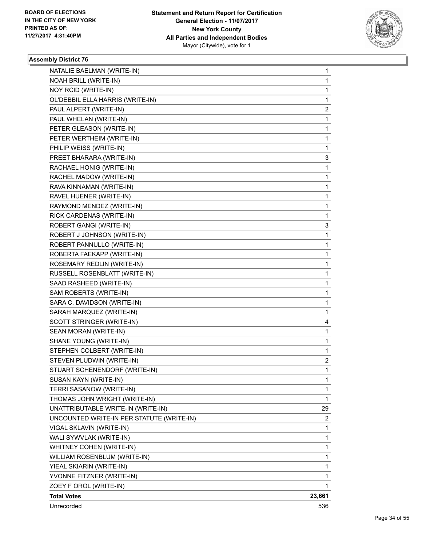

| NATALIE BAELMAN (WRITE-IN)                | 1              |
|-------------------------------------------|----------------|
| NOAH BRILL (WRITE-IN)                     | 1              |
| NOY RCID (WRITE-IN)                       | 1              |
| OL'DEBBIL ELLA HARRIS (WRITE-IN)          | 1              |
| PAUL ALPERT (WRITE-IN)                    | 2              |
| PAUL WHELAN (WRITE-IN)                    | 1              |
| PETER GLEASON (WRITE-IN)                  | 1              |
| PETER WERTHEIM (WRITE-IN)                 | 1              |
| PHILIP WEISS (WRITE-IN)                   | 1              |
| PREET BHARARA (WRITE-IN)                  | 3              |
| RACHAEL HONIG (WRITE-IN)                  | 1              |
| RACHEL MADOW (WRITE-IN)                   | 1              |
| RAVA KINNAMAN (WRITE-IN)                  | 1              |
| RAVEL HUENER (WRITE-IN)                   | 1              |
| RAYMOND MENDEZ (WRITE-IN)                 | 1              |
| RICK CARDENAS (WRITE-IN)                  | 1              |
| ROBERT GANGI (WRITE-IN)                   | 3              |
| ROBERT J JOHNSON (WRITE-IN)               | 1              |
| ROBERT PANNULLO (WRITE-IN)                | 1              |
| ROBERTA FAEKAPP (WRITE-IN)                | 1              |
| ROSEMARY REDLIN (WRITE-IN)                | 1              |
| RUSSELL ROSENBLATT (WRITE-IN)             | 1              |
| SAAD RASHEED (WRITE-IN)                   | 1              |
| SAM ROBERTS (WRITE-IN)                    | 1              |
| SARA C. DAVIDSON (WRITE-IN)               | 1              |
| SARAH MARQUEZ (WRITE-IN)                  | 1              |
| SCOTT STRINGER (WRITE-IN)                 | 4              |
| SEAN MORAN (WRITE-IN)                     | 1              |
| SHANE YOUNG (WRITE-IN)                    | 1              |
| STEPHEN COLBERT (WRITE-IN)                | 1              |
| STEVEN PLUDWIN (WRITE-IN)                 | 2              |
| STUART SCHENENDORF (WRITE-IN)             | $\mathbf{1}$   |
| SUSAN KAYN (WRITE-IN)                     | 1              |
| TERRI SASANOW (WRITE-IN)                  | 1              |
| THOMAS JOHN WRIGHT (WRITE-IN)             | 1              |
| UNATTRIBUTABLE WRITE-IN (WRITE-IN)        | 29             |
| UNCOUNTED WRITE-IN PER STATUTE (WRITE-IN) | $\overline{2}$ |
| VIGAL SKLAVIN (WRITE-IN)                  | 1              |
| WALI SYWVLAK (WRITE-IN)                   | 1              |
| WHITNEY COHEN (WRITE-IN)                  | 1              |
| WILLIAM ROSENBLUM (WRITE-IN)              | 1              |
| YIEAL SKIARIN (WRITE-IN)                  | 1              |
| YVONNE FITZNER (WRITE-IN)                 | 1              |
| ZOEY F OROL (WRITE-IN)                    | 1              |
| <b>Total Votes</b>                        | 23,661         |
| Unrecorded                                | 536            |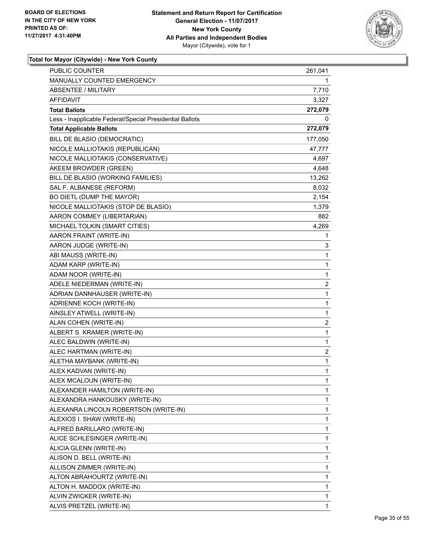

| <b>PUBLIC COUNTER</b>                                    | 261,041                 |
|----------------------------------------------------------|-------------------------|
| <b>MANUALLY COUNTED EMERGENCY</b>                        | 1                       |
| <b>ABSENTEE / MILITARY</b>                               | 7,710                   |
| AFFIDAVIT                                                | 3,327                   |
| <b>Total Ballots</b>                                     | 272,079                 |
| Less - Inapplicable Federal/Special Presidential Ballots | 0                       |
| <b>Total Applicable Ballots</b>                          | 272,079                 |
| BILL DE BLASIO (DEMOCRATIC)                              | 177,050                 |
| NICOLE MALLIOTAKIS (REPUBLICAN)                          | 47,777                  |
| NICOLE MALLIOTAKIS (CONSERVATIVE)                        | 4,697                   |
| AKEEM BROWDER (GREEN)                                    | 4,648                   |
| BILL DE BLASIO (WORKING FAMILIES)                        | 13,262                  |
| SAL F. ALBANESE (REFORM)                                 | 8,032                   |
| BO DIETL (DUMP THE MAYOR)                                | 2,154                   |
| NICOLE MALLIOTAKIS (STOP DE BLASIO)                      | 1,379                   |
| AARON COMMEY (LIBERTARIAN)                               | 882                     |
| MICHAEL TOLKIN (SMART CITIES)                            | 4,269                   |
| AARON FRAINT (WRITE-IN)                                  | 1                       |
| AARON JUDGE (WRITE-IN)                                   | 3                       |
| ABI MAUSS (WRITE-IN)                                     | 1                       |
| ADAM KARP (WRITE-IN)                                     | 1                       |
| ADAM NOOR (WRITE-IN)                                     | 1                       |
| ADELE NIEDERMAN (WRITE-IN)                               | $\overline{\mathbf{c}}$ |
| ADRIAN DANNHAUSER (WRITE-IN)                             | 1                       |
| ADRIENNE KOCH (WRITE-IN)                                 | 1                       |
| AINSLEY ATWELL (WRITE-IN)                                | 1                       |
| ALAN COHEN (WRITE-IN)                                    | 2                       |
| ALBERT S. KRAMER (WRITE-IN)                              | $\mathbf{1}$            |
| ALEC BALDWIN (WRITE-IN)                                  | 1                       |
| ALEC HARTMAN (WRITE-IN)                                  | 2                       |
| ALETHA MAYBANK (WRITE-IN)                                | $\mathbf 1$             |
| ALEX KADVAN (WRITE-IN)                                   | $\mathbf{1}$            |
| ALEX MCALOUN (WRITE-IN)                                  | 1                       |
| ALEXANDER HAMILTON (WRITE-IN)                            | 1                       |
| ALEXANDRA HANKOUSKY (WRITE-IN)                           | 1                       |
| ALEXANRA LINCOLN ROBERTSON (WRITE-IN)                    | 1                       |
| ALEXIOS I. SHAW (WRITE-IN)                               | 1                       |
| ALFRED BARILLARO (WRITE-IN)                              | 1                       |
| ALICE SCHLESINGER (WRITE-IN)                             | 1                       |
| ALICIA GLENN (WRITE-IN)                                  | 1                       |
| ALISON D. BELL (WRITE-IN)                                | 1                       |
| ALLISON ZIMMER (WRITE-IN)                                | 1                       |
| ALTON ABRAHOURTZ (WRITE-IN)                              | 1                       |
| ALTON H. MADDOX (WRITE-IN)                               | 1                       |
| ALVIN ZWICKER (WRITE-IN)                                 | 1                       |
| ALVIS PRETZEL (WRITE-IN)                                 | 1                       |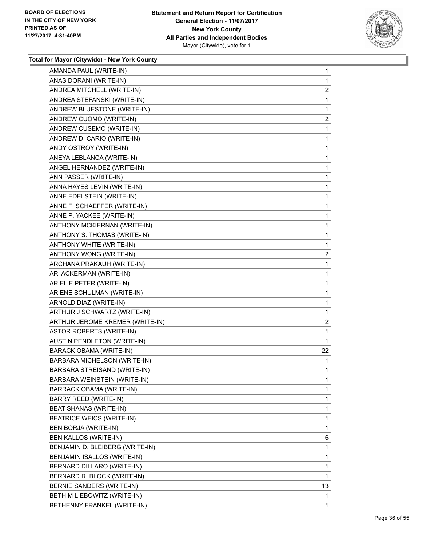

| AMANDA PAUL (WRITE-IN)           | 1              |
|----------------------------------|----------------|
| ANAS DORANI (WRITE-IN)           | 1              |
| ANDREA MITCHELL (WRITE-IN)       | 2              |
| ANDREA STEFANSKI (WRITE-IN)      | 1              |
| ANDREW BLUESTONE (WRITE-IN)      | 1              |
| ANDREW CUOMO (WRITE-IN)          | $\overline{2}$ |
| ANDREW CUSEMO (WRITE-IN)         | 1              |
| ANDREW D. CARIO (WRITE-IN)       | 1              |
| ANDY OSTROY (WRITE-IN)           | 1              |
| ANEYA LEBLANCA (WRITE-IN)        | 1              |
| ANGEL HERNANDEZ (WRITE-IN)       | 1              |
| ANN PASSER (WRITE-IN)            | 1              |
| ANNA HAYES LEVIN (WRITE-IN)      | 1              |
| ANNE EDELSTEIN (WRITE-IN)        | 1              |
| ANNE F. SCHAEFFER (WRITE-IN)     | 1              |
| ANNE P. YACKEE (WRITE-IN)        | 1              |
| ANTHONY MCKIERNAN (WRITE-IN)     | 1              |
| ANTHONY S. THOMAS (WRITE-IN)     | 1              |
| ANTHONY WHITE (WRITE-IN)         | 1              |
| ANTHONY WONG (WRITE-IN)          | $\overline{c}$ |
| ARCHANA PRAKAUH (WRITE-IN)       | 1              |
| ARI ACKERMAN (WRITE-IN)          | 1              |
| ARIEL E PETER (WRITE-IN)         | 1              |
| ARIENE SCHULMAN (WRITE-IN)       | 1              |
| ARNOLD DIAZ (WRITE-IN)           | 1              |
| ARTHUR J SCHWARTZ (WRITE-IN)     | 1              |
| ARTHUR JEROME KREMER (WRITE-IN)  | $\overline{2}$ |
| <b>ASTOR ROBERTS (WRITE-IN)</b>  | 1              |
| AUSTIN PENDLETON (WRITE-IN)      | 1              |
| BARACK OBAMA (WRITE-IN)          | 22             |
| BARBARA MICHELSON (WRITE-IN)     | 1              |
| BARBARA STREISAND (WRITE-IN)     | 1              |
| BARBARA WEINSTEIN (WRITE-IN)     | 1              |
| <b>BARRACK OBAMA (WRITE-IN)</b>  | 1              |
| <b>BARRY REED (WRITE-IN)</b>     | 1              |
| BEAT SHANAS (WRITE-IN)           | 1              |
| <b>BEATRICE WEICS (WRITE-IN)</b> | 1              |
| BEN BORJA (WRITE-IN)             | 1              |
| BEN KALLOS (WRITE-IN)            | 6              |
| BENJAMIN D. BLEIBERG (WRITE-IN)  | 1              |
| BENJAMIN ISALLOS (WRITE-IN)      | 1              |
| BERNARD DILLARO (WRITE-IN)       | 1              |
| BERNARD R. BLOCK (WRITE-IN)      | 1              |
| BERNIE SANDERS (WRITE-IN)        | 13             |
| BETH M LIEBOWITZ (WRITE-IN)      | 1              |
| BETHENNY FRANKEL (WRITE-IN)      | 1              |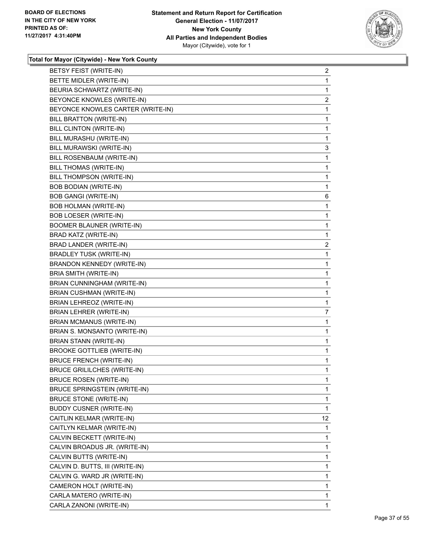

| BETSY FEIST (WRITE-IN)              | $\overline{2}$ |
|-------------------------------------|----------------|
| BETTE MIDLER (WRITE-IN)             | $\mathbf{1}$   |
| BEURIA SCHWARTZ (WRITE-IN)          | 1              |
| BEYONCE KNOWLES (WRITE-IN)          | $\overline{2}$ |
| BEYONCE KNOWLES CARTER (WRITE-IN)   | 1              |
| BILL BRATTON (WRITE-IN)             | 1              |
| BILL CLINTON (WRITE-IN)             | 1              |
| BILL MURASHU (WRITE-IN)             | 1              |
| BILL MURAWSKI (WRITE-IN)            | 3              |
| BILL ROSENBAUM (WRITE-IN)           | 1              |
| BILL THOMAS (WRITE-IN)              | 1              |
| BILL THOMPSON (WRITE-IN)            | 1              |
| BOB BODIAN (WRITE-IN)               | 1              |
| <b>BOB GANGI (WRITE-IN)</b>         | 6              |
| <b>BOB HOLMAN (WRITE-IN)</b>        | 1              |
| <b>BOB LOESER (WRITE-IN)</b>        | 1              |
| <b>BOOMER BLAUNER (WRITE-IN)</b>    | 1              |
| BRAD KATZ (WRITE-IN)                | $\mathbf{1}$   |
| BRAD LANDER (WRITE-IN)              | 2              |
| <b>BRADLEY TUSK (WRITE-IN)</b>      | 1              |
| BRANDON KENNEDY (WRITE-IN)          | 1              |
| BRIA SMITH (WRITE-IN)               | 1              |
| BRIAN CUNNINGHAM (WRITE-IN)         | 1              |
| <b>BRIAN CUSHMAN (WRITE-IN)</b>     | 1              |
| BRIAN LEHREOZ (WRITE-IN)            | 1              |
| BRIAN LEHRER (WRITE-IN)             | $\overline{7}$ |
| <b>BRIAN MCMANUS (WRITE-IN)</b>     | 1              |
| BRIAN S. MONSANTO (WRITE-IN)        | 1              |
| <b>BRIAN STANN (WRITE-IN)</b>       | 1              |
| <b>BROOKE GOTTLIEB (WRITE-IN)</b>   | 1              |
| <b>BRUCE FRENCH (WRITE-IN)</b>      | 1              |
| <b>BRUCE GRILILCHES (WRITE-IN)</b>  | 1              |
| <b>BRUCE ROSEN (WRITE-IN)</b>       | 1              |
| <b>BRUCE SPRINGSTEIN (WRITE-IN)</b> | 1              |
| <b>BRUCE STONE (WRITE-IN)</b>       | 1              |
| <b>BUDDY CUSNER (WRITE-IN)</b>      | 1              |
| CAITLIN KELMAR (WRITE-IN)           | 12             |
| CAITLYN KELMAR (WRITE-IN)           | 1              |
| CALVIN BECKETT (WRITE-IN)           | 1              |
| CALVIN BROADUS JR. (WRITE-IN)       | 1              |
| CALVIN BUTTS (WRITE-IN)             | 1              |
| CALVIN D. BUTTS, III (WRITE-IN)     | 1              |
| CALVIN G. WARD JR (WRITE-IN)        | 1              |
| CAMERON HOLT (WRITE-IN)             | 1              |
| CARLA MATERO (WRITE-IN)             | 1              |
| CARLA ZANONI (WRITE-IN)             | 1              |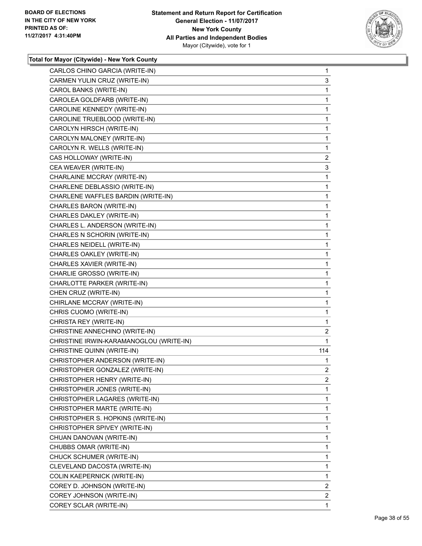

| CARLOS CHINO GARCIA (WRITE-IN)          | $\mathbf{1}$   |
|-----------------------------------------|----------------|
| CARMEN YULIN CRUZ (WRITE-IN)            | 3              |
| CAROL BANKS (WRITE-IN)                  | 1              |
| CAROLEA GOLDFARB (WRITE-IN)             | 1              |
| CAROLINE KENNEDY (WRITE-IN)             | 1              |
| CAROLINE TRUEBLOOD (WRITE-IN)           | 1              |
| CAROLYN HIRSCH (WRITE-IN)               | 1              |
| CAROLYN MALONEY (WRITE-IN)              | 1              |
| CAROLYN R. WELLS (WRITE-IN)             | 1              |
| CAS HOLLOWAY (WRITE-IN)                 | $\overline{2}$ |
| CEA WEAVER (WRITE-IN)                   | 3              |
| CHARLAINE MCCRAY (WRITE-IN)             | 1              |
| CHARLENE DEBLASSIO (WRITE-IN)           | 1              |
| CHARLENE WAFFLES BARDIN (WRITE-IN)      | 1              |
| CHARLES BARON (WRITE-IN)                | 1              |
| CHARLES DAKLEY (WRITE-IN)               | 1              |
| CHARLES L. ANDERSON (WRITE-IN)          | 1              |
| CHARLES N SCHORIN (WRITE-IN)            | 1              |
| CHARLES NEIDELL (WRITE-IN)              | 1              |
| CHARLES OAKLEY (WRITE-IN)               | 1              |
| CHARLES XAVIER (WRITE-IN)               | 1              |
| CHARLIE GROSSO (WRITE-IN)               | 1              |
| CHARLOTTE PARKER (WRITE-IN)             | 1              |
| CHEN CRUZ (WRITE-IN)                    | 1              |
| CHIRLANE MCCRAY (WRITE-IN)              | 1              |
| CHRIS CUOMO (WRITE-IN)                  | 1              |
| CHRISTA REY (WRITE-IN)                  | 1              |
| CHRISTINE ANNECHINO (WRITE-IN)          | 2              |
| CHRISTINE IRWIN-KARAMANOGLOU (WRITE-IN) | 1              |
| CHRISTINE QUINN (WRITE-IN)              | 114            |
| CHRISTOPHER ANDERSON (WRITE-IN)         | 1              |
| CHRISTOPHER GONZALEZ (WRITE-IN)         | $\overline{2}$ |
| CHRISTOPHER HENRY (WRITE-IN)            | 2              |
| CHRISTOPHER JONES (WRITE-IN)            | 1              |
| CHRISTOPHER LAGARES (WRITE-IN)          | 1              |
| CHRISTOPHER MARTE (WRITE-IN)            | 1              |
| CHRISTOPHER S. HOPKINS (WRITE-IN)       | 1              |
| CHRISTOPHER SPIVEY (WRITE-IN)           | 1              |
| CHUAN DANOVAN (WRITE-IN)                | 1              |
| CHUBBS OMAR (WRITE-IN)                  | 1              |
| CHUCK SCHUMER (WRITE-IN)                | 1              |
| CLEVELAND DACOSTA (WRITE-IN)            | 1              |
| COLIN KAEPERNICK (WRITE-IN)             | 1              |
| COREY D. JOHNSON (WRITE-IN)             | 2              |
| COREY JOHNSON (WRITE-IN)                | $\mathbf{2}$   |
| COREY SCLAR (WRITE-IN)                  | 1              |
|                                         |                |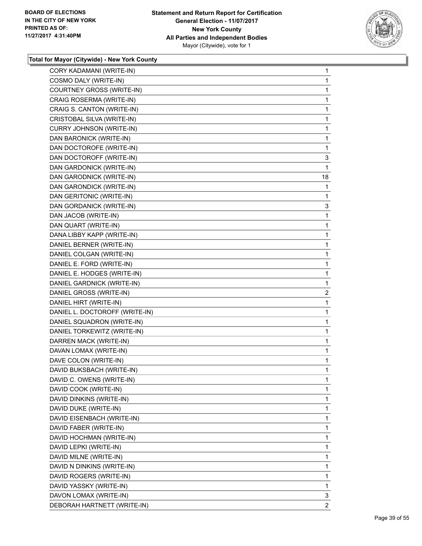

| CORY KADAMANI (WRITE-IN)       | 1              |
|--------------------------------|----------------|
| COSMO DALY (WRITE-IN)          | 1              |
| COURTNEY GROSS (WRITE-IN)      | 1              |
| CRAIG ROSERMA (WRITE-IN)       | 1              |
| CRAIG S. CANTON (WRITE-IN)     | 1              |
| CRISTOBAL SILVA (WRITE-IN)     | 1              |
| CURRY JOHNSON (WRITE-IN)       | 1              |
| DAN BARONICK (WRITE-IN)        | 1              |
| DAN DOCTOROFE (WRITE-IN)       | 1              |
| DAN DOCTOROFF (WRITE-IN)       | 3              |
| DAN GARDONICK (WRITE-IN)       | 1              |
| DAN GARODNICK (WRITE-IN)       | 18             |
| DAN GARONDICK (WRITE-IN)       | 1              |
| DAN GERITONIC (WRITE-IN)       | 1              |
| DAN GORDANICK (WRITE-IN)       | 3              |
| DAN JACOB (WRITE-IN)           | 1              |
| DAN QUART (WRITE-IN)           | 1              |
| DANA LIBBY KAPP (WRITE-IN)     | 1              |
| DANIEL BERNER (WRITE-IN)       | 1              |
| DANIEL COLGAN (WRITE-IN)       | 1              |
| DANIEL E. FORD (WRITE-IN)      | 1              |
| DANIEL E. HODGES (WRITE-IN)    | 1              |
| DANIEL GARDNICK (WRITE-IN)     | 1              |
| DANIEL GROSS (WRITE-IN)        | 2              |
| DANIEL HIRT (WRITE-IN)         | 1              |
| DANIEL L. DOCTOROFF (WRITE-IN) | 1              |
| DANIEL SQUADRON (WRITE-IN)     | 1              |
| DANIEL TORKEWITZ (WRITE-IN)    | 1              |
| DARREN MACK (WRITE-IN)         | 1              |
| DAVAN LOMAX (WRITE-IN)         | 1              |
| DAVE COLON (WRITE-IN)          | 1              |
| DAVID BUKSBACH (WRITE-IN)      | 1              |
| DAVID C. OWENS (WRITE-IN)      | 1              |
| DAVID COOK (WRITE-IN)          | $\mathbf{1}$   |
| DAVID DINKINS (WRITE-IN)       | 1              |
| DAVID DUKE (WRITE-IN)          | 1              |
| DAVID EISENBACH (WRITE-IN)     | 1              |
| DAVID FABER (WRITE-IN)         | 1              |
| DAVID HOCHMAN (WRITE-IN)       | 1              |
| DAVID LEPKI (WRITE-IN)         | 1              |
| DAVID MILNE (WRITE-IN)         | 1              |
| DAVID N DINKINS (WRITE-IN)     | 1              |
| DAVID ROGERS (WRITE-IN)        | 1              |
| DAVID YASSKY (WRITE-IN)        | 1              |
| DAVON LOMAX (WRITE-IN)         | 3              |
| DEBORAH HARTNETT (WRITE-IN)    | $\overline{2}$ |
|                                |                |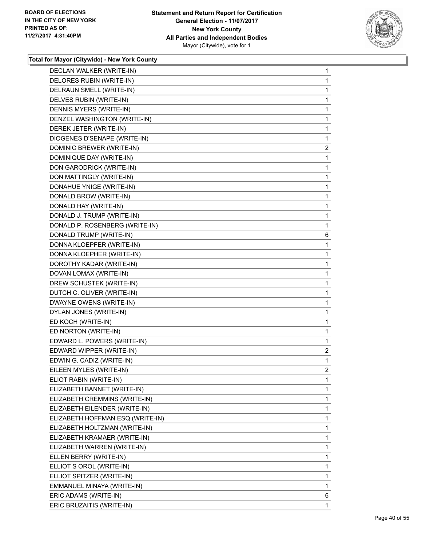

| DECLAN WALKER (WRITE-IN)         | 1                       |
|----------------------------------|-------------------------|
| DELORES RUBIN (WRITE-IN)         | 1                       |
| DELRAUN SMELL (WRITE-IN)         | 1                       |
| DELVES RUBIN (WRITE-IN)          | 1                       |
| DENNIS MYERS (WRITE-IN)          | 1                       |
| DENZEL WASHINGTON (WRITE-IN)     | 1                       |
| DEREK JETER (WRITE-IN)           | 1                       |
| DIOGENES D'SENAPE (WRITE-IN)     | 1                       |
| DOMINIC BREWER (WRITE-IN)        | $\overline{\mathbf{c}}$ |
| DOMINIQUE DAY (WRITE-IN)         | 1                       |
| DON GARODRICK (WRITE-IN)         | 1                       |
| DON MATTINGLY (WRITE-IN)         | 1                       |
| DONAHUE YNIGE (WRITE-IN)         | 1                       |
| DONALD BROW (WRITE-IN)           | 1                       |
| DONALD HAY (WRITE-IN)            | 1                       |
| DONALD J. TRUMP (WRITE-IN)       | 1                       |
| DONALD P. ROSENBERG (WRITE-IN)   | 1                       |
| DONALD TRUMP (WRITE-IN)          | 6                       |
| DONNA KLOEPFER (WRITE-IN)        | 1                       |
| DONNA KLOEPHER (WRITE-IN)        | 1                       |
| DOROTHY KADAR (WRITE-IN)         | 1                       |
| DOVAN LOMAX (WRITE-IN)           | 1                       |
| DREW SCHUSTEK (WRITE-IN)         | 1                       |
| DUTCH C. OLIVER (WRITE-IN)       | 1                       |
| DWAYNE OWENS (WRITE-IN)          | 1                       |
| DYLAN JONES (WRITE-IN)           | 1                       |
| ED KOCH (WRITE-IN)               | 1                       |
| ED NORTON (WRITE-IN)             | 1                       |
| EDWARD L. POWERS (WRITE-IN)      | 1                       |
| EDWARD WIPPER (WRITE-IN)         | $\overline{c}$          |
| EDWIN G. CADIZ (WRITE-IN)        | 1                       |
| EILEEN MYLES (WRITE-IN)          | $\overline{2}$          |
| ELIOT RABIN (WRITE-IN)           | 1                       |
| ELIZABETH BANNET (WRITE-IN)      | 1                       |
| ELIZABETH CREMMINS (WRITE-IN)    | 1                       |
| ELIZABETH EILENDER (WRITE-IN)    | 1                       |
| ELIZABETH HOFFMAN ESQ (WRITE-IN) | 1                       |
| ELIZABETH HOLTZMAN (WRITE-IN)    | 1                       |
| ELIZABETH KRAMAER (WRITE-IN)     | 1                       |
| ELIZABETH WARREN (WRITE-IN)      | 1                       |
| ELLEN BERRY (WRITE-IN)           | 1                       |
| ELLIOT S OROL (WRITE-IN)         | 1                       |
| ELLIOT SPITZER (WRITE-IN)        | 1                       |
| EMMANUEL MINAYA (WRITE-IN)       | 1                       |
| ERIC ADAMS (WRITE-IN)            | 6                       |
| ERIC BRUZAITIS (WRITE-IN)        | $\mathbf{1}$            |
|                                  |                         |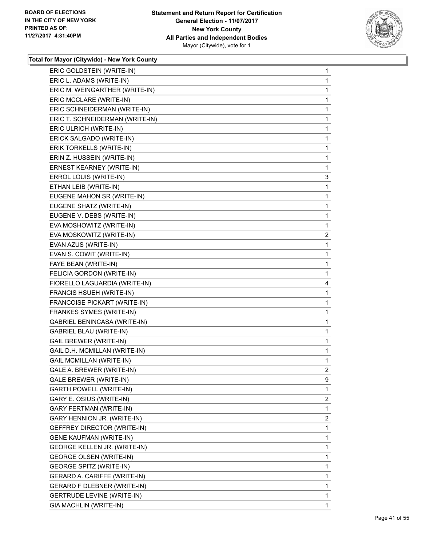

| ERIC L. ADAMS (WRITE-IN)<br>1<br>ERIC M. WEINGARTHER (WRITE-IN)<br>1<br>ERIC MCCLARE (WRITE-IN)<br>1<br>ERIC SCHNEIDERMAN (WRITE-IN)<br>1<br>ERIC T. SCHNEIDERMAN (WRITE-IN)<br>1<br>ERIC ULRICH (WRITE-IN)<br>1<br>ERICK SALGADO (WRITE-IN)<br>1<br>ERIK TORKELLS (WRITE-IN)<br>1<br>ERIN Z. HUSSEIN (WRITE-IN)<br>1<br>ERNEST KEARNEY (WRITE-IN)<br>1<br>ERROL LOUIS (WRITE-IN)<br>3<br>ETHAN LEIB (WRITE-IN)<br>1<br>EUGENE MAHON SR (WRITE-IN)<br>1<br>EUGENE SHATZ (WRITE-IN)<br>1<br>EUGENE V. DEBS (WRITE-IN)<br>1<br>EVA MOSHOWITZ (WRITE-IN)<br>1<br>EVA MOSKOWITZ (WRITE-IN)<br>EVAN AZUS (WRITE-IN)<br>1<br>EVAN S. COWIT (WRITE-IN)<br>1<br>FAYE BEAN (WRITE-IN)<br>1<br>FELICIA GORDON (WRITE-IN)<br>1<br>FIORELLO LAGUARDIA (WRITE-IN)<br>4<br>FRANCIS HSUEH (WRITE-IN)<br>1<br>FRANCOISE PICKART (WRITE-IN)<br>1<br>FRANKES SYMES (WRITE-IN)<br>1<br>GABRIEL BENINCASA (WRITE-IN)<br>1<br>GABRIEL BLAU (WRITE-IN)<br>1<br><b>GAIL BREWER (WRITE-IN)</b><br>1<br>GAIL D.H. MCMILLAN (WRITE-IN)<br>1<br><b>GAIL MCMILLAN (WRITE-IN)</b><br>1<br>GALE A. BREWER (WRITE-IN)<br>GALE BREWER (WRITE-IN)<br>9<br><b>GARTH POWELL (WRITE-IN)</b><br>1<br>GARY E. OSIUS (WRITE-IN)<br>GARY FERTMAN (WRITE-IN)<br>1<br>GARY HENNION JR. (WRITE-IN)<br>GEFFREY DIRECTOR (WRITE-IN)<br>1<br><b>GENE KAUFMAN (WRITE-IN)</b><br>1<br>GEORGE KELLEN JR. (WRITE-IN)<br>1<br><b>GEORGE OLSEN (WRITE-IN)</b><br>1<br><b>GEORGE SPITZ (WRITE-IN)</b><br>1<br>GERARD A. CARIFFE (WRITE-IN)<br>1<br>GERARD F DLEBNER (WRITE-IN)<br>1<br><b>GERTRUDE LEVINE (WRITE-IN)</b><br>1<br>GIA MACHLIN (WRITE-IN)<br>1 | ERIC GOLDSTEIN (WRITE-IN) | 1              |
|---------------------------------------------------------------------------------------------------------------------------------------------------------------------------------------------------------------------------------------------------------------------------------------------------------------------------------------------------------------------------------------------------------------------------------------------------------------------------------------------------------------------------------------------------------------------------------------------------------------------------------------------------------------------------------------------------------------------------------------------------------------------------------------------------------------------------------------------------------------------------------------------------------------------------------------------------------------------------------------------------------------------------------------------------------------------------------------------------------------------------------------------------------------------------------------------------------------------------------------------------------------------------------------------------------------------------------------------------------------------------------------------------------------------------------------------------------------------------------------------------------------------------------------------------------------------------------------------------------|---------------------------|----------------|
|                                                                                                                                                                                                                                                                                                                                                                                                                                                                                                                                                                                                                                                                                                                                                                                                                                                                                                                                                                                                                                                                                                                                                                                                                                                                                                                                                                                                                                                                                                                                                                                                         |                           |                |
|                                                                                                                                                                                                                                                                                                                                                                                                                                                                                                                                                                                                                                                                                                                                                                                                                                                                                                                                                                                                                                                                                                                                                                                                                                                                                                                                                                                                                                                                                                                                                                                                         |                           |                |
|                                                                                                                                                                                                                                                                                                                                                                                                                                                                                                                                                                                                                                                                                                                                                                                                                                                                                                                                                                                                                                                                                                                                                                                                                                                                                                                                                                                                                                                                                                                                                                                                         |                           |                |
|                                                                                                                                                                                                                                                                                                                                                                                                                                                                                                                                                                                                                                                                                                                                                                                                                                                                                                                                                                                                                                                                                                                                                                                                                                                                                                                                                                                                                                                                                                                                                                                                         |                           |                |
|                                                                                                                                                                                                                                                                                                                                                                                                                                                                                                                                                                                                                                                                                                                                                                                                                                                                                                                                                                                                                                                                                                                                                                                                                                                                                                                                                                                                                                                                                                                                                                                                         |                           |                |
|                                                                                                                                                                                                                                                                                                                                                                                                                                                                                                                                                                                                                                                                                                                                                                                                                                                                                                                                                                                                                                                                                                                                                                                                                                                                                                                                                                                                                                                                                                                                                                                                         |                           |                |
|                                                                                                                                                                                                                                                                                                                                                                                                                                                                                                                                                                                                                                                                                                                                                                                                                                                                                                                                                                                                                                                                                                                                                                                                                                                                                                                                                                                                                                                                                                                                                                                                         |                           |                |
|                                                                                                                                                                                                                                                                                                                                                                                                                                                                                                                                                                                                                                                                                                                                                                                                                                                                                                                                                                                                                                                                                                                                                                                                                                                                                                                                                                                                                                                                                                                                                                                                         |                           |                |
|                                                                                                                                                                                                                                                                                                                                                                                                                                                                                                                                                                                                                                                                                                                                                                                                                                                                                                                                                                                                                                                                                                                                                                                                                                                                                                                                                                                                                                                                                                                                                                                                         |                           |                |
|                                                                                                                                                                                                                                                                                                                                                                                                                                                                                                                                                                                                                                                                                                                                                                                                                                                                                                                                                                                                                                                                                                                                                                                                                                                                                                                                                                                                                                                                                                                                                                                                         |                           |                |
|                                                                                                                                                                                                                                                                                                                                                                                                                                                                                                                                                                                                                                                                                                                                                                                                                                                                                                                                                                                                                                                                                                                                                                                                                                                                                                                                                                                                                                                                                                                                                                                                         |                           |                |
|                                                                                                                                                                                                                                                                                                                                                                                                                                                                                                                                                                                                                                                                                                                                                                                                                                                                                                                                                                                                                                                                                                                                                                                                                                                                                                                                                                                                                                                                                                                                                                                                         |                           |                |
|                                                                                                                                                                                                                                                                                                                                                                                                                                                                                                                                                                                                                                                                                                                                                                                                                                                                                                                                                                                                                                                                                                                                                                                                                                                                                                                                                                                                                                                                                                                                                                                                         |                           |                |
|                                                                                                                                                                                                                                                                                                                                                                                                                                                                                                                                                                                                                                                                                                                                                                                                                                                                                                                                                                                                                                                                                                                                                                                                                                                                                                                                                                                                                                                                                                                                                                                                         |                           |                |
|                                                                                                                                                                                                                                                                                                                                                                                                                                                                                                                                                                                                                                                                                                                                                                                                                                                                                                                                                                                                                                                                                                                                                                                                                                                                                                                                                                                                                                                                                                                                                                                                         |                           |                |
|                                                                                                                                                                                                                                                                                                                                                                                                                                                                                                                                                                                                                                                                                                                                                                                                                                                                                                                                                                                                                                                                                                                                                                                                                                                                                                                                                                                                                                                                                                                                                                                                         |                           |                |
|                                                                                                                                                                                                                                                                                                                                                                                                                                                                                                                                                                                                                                                                                                                                                                                                                                                                                                                                                                                                                                                                                                                                                                                                                                                                                                                                                                                                                                                                                                                                                                                                         |                           | $\mathbf{2}$   |
|                                                                                                                                                                                                                                                                                                                                                                                                                                                                                                                                                                                                                                                                                                                                                                                                                                                                                                                                                                                                                                                                                                                                                                                                                                                                                                                                                                                                                                                                                                                                                                                                         |                           |                |
|                                                                                                                                                                                                                                                                                                                                                                                                                                                                                                                                                                                                                                                                                                                                                                                                                                                                                                                                                                                                                                                                                                                                                                                                                                                                                                                                                                                                                                                                                                                                                                                                         |                           |                |
|                                                                                                                                                                                                                                                                                                                                                                                                                                                                                                                                                                                                                                                                                                                                                                                                                                                                                                                                                                                                                                                                                                                                                                                                                                                                                                                                                                                                                                                                                                                                                                                                         |                           |                |
|                                                                                                                                                                                                                                                                                                                                                                                                                                                                                                                                                                                                                                                                                                                                                                                                                                                                                                                                                                                                                                                                                                                                                                                                                                                                                                                                                                                                                                                                                                                                                                                                         |                           |                |
|                                                                                                                                                                                                                                                                                                                                                                                                                                                                                                                                                                                                                                                                                                                                                                                                                                                                                                                                                                                                                                                                                                                                                                                                                                                                                                                                                                                                                                                                                                                                                                                                         |                           |                |
|                                                                                                                                                                                                                                                                                                                                                                                                                                                                                                                                                                                                                                                                                                                                                                                                                                                                                                                                                                                                                                                                                                                                                                                                                                                                                                                                                                                                                                                                                                                                                                                                         |                           |                |
|                                                                                                                                                                                                                                                                                                                                                                                                                                                                                                                                                                                                                                                                                                                                                                                                                                                                                                                                                                                                                                                                                                                                                                                                                                                                                                                                                                                                                                                                                                                                                                                                         |                           |                |
|                                                                                                                                                                                                                                                                                                                                                                                                                                                                                                                                                                                                                                                                                                                                                                                                                                                                                                                                                                                                                                                                                                                                                                                                                                                                                                                                                                                                                                                                                                                                                                                                         |                           |                |
|                                                                                                                                                                                                                                                                                                                                                                                                                                                                                                                                                                                                                                                                                                                                                                                                                                                                                                                                                                                                                                                                                                                                                                                                                                                                                                                                                                                                                                                                                                                                                                                                         |                           |                |
|                                                                                                                                                                                                                                                                                                                                                                                                                                                                                                                                                                                                                                                                                                                                                                                                                                                                                                                                                                                                                                                                                                                                                                                                                                                                                                                                                                                                                                                                                                                                                                                                         |                           |                |
|                                                                                                                                                                                                                                                                                                                                                                                                                                                                                                                                                                                                                                                                                                                                                                                                                                                                                                                                                                                                                                                                                                                                                                                                                                                                                                                                                                                                                                                                                                                                                                                                         |                           |                |
|                                                                                                                                                                                                                                                                                                                                                                                                                                                                                                                                                                                                                                                                                                                                                                                                                                                                                                                                                                                                                                                                                                                                                                                                                                                                                                                                                                                                                                                                                                                                                                                                         |                           |                |
|                                                                                                                                                                                                                                                                                                                                                                                                                                                                                                                                                                                                                                                                                                                                                                                                                                                                                                                                                                                                                                                                                                                                                                                                                                                                                                                                                                                                                                                                                                                                                                                                         |                           |                |
|                                                                                                                                                                                                                                                                                                                                                                                                                                                                                                                                                                                                                                                                                                                                                                                                                                                                                                                                                                                                                                                                                                                                                                                                                                                                                                                                                                                                                                                                                                                                                                                                         |                           | $\overline{2}$ |
|                                                                                                                                                                                                                                                                                                                                                                                                                                                                                                                                                                                                                                                                                                                                                                                                                                                                                                                                                                                                                                                                                                                                                                                                                                                                                                                                                                                                                                                                                                                                                                                                         |                           |                |
|                                                                                                                                                                                                                                                                                                                                                                                                                                                                                                                                                                                                                                                                                                                                                                                                                                                                                                                                                                                                                                                                                                                                                                                                                                                                                                                                                                                                                                                                                                                                                                                                         |                           |                |
|                                                                                                                                                                                                                                                                                                                                                                                                                                                                                                                                                                                                                                                                                                                                                                                                                                                                                                                                                                                                                                                                                                                                                                                                                                                                                                                                                                                                                                                                                                                                                                                                         |                           | $\overline{2}$ |
|                                                                                                                                                                                                                                                                                                                                                                                                                                                                                                                                                                                                                                                                                                                                                                                                                                                                                                                                                                                                                                                                                                                                                                                                                                                                                                                                                                                                                                                                                                                                                                                                         |                           |                |
|                                                                                                                                                                                                                                                                                                                                                                                                                                                                                                                                                                                                                                                                                                                                                                                                                                                                                                                                                                                                                                                                                                                                                                                                                                                                                                                                                                                                                                                                                                                                                                                                         |                           | 2              |
|                                                                                                                                                                                                                                                                                                                                                                                                                                                                                                                                                                                                                                                                                                                                                                                                                                                                                                                                                                                                                                                                                                                                                                                                                                                                                                                                                                                                                                                                                                                                                                                                         |                           |                |
|                                                                                                                                                                                                                                                                                                                                                                                                                                                                                                                                                                                                                                                                                                                                                                                                                                                                                                                                                                                                                                                                                                                                                                                                                                                                                                                                                                                                                                                                                                                                                                                                         |                           |                |
|                                                                                                                                                                                                                                                                                                                                                                                                                                                                                                                                                                                                                                                                                                                                                                                                                                                                                                                                                                                                                                                                                                                                                                                                                                                                                                                                                                                                                                                                                                                                                                                                         |                           |                |
|                                                                                                                                                                                                                                                                                                                                                                                                                                                                                                                                                                                                                                                                                                                                                                                                                                                                                                                                                                                                                                                                                                                                                                                                                                                                                                                                                                                                                                                                                                                                                                                                         |                           |                |
|                                                                                                                                                                                                                                                                                                                                                                                                                                                                                                                                                                                                                                                                                                                                                                                                                                                                                                                                                                                                                                                                                                                                                                                                                                                                                                                                                                                                                                                                                                                                                                                                         |                           |                |
|                                                                                                                                                                                                                                                                                                                                                                                                                                                                                                                                                                                                                                                                                                                                                                                                                                                                                                                                                                                                                                                                                                                                                                                                                                                                                                                                                                                                                                                                                                                                                                                                         |                           |                |
|                                                                                                                                                                                                                                                                                                                                                                                                                                                                                                                                                                                                                                                                                                                                                                                                                                                                                                                                                                                                                                                                                                                                                                                                                                                                                                                                                                                                                                                                                                                                                                                                         |                           |                |
|                                                                                                                                                                                                                                                                                                                                                                                                                                                                                                                                                                                                                                                                                                                                                                                                                                                                                                                                                                                                                                                                                                                                                                                                                                                                                                                                                                                                                                                                                                                                                                                                         |                           |                |
|                                                                                                                                                                                                                                                                                                                                                                                                                                                                                                                                                                                                                                                                                                                                                                                                                                                                                                                                                                                                                                                                                                                                                                                                                                                                                                                                                                                                                                                                                                                                                                                                         |                           |                |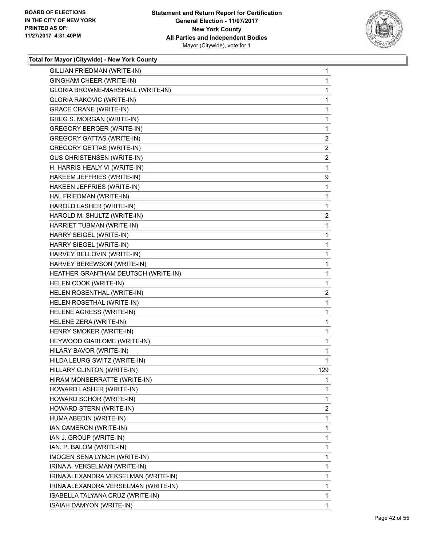

| GILLIAN FRIEDMAN (WRITE-IN)          | $\mathbf 1$  |
|--------------------------------------|--------------|
| GINGHAM CHEER (WRITE-IN)             | $\mathbf 1$  |
| GLORIA BROWNE-MARSHALL (WRITE-IN)    | $\mathbf 1$  |
| <b>GLORIA RAKOVIC (WRITE-IN)</b>     | 1            |
| <b>GRACE CRANE (WRITE-IN)</b>        | $\mathbf 1$  |
| GREG S. MORGAN (WRITE-IN)            | $\mathbf 1$  |
| <b>GREGORY BERGER (WRITE-IN)</b>     | 1            |
| <b>GREGORY GATTAS (WRITE-IN)</b>     | 2            |
| <b>GREGORY GETTAS (WRITE-IN)</b>     | 2            |
| <b>GUS CHRISTENSEN (WRITE-IN)</b>    | 2            |
| H. HARRIS HEALY VI (WRITE-IN)        | 1            |
| HAKEEM JEFFRIES (WRITE-IN)           | 9            |
| HAKEEN JEFFRIES (WRITE-IN)           | $\mathbf 1$  |
| HAL FRIEDMAN (WRITE-IN)              | $\mathbf 1$  |
| HAROLD LASHER (WRITE-IN)             | 1            |
| HAROLD M. SHULTZ (WRITE-IN)          | 2            |
| HARRIET TUBMAN (WRITE-IN)            | 1            |
| HARRY SEIGEL (WRITE-IN)              | $\mathbf 1$  |
| HARRY SIEGEL (WRITE-IN)              | 1            |
| HARVEY BELLOVIN (WRITE-IN)           | $\mathbf 1$  |
| HARVEY BEREWSON (WRITE-IN)           | 1            |
| HEATHER GRANTHAM DEUTSCH (WRITE-IN)  | 1            |
| HELEN COOK (WRITE-IN)                | 1            |
| HELEN ROSENTHAL (WRITE-IN)           | 2            |
| HELEN ROSETHAL (WRITE-IN)            | 1            |
| HELENE AGRESS (WRITE-IN)             | $\mathbf{1}$ |
| HELENE ZERA (WRITE-IN)               | 1            |
| HENRY SMOKER (WRITE-IN)              | 1            |
| HEYWOOD GIABLOME (WRITE-IN)          | 1            |
| HILARY BAVOR (WRITE-IN)              | 1            |
| HILDA LEURG SWITZ (WRITE-IN)         | 1            |
| HILLARY CLINTON (WRITE-IN)           | 129          |
| HIRAM MONSERRATTE (WRITE-IN)         | 1            |
| HOWARD LASHER (WRITE-IN)             | 1            |
| HOWARD SCHOR (WRITE-IN)              | 1            |
| HOWARD STERN (WRITE-IN)              | 2            |
| HUMA ABEDIN (WRITE-IN)               | 1            |
| IAN CAMERON (WRITE-IN)               | 1            |
| IAN J. GROUP (WRITE-IN)              | 1            |
| IAN. P. BALOM (WRITE-IN)             | 1            |
| IMOGEN SENA LYNCH (WRITE-IN)         | 1            |
| IRINA A. VEKSELMAN (WRITE-IN)        | 1            |
| IRINA ALEXANDRA VEKSELMAN (WRITE-IN) | 1            |
| IRINA ALEXANDRA VERSELMAN (WRITE-IN) | 1            |
| ISABELLA TALYANA CRUZ (WRITE-IN)     | 1            |
| ISAIAH DAMYON (WRITE-IN)             | 1            |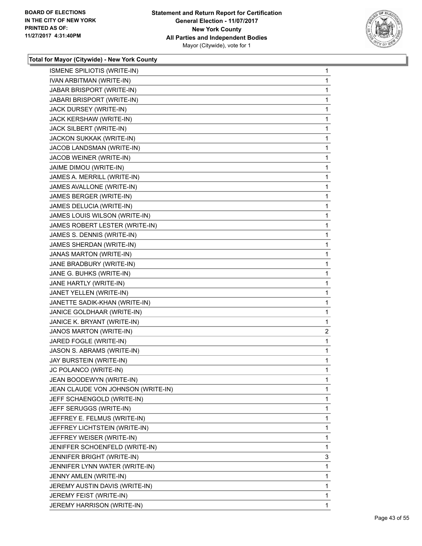

| ISMENE SPILIOTIS (WRITE-IN)        | 1 |
|------------------------------------|---|
| IVAN ARBITMAN (WRITE-IN)           | 1 |
| JABAR BRISPORT (WRITE-IN)          | 1 |
| JABARI BRISPORT (WRITE-IN)         | 1 |
| JACK DURSEY (WRITE-IN)             | 1 |
| JACK KERSHAW (WRITE-IN)            | 1 |
| JACK SILBERT (WRITE-IN)            | 1 |
| JACKON SUKKAK (WRITE-IN)           | 1 |
| JACOB LANDSMAN (WRITE-IN)          | 1 |
| JACOB WEINER (WRITE-IN)            | 1 |
| JAIME DIMOU (WRITE-IN)             | 1 |
| JAMES A. MERRILL (WRITE-IN)        | 1 |
| JAMES AVALLONE (WRITE-IN)          | 1 |
| JAMES BERGER (WRITE-IN)            | 1 |
| JAMES DELUCIA (WRITE-IN)           | 1 |
| JAMES LOUIS WILSON (WRITE-IN)      | 1 |
| JAMES ROBERT LESTER (WRITE-IN)     | 1 |
| JAMES S. DENNIS (WRITE-IN)         | 1 |
| JAMES SHERDAN (WRITE-IN)           | 1 |
| JANAS MARTON (WRITE-IN)            | 1 |
| JANE BRADBURY (WRITE-IN)           | 1 |
| JANE G. BUHKS (WRITE-IN)           | 1 |
| JANE HARTLY (WRITE-IN)             | 1 |
| JANET YELLEN (WRITE-IN)            | 1 |
| JANETTE SADIK-KHAN (WRITE-IN)      | 1 |
| JANICE GOLDHAAR (WRITE-IN)         | 1 |
| JANICE K. BRYANT (WRITE-IN)        | 1 |
| JANOS MARTON (WRITE-IN)            | 2 |
| JARED FOGLE (WRITE-IN)             | 1 |
| JASON S. ABRAMS (WRITE-IN)         | 1 |
| JAY BURSTEIN (WRITE-IN)            | 1 |
| JC POLANCO (WRITE-IN)              | 1 |
| JEAN BOODEWYN (WRITE-IN)           | 1 |
| JEAN CLAUDE VON JOHNSON (WRITE-IN) | 1 |
| JEFF SCHAENGOLD (WRITE-IN)         | 1 |
| JEFF SERUGGS (WRITE-IN)            | 1 |
| JEFFREY E. FELMUS (WRITE-IN)       | 1 |
| JEFFREY LICHTSTEIN (WRITE-IN)      | 1 |
| JEFFREY WEISER (WRITE-IN)          | 1 |
| JENIFFER SCHOENFELD (WRITE-IN)     | 1 |
| JENNIFER BRIGHT (WRITE-IN)         | 3 |
| JENNIFER LYNN WATER (WRITE-IN)     | 1 |
| JENNY AMLEN (WRITE-IN)             | 1 |
| JEREMY AUSTIN DAVIS (WRITE-IN)     | 1 |
| JEREMY FEIST (WRITE-IN)            | 1 |
| JEREMY HARRISON (WRITE-IN)         | 1 |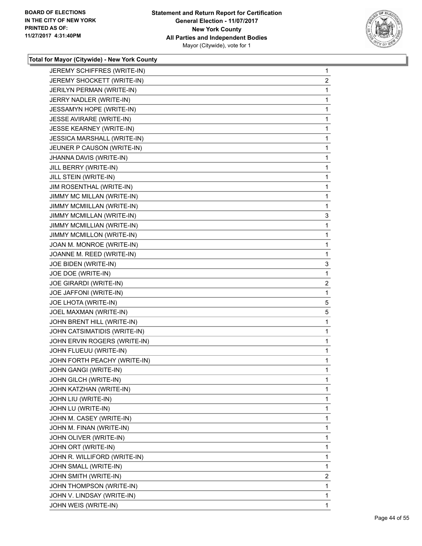

| JEREMY SCHIFFRES (WRITE-IN)  | 1              |
|------------------------------|----------------|
| JEREMY SHOCKETT (WRITE-IN)   | $\overline{2}$ |
| JERILYN PERMAN (WRITE-IN)    | 1              |
| JERRY NADLER (WRITE-IN)      | 1              |
| JESSAMYN HOPE (WRITE-IN)     | 1              |
| JESSE AVIRARE (WRITE-IN)     | 1              |
| JESSE KEARNEY (WRITE-IN)     | 1              |
| JESSICA MARSHALL (WRITE-IN)  | 1              |
| JEUNER P CAUSON (WRITE-IN)   | 1              |
| JHANNA DAVIS (WRITE-IN)      | 1              |
| JILL BERRY (WRITE-IN)        | 1              |
| JILL STEIN (WRITE-IN)        | 1              |
| JIM ROSENTHAL (WRITE-IN)     | 1              |
| JIMMY MC MILLAN (WRITE-IN)   | 1              |
| JIMMY MCMIILLAN (WRITE-IN)   | 1              |
| JIMMY MCMILLAN (WRITE-IN)    | 3              |
| JIMMY MCMILLIAN (WRITE-IN)   | 1              |
| JIMMY MCMILLON (WRITE-IN)    | 1              |
| JOAN M. MONROE (WRITE-IN)    | 1              |
| JOANNE M. REED (WRITE-IN)    | 1              |
| JOE BIDEN (WRITE-IN)         | 3              |
| JOE DOE (WRITE-IN)           | 1              |
| JOE GIRARDI (WRITE-IN)       | 2              |
| JOE JAFFONI (WRITE-IN)       | 1              |
| JOE LHOTA (WRITE-IN)         | 5              |
| JOEL MAXMAN (WRITE-IN)       | 5              |
| JOHN BRENT HILL (WRITE-IN)   | 1              |
| JOHN CATSIMATIDIS (WRITE-IN) | 1              |
| JOHN ERVIN ROGERS (WRITE-IN) | 1              |
| JOHN FLUEUU (WRITE-IN)       | 1              |
| JOHN FORTH PEACHY (WRITE-IN) | 1              |
| JOHN GANGI (WRITE-IN)        | 1              |
| JOHN GILCH (WRITE-IN)        | 1              |
| JOHN KATZHAN (WRITE-IN)      | 1              |
| JOHN LIU (WRITE-IN)          | 1              |
| JOHN LU (WRITE-IN)           | 1              |
| JOHN M. CASEY (WRITE-IN)     | 1              |
| JOHN M. FINAN (WRITE-IN)     | 1              |
| JOHN OLIVER (WRITE-IN)       | 1              |
| JOHN ORT (WRITE-IN)          | 1              |
| JOHN R. WILLIFORD (WRITE-IN) | 1              |
| JOHN SMALL (WRITE-IN)        | 1              |
| JOHN SMITH (WRITE-IN)        | 2              |
| JOHN THOMPSON (WRITE-IN)     | 1              |
| JOHN V. LINDSAY (WRITE-IN)   | 1              |
| JOHN WEIS (WRITE-IN)         | $\mathbf{1}$   |
|                              |                |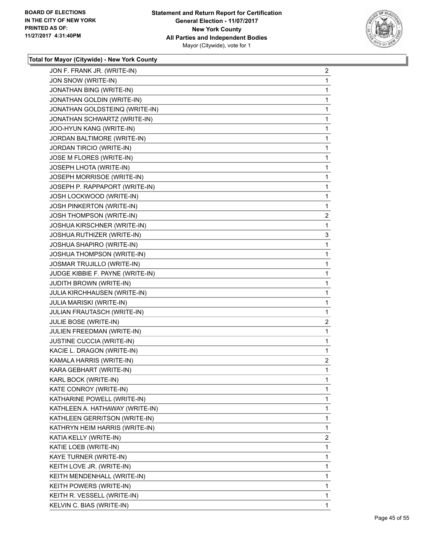

| JON F. FRANK JR. (WRITE-IN)      | 2              |
|----------------------------------|----------------|
| JON SNOW (WRITE-IN)              | 1              |
| JONATHAN BING (WRITE-IN)         | 1              |
| JONATHAN GOLDIN (WRITE-IN)       | 1              |
| JONATHAN GOLDSTEINQ (WRITE-IN)   | 1              |
| JONATHAN SCHWARTZ (WRITE-IN)     | 1              |
| JOO-HYUN KANG (WRITE-IN)         | 1              |
| JORDAN BALTIMORE (WRITE-IN)      | 1              |
| JORDAN TIRCIO (WRITE-IN)         | 1              |
| JOSE M FLORES (WRITE-IN)         | 1              |
| JOSEPH LHOTA (WRITE-IN)          | 1              |
| JOSEPH MORRISOE (WRITE-IN)       | 1              |
| JOSEPH P. RAPPAPORT (WRITE-IN)   | 1              |
| JOSH LOCKWOOD (WRITE-IN)         | 1              |
| <b>JOSH PINKERTON (WRITE-IN)</b> | 1              |
| JOSH THOMPSON (WRITE-IN)         | 2              |
| JOSHUA KIRSCHNER (WRITE-IN)      | 1              |
| JOSHUA RUTHIZER (WRITE-IN)       | 3              |
| JOSHUA SHAPIRO (WRITE-IN)        | 1              |
| JOSHUA THOMPSON (WRITE-IN)       | 1              |
| JOSMAR TRUJILLO (WRITE-IN)       | 1              |
| JUDGE KIBBIE F. PAYNE (WRITE-IN) | 1              |
| <b>JUDITH BROWN (WRITE-IN)</b>   | 1              |
| JULIA KIRCHHAUSEN (WRITE-IN)     | 1              |
| JULIA MARISKI (WRITE-IN)         | 1              |
| JULIAN FRAUTASCH (WRITE-IN)      | 1              |
| JULIE BOSE (WRITE-IN)            | $\overline{2}$ |
| JULIEN FREEDMAN (WRITE-IN)       | 1              |
| JUSTINE CUCCIA (WRITE-IN)        | 1              |
| KACIE L. DRAGON (WRITE-IN)       | 1              |
| KAMALA HARRIS (WRITE-IN)         | 2              |
| KARA GEBHART (WRITE-IN)          | 1              |
| KARL BOCK (WRITE-IN)             | 1              |
| KATE CONROY (WRITE-IN)           | 1              |
| KATHARINE POWELL (WRITE-IN)      | 1              |
| KATHLEEN A. HATHAWAY (WRITE-IN)  | 1              |
| KATHLEEN GERRITSON (WRITE-IN)    | 1              |
| KATHRYN HEIM HARRIS (WRITE-IN)   | 1              |
| KATIA KELLY (WRITE-IN)           | 2              |
| KATIE LOEB (WRITE-IN)            | 1              |
| KAYE TURNER (WRITE-IN)           | 1              |
| KEITH LOVE JR. (WRITE-IN)        | 1              |
| KEITH MENDENHALL (WRITE-IN)      | 1              |
| KEITH POWERS (WRITE-IN)          | 1              |
| KEITH R. VESSELL (WRITE-IN)      | 1              |
| KELVIN C. BIAS (WRITE-IN)        | 1              |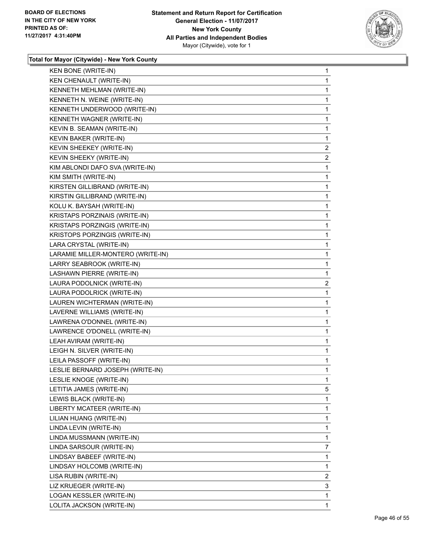

| KEN CHENAULT (WRITE-IN)<br>KENNETH MEHLMAN (WRITE-IN)<br>KENNETH N. WEINE (WRITE-IN)<br>KENNETH UNDERWOOD (WRITE-IN)<br>KENNETH WAGNER (WRITE-IN)<br>KEVIN B. SEAMAN (WRITE-IN)<br>KEVIN BAKER (WRITE-IN)<br>KEVIN SHEEKEY (WRITE-IN)<br>KEVIN SHEEKY (WRITE-IN)<br>KIM ABLONDI DAFO SVA (WRITE-IN)<br>KIM SMITH (WRITE-IN)<br>KIRSTEN GILLIBRAND (WRITE-IN)<br>KIRSTIN GILLIBRAND (WRITE-IN)<br>KOLU K. BAYSAH (WRITE-IN)<br>KRISTAPS PORZINAIS (WRITE-IN)<br>KRISTAPS PORZINGIS (WRITE-IN)<br>KRISTOPS PORZINGIS (WRITE-IN)<br>LARA CRYSTAL (WRITE-IN)<br>LARAMIE MILLER-MONTERO (WRITE-IN)<br>LARRY SEABROOK (WRITE-IN)<br>LASHAWN PIERRE (WRITE-IN)<br>LAURA PODOLNICK (WRITE-IN)<br>LAURA PODOLRICK (WRITE-IN)<br>LAUREN WICHTERMAN (WRITE-IN)<br>LAVERNE WILLIAMS (WRITE-IN)<br>LAWRENA O'DONNEL (WRITE-IN)<br>LAWRENCE O'DONELL (WRITE-IN)<br>LEAH AVIRAM (WRITE-IN)<br>LEIGH N. SILVER (WRITE-IN)<br>LEILA PASSOFF (WRITE-IN)<br>LESLIE BERNARD JOSEPH (WRITE-IN)<br>LESLIE KNOGE (WRITE-IN)<br>LETITIA JAMES (WRITE-IN)<br>LEWIS BLACK (WRITE-IN)<br>LIBERTY MCATEER (WRITE-IN)<br>LILIAN HUANG (WRITE-IN)<br>LINDA LEVIN (WRITE-IN)<br>LINDA MUSSMANN (WRITE-IN)<br>LINDA SARSOUR (WRITE-IN)<br>LINDSAY BABEEF (WRITE-IN)<br>LINDSAY HOLCOMB (WRITE-IN)<br>LISA RUBIN (WRITE-IN)<br>LIZ KRUEGER (WRITE-IN) | KEN BONE (WRITE-IN)      | 1              |
|----------------------------------------------------------------------------------------------------------------------------------------------------------------------------------------------------------------------------------------------------------------------------------------------------------------------------------------------------------------------------------------------------------------------------------------------------------------------------------------------------------------------------------------------------------------------------------------------------------------------------------------------------------------------------------------------------------------------------------------------------------------------------------------------------------------------------------------------------------------------------------------------------------------------------------------------------------------------------------------------------------------------------------------------------------------------------------------------------------------------------------------------------------------------------------------------------------------------------------------------------------------------------------------------------------------------|--------------------------|----------------|
|                                                                                                                                                                                                                                                                                                                                                                                                                                                                                                                                                                                                                                                                                                                                                                                                                                                                                                                                                                                                                                                                                                                                                                                                                                                                                                                      |                          | 1              |
|                                                                                                                                                                                                                                                                                                                                                                                                                                                                                                                                                                                                                                                                                                                                                                                                                                                                                                                                                                                                                                                                                                                                                                                                                                                                                                                      |                          | 1              |
|                                                                                                                                                                                                                                                                                                                                                                                                                                                                                                                                                                                                                                                                                                                                                                                                                                                                                                                                                                                                                                                                                                                                                                                                                                                                                                                      |                          | 1              |
|                                                                                                                                                                                                                                                                                                                                                                                                                                                                                                                                                                                                                                                                                                                                                                                                                                                                                                                                                                                                                                                                                                                                                                                                                                                                                                                      |                          | 1              |
|                                                                                                                                                                                                                                                                                                                                                                                                                                                                                                                                                                                                                                                                                                                                                                                                                                                                                                                                                                                                                                                                                                                                                                                                                                                                                                                      |                          | 1              |
|                                                                                                                                                                                                                                                                                                                                                                                                                                                                                                                                                                                                                                                                                                                                                                                                                                                                                                                                                                                                                                                                                                                                                                                                                                                                                                                      |                          | 1              |
|                                                                                                                                                                                                                                                                                                                                                                                                                                                                                                                                                                                                                                                                                                                                                                                                                                                                                                                                                                                                                                                                                                                                                                                                                                                                                                                      |                          | 1              |
|                                                                                                                                                                                                                                                                                                                                                                                                                                                                                                                                                                                                                                                                                                                                                                                                                                                                                                                                                                                                                                                                                                                                                                                                                                                                                                                      |                          | 2              |
|                                                                                                                                                                                                                                                                                                                                                                                                                                                                                                                                                                                                                                                                                                                                                                                                                                                                                                                                                                                                                                                                                                                                                                                                                                                                                                                      |                          | $\overline{a}$ |
|                                                                                                                                                                                                                                                                                                                                                                                                                                                                                                                                                                                                                                                                                                                                                                                                                                                                                                                                                                                                                                                                                                                                                                                                                                                                                                                      |                          | 1              |
|                                                                                                                                                                                                                                                                                                                                                                                                                                                                                                                                                                                                                                                                                                                                                                                                                                                                                                                                                                                                                                                                                                                                                                                                                                                                                                                      |                          | 1              |
|                                                                                                                                                                                                                                                                                                                                                                                                                                                                                                                                                                                                                                                                                                                                                                                                                                                                                                                                                                                                                                                                                                                                                                                                                                                                                                                      |                          | 1              |
|                                                                                                                                                                                                                                                                                                                                                                                                                                                                                                                                                                                                                                                                                                                                                                                                                                                                                                                                                                                                                                                                                                                                                                                                                                                                                                                      |                          | 1              |
|                                                                                                                                                                                                                                                                                                                                                                                                                                                                                                                                                                                                                                                                                                                                                                                                                                                                                                                                                                                                                                                                                                                                                                                                                                                                                                                      |                          | 1              |
|                                                                                                                                                                                                                                                                                                                                                                                                                                                                                                                                                                                                                                                                                                                                                                                                                                                                                                                                                                                                                                                                                                                                                                                                                                                                                                                      |                          | 1              |
|                                                                                                                                                                                                                                                                                                                                                                                                                                                                                                                                                                                                                                                                                                                                                                                                                                                                                                                                                                                                                                                                                                                                                                                                                                                                                                                      |                          | 1              |
|                                                                                                                                                                                                                                                                                                                                                                                                                                                                                                                                                                                                                                                                                                                                                                                                                                                                                                                                                                                                                                                                                                                                                                                                                                                                                                                      |                          | 1              |
|                                                                                                                                                                                                                                                                                                                                                                                                                                                                                                                                                                                                                                                                                                                                                                                                                                                                                                                                                                                                                                                                                                                                                                                                                                                                                                                      |                          | 1              |
|                                                                                                                                                                                                                                                                                                                                                                                                                                                                                                                                                                                                                                                                                                                                                                                                                                                                                                                                                                                                                                                                                                                                                                                                                                                                                                                      |                          | 1              |
|                                                                                                                                                                                                                                                                                                                                                                                                                                                                                                                                                                                                                                                                                                                                                                                                                                                                                                                                                                                                                                                                                                                                                                                                                                                                                                                      |                          | 1              |
|                                                                                                                                                                                                                                                                                                                                                                                                                                                                                                                                                                                                                                                                                                                                                                                                                                                                                                                                                                                                                                                                                                                                                                                                                                                                                                                      |                          | 1              |
|                                                                                                                                                                                                                                                                                                                                                                                                                                                                                                                                                                                                                                                                                                                                                                                                                                                                                                                                                                                                                                                                                                                                                                                                                                                                                                                      |                          | 2              |
|                                                                                                                                                                                                                                                                                                                                                                                                                                                                                                                                                                                                                                                                                                                                                                                                                                                                                                                                                                                                                                                                                                                                                                                                                                                                                                                      |                          | 1              |
|                                                                                                                                                                                                                                                                                                                                                                                                                                                                                                                                                                                                                                                                                                                                                                                                                                                                                                                                                                                                                                                                                                                                                                                                                                                                                                                      |                          | 1              |
|                                                                                                                                                                                                                                                                                                                                                                                                                                                                                                                                                                                                                                                                                                                                                                                                                                                                                                                                                                                                                                                                                                                                                                                                                                                                                                                      |                          | 1              |
|                                                                                                                                                                                                                                                                                                                                                                                                                                                                                                                                                                                                                                                                                                                                                                                                                                                                                                                                                                                                                                                                                                                                                                                                                                                                                                                      |                          | 1              |
|                                                                                                                                                                                                                                                                                                                                                                                                                                                                                                                                                                                                                                                                                                                                                                                                                                                                                                                                                                                                                                                                                                                                                                                                                                                                                                                      |                          | 1              |
|                                                                                                                                                                                                                                                                                                                                                                                                                                                                                                                                                                                                                                                                                                                                                                                                                                                                                                                                                                                                                                                                                                                                                                                                                                                                                                                      |                          | $\mathbf{1}$   |
|                                                                                                                                                                                                                                                                                                                                                                                                                                                                                                                                                                                                                                                                                                                                                                                                                                                                                                                                                                                                                                                                                                                                                                                                                                                                                                                      |                          | 1              |
|                                                                                                                                                                                                                                                                                                                                                                                                                                                                                                                                                                                                                                                                                                                                                                                                                                                                                                                                                                                                                                                                                                                                                                                                                                                                                                                      |                          | 1              |
|                                                                                                                                                                                                                                                                                                                                                                                                                                                                                                                                                                                                                                                                                                                                                                                                                                                                                                                                                                                                                                                                                                                                                                                                                                                                                                                      |                          | 1              |
|                                                                                                                                                                                                                                                                                                                                                                                                                                                                                                                                                                                                                                                                                                                                                                                                                                                                                                                                                                                                                                                                                                                                                                                                                                                                                                                      |                          | 1              |
|                                                                                                                                                                                                                                                                                                                                                                                                                                                                                                                                                                                                                                                                                                                                                                                                                                                                                                                                                                                                                                                                                                                                                                                                                                                                                                                      |                          | 5              |
|                                                                                                                                                                                                                                                                                                                                                                                                                                                                                                                                                                                                                                                                                                                                                                                                                                                                                                                                                                                                                                                                                                                                                                                                                                                                                                                      |                          | 1              |
|                                                                                                                                                                                                                                                                                                                                                                                                                                                                                                                                                                                                                                                                                                                                                                                                                                                                                                                                                                                                                                                                                                                                                                                                                                                                                                                      |                          | 1              |
|                                                                                                                                                                                                                                                                                                                                                                                                                                                                                                                                                                                                                                                                                                                                                                                                                                                                                                                                                                                                                                                                                                                                                                                                                                                                                                                      |                          | 1              |
|                                                                                                                                                                                                                                                                                                                                                                                                                                                                                                                                                                                                                                                                                                                                                                                                                                                                                                                                                                                                                                                                                                                                                                                                                                                                                                                      |                          | 1              |
|                                                                                                                                                                                                                                                                                                                                                                                                                                                                                                                                                                                                                                                                                                                                                                                                                                                                                                                                                                                                                                                                                                                                                                                                                                                                                                                      |                          | 1              |
|                                                                                                                                                                                                                                                                                                                                                                                                                                                                                                                                                                                                                                                                                                                                                                                                                                                                                                                                                                                                                                                                                                                                                                                                                                                                                                                      |                          | 7              |
|                                                                                                                                                                                                                                                                                                                                                                                                                                                                                                                                                                                                                                                                                                                                                                                                                                                                                                                                                                                                                                                                                                                                                                                                                                                                                                                      |                          | 1              |
|                                                                                                                                                                                                                                                                                                                                                                                                                                                                                                                                                                                                                                                                                                                                                                                                                                                                                                                                                                                                                                                                                                                                                                                                                                                                                                                      |                          | 1              |
|                                                                                                                                                                                                                                                                                                                                                                                                                                                                                                                                                                                                                                                                                                                                                                                                                                                                                                                                                                                                                                                                                                                                                                                                                                                                                                                      |                          | 2              |
|                                                                                                                                                                                                                                                                                                                                                                                                                                                                                                                                                                                                                                                                                                                                                                                                                                                                                                                                                                                                                                                                                                                                                                                                                                                                                                                      |                          | 3              |
|                                                                                                                                                                                                                                                                                                                                                                                                                                                                                                                                                                                                                                                                                                                                                                                                                                                                                                                                                                                                                                                                                                                                                                                                                                                                                                                      | LOGAN KESSLER (WRITE-IN) | 1              |
| LOLITA JACKSON (WRITE-IN)                                                                                                                                                                                                                                                                                                                                                                                                                                                                                                                                                                                                                                                                                                                                                                                                                                                                                                                                                                                                                                                                                                                                                                                                                                                                                            |                          | 1              |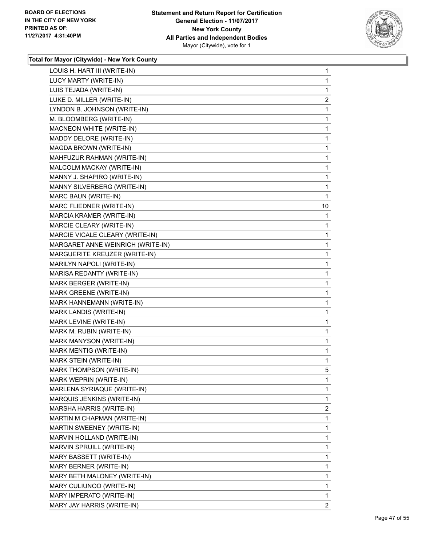

| LOUIS H. HART III (WRITE-IN)      | 1              |
|-----------------------------------|----------------|
| LUCY MARTY (WRITE-IN)             | 1              |
| LUIS TEJADA (WRITE-IN)            | 1              |
| LUKE D. MILLER (WRITE-IN)         | 2              |
| LYNDON B. JOHNSON (WRITE-IN)      | 1              |
| M. BLOOMBERG (WRITE-IN)           | 1              |
| MACNEON WHITE (WRITE-IN)          | 1              |
| MADDY DELORE (WRITE-IN)           | 1              |
| MAGDA BROWN (WRITE-IN)            | 1              |
| MAHFUZUR RAHMAN (WRITE-IN)        | 1              |
| MALCOLM MACKAY (WRITE-IN)         | 1              |
| MANNY J. SHAPIRO (WRITE-IN)       | 1              |
| MANNY SILVERBERG (WRITE-IN)       | 1              |
| MARC BAUN (WRITE-IN)              | 1              |
| MARC FLIEDNER (WRITE-IN)          | 10             |
| MARCIA KRAMER (WRITE-IN)          | 1              |
| MARCIE CLEARY (WRITE-IN)          | 1              |
| MARCIE VICALE CLEARY (WRITE-IN)   | 1              |
| MARGARET ANNE WEINRICH (WRITE-IN) | 1              |
| MARGUERITE KREUZER (WRITE-IN)     | 1              |
| MARILYN NAPOLI (WRITE-IN)         | 1              |
| MARISA REDANTY (WRITE-IN)         | 1              |
| MARK BERGER (WRITE-IN)            | 1              |
| MARK GREENE (WRITE-IN)            | 1              |
| MARK HANNEMANN (WRITE-IN)         | 1              |
| MARK LANDIS (WRITE-IN)            | 1              |
| MARK LEVINE (WRITE-IN)            | 1              |
| MARK M. RUBIN (WRITE-IN)          | 1              |
| MARK MANYSON (WRITE-IN)           | 1              |
| MARK MENTIG (WRITE-IN)            | 1              |
| MARK STEIN (WRITE-IN)             | 1              |
| MARK THOMPSON (WRITE-IN)          | 5              |
| MARK WEPRIN (WRITE-IN)            | 1              |
| MARLENA SYRIAQUE (WRITE-IN)       | 1              |
| MARQUIS JENKINS (WRITE-IN)        | 1              |
| MARSHA HARRIS (WRITE-IN)          | $\overline{2}$ |
| MARTIN M CHAPMAN (WRITE-IN)       | 1              |
| MARTIN SWEENEY (WRITE-IN)         | 1              |
| MARVIN HOLLAND (WRITE-IN)         | 1              |
| MARVIN SPRUILL (WRITE-IN)         | 1              |
| MARY BASSETT (WRITE-IN)           | 1              |
| MARY BERNER (WRITE-IN)            | 1              |
| MARY BETH MALONEY (WRITE-IN)      | 1              |
| MARY CULIUNOO (WRITE-IN)          | 1              |
| MARY IMPERATO (WRITE-IN)          | 1              |
| MARY JAY HARRIS (WRITE-IN)        | $\overline{2}$ |
|                                   |                |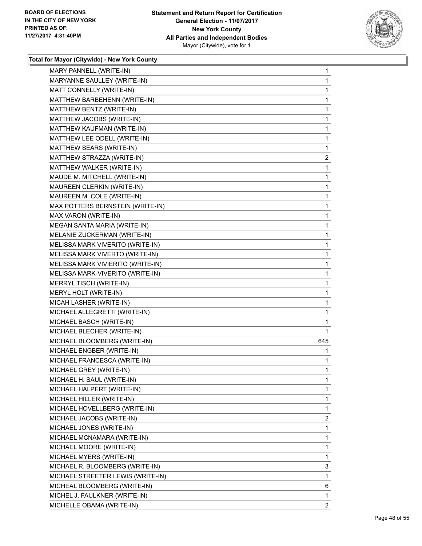

| MARY PANNELL (WRITE-IN)           | $\mathbf{1}$ |
|-----------------------------------|--------------|
| MARYANNE SAULLEY (WRITE-IN)       | $\mathbf 1$  |
| MATT CONNELLY (WRITE-IN)          | 1            |
| MATTHEW BARBEHENN (WRITE-IN)      | $\mathbf 1$  |
| MATTHEW BENTZ (WRITE-IN)          | 1            |
| MATTHEW JACOBS (WRITE-IN)         | 1            |
| MATTHEW KAUFMAN (WRITE-IN)        | 1            |
| MATTHEW LEE ODELL (WRITE-IN)      | $\mathbf 1$  |
| MATTHEW SEARS (WRITE-IN)          | 1            |
| MATTHEW STRAZZA (WRITE-IN)        | 2            |
| MATTHEW WALKER (WRITE-IN)         | 1            |
| MAUDE M. MITCHELL (WRITE-IN)      | 1            |
| MAUREEN CLERKIN (WRITE-IN)        | $\mathbf 1$  |
| MAUREEN M. COLE (WRITE-IN)        | $\mathbf 1$  |
| MAX POTTERS BERNSTEIN (WRITE-IN)  | 1            |
| MAX VARON (WRITE-IN)              | $\mathbf 1$  |
| MEGAN SANTA MARIA (WRITE-IN)      | 1            |
| MELANIE ZUCKERMAN (WRITE-IN)      | 1            |
| MELISSA MARK VIVERITO (WRITE-IN)  | 1            |
| MELISSA MARK VIVERTO (WRITE-IN)   | $\mathbf 1$  |
| MELISSA MARK VIVIERITO (WRITE-IN) | 1            |
| MELISSA MARK-VIVERITO (WRITE-IN)  | $\mathbf 1$  |
| MERRYL TISCH (WRITE-IN)           | 1            |
| MERYL HOLT (WRITE-IN)             | 1            |
| MICAH LASHER (WRITE-IN)           | 1            |
| MICHAEL ALLEGRETTI (WRITE-IN)     | 1            |
| MICHAEL BASCH (WRITE-IN)          | 1            |
| MICHAEL BLECHER (WRITE-IN)        | 1            |
| MICHAEL BLOOMBERG (WRITE-IN)      | 645          |
| MICHAEL ENGBER (WRITE-IN)         | 1            |
| MICHAEL FRANCESCA (WRITE-IN)      | 1            |
| MICHAEL GREY (WRITE-IN)           | 1            |
| MICHAEL H. SAUL (WRITE-IN)        | 1            |
| MICHAEL HALPERT (WRITE-IN)        | 1            |
| MICHAEL HILLER (WRITE-IN)         | 1            |
| MICHAEL HOVELLBERG (WRITE-IN)     | 1            |
| MICHAEL JACOBS (WRITE-IN)         | 2            |
| MICHAEL JONES (WRITE-IN)          | 1            |
| MICHAEL MCNAMARA (WRITE-IN)       | 1            |
| MICHAEL MOORE (WRITE-IN)          | 1            |
| MICHAEL MYERS (WRITE-IN)          | 1            |
| MICHAEL R. BLOOMBERG (WRITE-IN)   | 3            |
| MICHAEL STREETER LEWIS (WRITE-IN) | 1            |
| MICHEAL BLOOMBERG (WRITE-IN)      | 6            |
| MICHEL J. FAULKNER (WRITE-IN)     | 1            |
| MICHELLE OBAMA (WRITE-IN)         | 2            |
|                                   |              |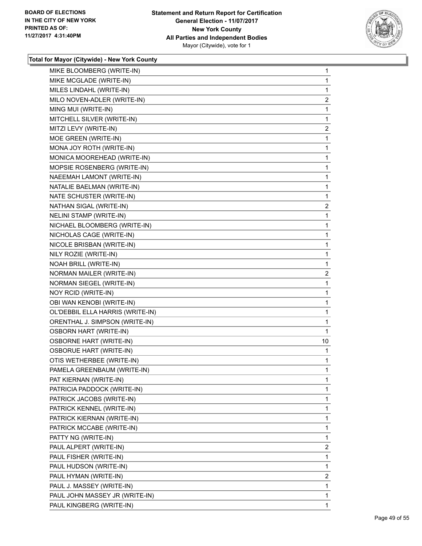

| MIKE BLOOMBERG (WRITE-IN)        | 1              |
|----------------------------------|----------------|
| MIKE MCGLADE (WRITE-IN)          | 1              |
| MILES LINDAHL (WRITE-IN)         | 1              |
| MILO NOVEN-ADLER (WRITE-IN)      | $\overline{2}$ |
| MING MUI (WRITE-IN)              | 1              |
| MITCHELL SILVER (WRITE-IN)       | 1              |
| MITZI LEVY (WRITE-IN)            | $\overline{2}$ |
| MOE GREEN (WRITE-IN)             | 1              |
| MONA JOY ROTH (WRITE-IN)         | 1              |
| MONICA MOOREHEAD (WRITE-IN)      | 1              |
| MOPSIE ROSENBERG (WRITE-IN)      | 1              |
| NAEEMAH LAMONT (WRITE-IN)        | 1              |
| NATALIE BAELMAN (WRITE-IN)       | 1              |
| NATE SCHUSTER (WRITE-IN)         | 1              |
| NATHAN SIGAL (WRITE-IN)          | $\overline{2}$ |
| NELINI STAMP (WRITE-IN)          | 1              |
| NICHAEL BLOOMBERG (WRITE-IN)     | 1              |
| NICHOLAS CAGE (WRITE-IN)         | 1              |
| NICOLE BRISBAN (WRITE-IN)        | 1              |
| NILY ROZIE (WRITE-IN)            | 1              |
| NOAH BRILL (WRITE-IN)            | 1              |
| NORMAN MAILER (WRITE-IN)         | $\overline{2}$ |
| NORMAN SIEGEL (WRITE-IN)         | 1              |
| NOY RCID (WRITE-IN)              | 1              |
| OBI WAN KENOBI (WRITE-IN)        | 1              |
| OL'DEBBIL ELLA HARRIS (WRITE-IN) | 1              |
| ORENTHAL J. SIMPSON (WRITE-IN)   | 1              |
| <b>OSBORN HART (WRITE-IN)</b>    | 1              |
| <b>OSBORNE HART (WRITE-IN)</b>   | 10             |
| <b>OSBORUE HART (WRITE-IN)</b>   | 1              |
| OTIS WETHERBEE (WRITE-IN)        | 1              |
| PAMELA GREENBAUM (WRITE-IN)      | 1              |
| PAT KIERNAN (WRITE-IN)           | 1              |
| PATRICIA PADDOCK (WRITE-IN)      | 1              |
| PATRICK JACOBS (WRITE-IN)        | 1              |
| PATRICK KENNEL (WRITE-IN)        | 1              |
| PATRICK KIERNAN (WRITE-IN)       | 1              |
| PATRICK MCCABE (WRITE-IN)        | 1              |
| PATTY NG (WRITE-IN)              | 1              |
| PAUL ALPERT (WRITE-IN)           | $\overline{2}$ |
| PAUL FISHER (WRITE-IN)           | 1              |
| PAUL HUDSON (WRITE-IN)           | 1              |
| PAUL HYMAN (WRITE-IN)            | $\overline{2}$ |
| PAUL J. MASSEY (WRITE-IN)        | 1              |
| PAUL JOHN MASSEY JR (WRITE-IN)   | 1              |
| PAUL KINGBERG (WRITE-IN)         | 1              |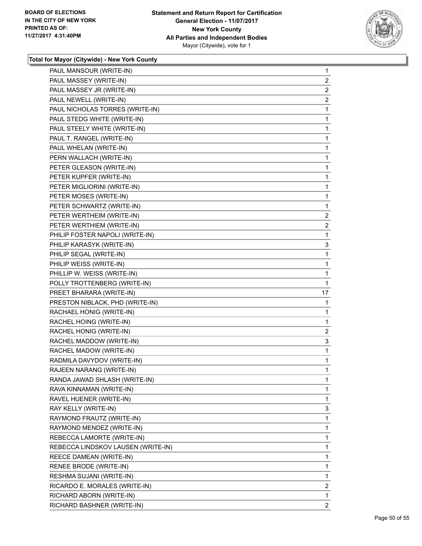

| PAUL MANSOUR (WRITE-IN)            | $\mathbf 1$    |
|------------------------------------|----------------|
| PAUL MASSEY (WRITE-IN)             | $\overline{2}$ |
| PAUL MASSEY JR (WRITE-IN)          | 2              |
| PAUL NEWELL (WRITE-IN)             | $\overline{a}$ |
| PAUL NICHOLAS TORRES (WRITE-IN)    | 1              |
| PAUL STEDG WHITE (WRITE-IN)        | 1              |
| PAUL STEELY WHITE (WRITE-IN)       | 1              |
| PAUL T. RANGEL (WRITE-IN)          | 1              |
| PAUL WHELAN (WRITE-IN)             | 1              |
| PERN WALLACH (WRITE-IN)            | 1              |
| PETER GLEASON (WRITE-IN)           | 1              |
| PETER KUPFER (WRITE-IN)            | 1              |
| PETER MIGLIORINI (WRITE-IN)        | 1              |
| PETER MOSES (WRITE-IN)             | 1              |
| PETER SCHWARTZ (WRITE-IN)          | 1              |
| PETER WERTHEIM (WRITE-IN)          | $\overline{c}$ |
| PETER WERTHIEM (WRITE-IN)          | 2              |
| PHILIP FOSTER NAPOLI (WRITE-IN)    | 1              |
| PHILIP KARASYK (WRITE-IN)          | 3              |
| PHILIP SEGAL (WRITE-IN)            | 1              |
| PHILIP WEISS (WRITE-IN)            | 1              |
| PHILLIP W. WEISS (WRITE-IN)        | 1              |
| POLLY TROTTENBERG (WRITE-IN)       | 1              |
| PREET BHARARA (WRITE-IN)           | 17             |
| PRESTON NIBLACK, PHD (WRITE-IN)    | 1              |
| RACHAEL HONIG (WRITE-IN)           | 1              |
| RACHEL HOING (WRITE-IN)            | 1              |
| RACHEL HONIG (WRITE-IN)            | $\overline{a}$ |
| RACHEL MADDOW (WRITE-IN)           | 3              |
| RACHEL MADOW (WRITE-IN)            | 1              |
| RADMILA DAVYDOV (WRITE-IN)         | $\mathbf 1$    |
| RAJEEN NARANG (WRITE-IN)           | 1              |
| RANDA JAWAD SHLASH (WRITE-IN)      | 1              |
| RAVA KINNAMAN (WRITE-IN)           | 1              |
| RAVEL HUENER (WRITE-IN)            | 1              |
| RAY KELLY (WRITE-IN)               | 3              |
| RAYMOND FRAUTZ (WRITE-IN)          | 1              |
| RAYMOND MENDEZ (WRITE-IN)          | 1              |
| REBECCA LAMORTE (WRITE-IN)         | 1              |
| REBECCA LINDSKOV LAUSEN (WRITE-IN) | 1              |
| REECE DAMEAN (WRITE-IN)            | 1              |
| RENEE BRODE (WRITE-IN)             | 1              |
| RESHMA SUJANI (WRITE-IN)           | 1              |
| RICARDO E. MORALES (WRITE-IN)      | 2              |
| RICHARD ABORN (WRITE-IN)           | 1              |
| RICHARD BASHNER (WRITE-IN)         | $\overline{2}$ |
|                                    |                |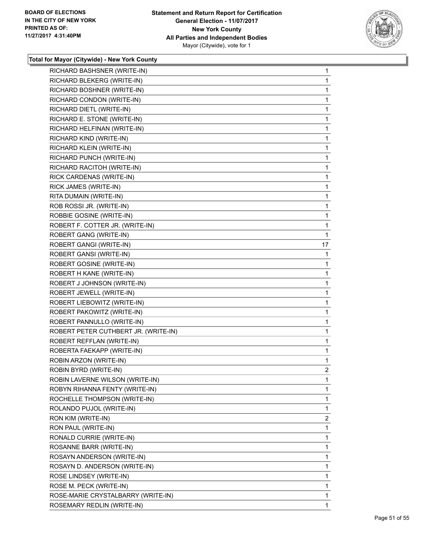

| RICHARD BASHSNER (WRITE-IN)          | 1              |
|--------------------------------------|----------------|
| RICHARD BLEKERG (WRITE-IN)           | 1              |
| RICHARD BOSHNER (WRITE-IN)           | 1              |
| RICHARD CONDON (WRITE-IN)            | 1              |
| RICHARD DIETL (WRITE-IN)             | 1              |
| RICHARD E. STONE (WRITE-IN)          | 1              |
| RICHARD HELFINAN (WRITE-IN)          | 1              |
| RICHARD KIND (WRITE-IN)              | 1              |
| RICHARD KLEIN (WRITE-IN)             | 1              |
| RICHARD PUNCH (WRITE-IN)             | 1              |
| RICHARD RACITOH (WRITE-IN)           | 1              |
| RICK CARDENAS (WRITE-IN)             | 1              |
| RICK JAMES (WRITE-IN)                | 1              |
| RITA DUMAIN (WRITE-IN)               | 1              |
| ROB ROSSI JR. (WRITE-IN)             | 1              |
| ROBBIE GOSINE (WRITE-IN)             | 1              |
| ROBERT F. COTTER JR. (WRITE-IN)      | 1              |
| ROBERT GANG (WRITE-IN)               | 1              |
| ROBERT GANGI (WRITE-IN)              | 17             |
| ROBERT GANSI (WRITE-IN)              | 1              |
| ROBERT GOSINE (WRITE-IN)             | 1              |
| ROBERT H KANE (WRITE-IN)             | 1              |
| ROBERT J JOHNSON (WRITE-IN)          | 1              |
| ROBERT JEWELL (WRITE-IN)             | 1              |
| ROBERT LIEBOWITZ (WRITE-IN)          | 1              |
| ROBERT PAKOWITZ (WRITE-IN)           | 1              |
| ROBERT PANNULLO (WRITE-IN)           | 1              |
| ROBERT PETER CUTHBERT JR. (WRITE-IN) | 1              |
| ROBERT REFFLAN (WRITE-IN)            | 1              |
| ROBERTA FAEKAPP (WRITE-IN)           | 1              |
| ROBIN ARZON (WRITE-IN)               | 1              |
| ROBIN BYRD (WRITE-IN)                | $\overline{2}$ |
| ROBIN LAVERNE WILSON (WRITE-IN)      | 1              |
| ROBYN RIHANNA FENTY (WRITE-IN)       | 1              |
| ROCHELLE THOMPSON (WRITE-IN)         | 1              |
| ROLANDO PUJOL (WRITE-IN)             | 1              |
| RON KIM (WRITE-IN)                   | 2              |
| RON PAUL (WRITE-IN)                  | 1              |
| RONALD CURRIE (WRITE-IN)             | 1              |
| ROSANNE BARR (WRITE-IN)              | 1              |
| ROSAYN ANDERSON (WRITE-IN)           | 1              |
| ROSAYN D. ANDERSON (WRITE-IN)        | 1              |
| ROSE LINDSEY (WRITE-IN)              | 1              |
| ROSE M. PECK (WRITE-IN)              | 1              |
| ROSE-MARIE CRYSTALBARRY (WRITE-IN)   | 1              |
| ROSEMARY REDLIN (WRITE-IN)           | 1              |
|                                      |                |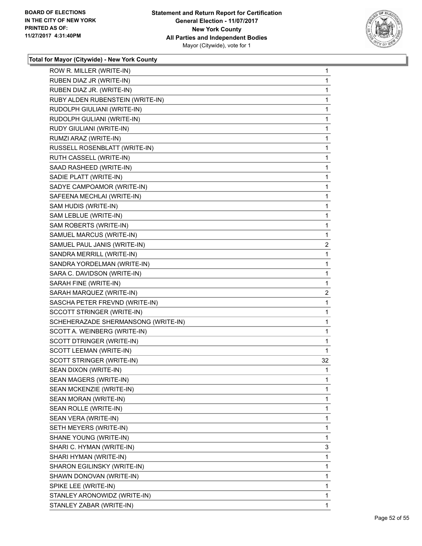

| ROW R. MILLER (WRITE-IN)            | 1            |
|-------------------------------------|--------------|
| RUBEN DIAZ JR (WRITE-IN)            | 1            |
| RUBEN DIAZ JR. (WRITE-IN)           | 1            |
| RUBY ALDEN RUBENSTEIN (WRITE-IN)    | 1            |
| RUDOLPH GIULIANI (WRITE-IN)         | 1            |
| RUDOLPH GULIANI (WRITE-IN)          | 1            |
| RUDY GIULIANI (WRITE-IN)            | 1            |
| RUMZI ARAZ (WRITE-IN)               | 1            |
| RUSSELL ROSENBLATT (WRITE-IN)       | 1            |
| RUTH CASSELL (WRITE-IN)             | 1            |
| SAAD RASHEED (WRITE-IN)             | 1            |
| SADIE PLATT (WRITE-IN)              | 1            |
| SADYE CAMPOAMOR (WRITE-IN)          | 1            |
| SAFEENA MECHLAI (WRITE-IN)          | 1            |
| SAM HUDIS (WRITE-IN)                | 1            |
| SAM LEBLUE (WRITE-IN)               | 1            |
| SAM ROBERTS (WRITE-IN)              | 1            |
| SAMUEL MARCUS (WRITE-IN)            | 1            |
| SAMUEL PAUL JANIS (WRITE-IN)        | $\mathbf{2}$ |
| SANDRA MERRILL (WRITE-IN)           | 1            |
| SANDRA YORDELMAN (WRITE-IN)         | 1            |
| SARA C. DAVIDSON (WRITE-IN)         | 1            |
| SARAH FINE (WRITE-IN)               | 1            |
| SARAH MARQUEZ (WRITE-IN)            | 2            |
| SASCHA PETER FREVND (WRITE-IN)      | 1            |
| SCCOTT STRINGER (WRITE-IN)          | 1            |
| SCHEHERAZADE SHERMANSONG (WRITE-IN) | 1            |
| SCOTT A. WEINBERG (WRITE-IN)        | 1            |
| SCOTT DTRINGER (WRITE-IN)           | 1            |
| SCOTT LEEMAN (WRITE-IN)             | 1            |
| SCOTT STRINGER (WRITE-IN)           | 32           |
| SEAN DIXON (WRITE-IN)               | $\mathbf{1}$ |
| SEAN MAGERS (WRITE-IN)              | 1            |
| SEAN MCKENZIE (WRITE-IN)            | 1            |
| SEAN MORAN (WRITE-IN)               | 1            |
| SEAN ROLLE (WRITE-IN)               | 1            |
| SEAN VERA (WRITE-IN)                | 1            |
| SETH MEYERS (WRITE-IN)              | 1            |
| SHANE YOUNG (WRITE-IN)              | 1            |
| SHARI C. HYMAN (WRITE-IN)           | 3            |
| SHARI HYMAN (WRITE-IN)              | 1            |
| SHARON EGILINSKY (WRITE-IN)         | 1            |
| SHAWN DONOVAN (WRITE-IN)            | 1            |
| SPIKE LEE (WRITE-IN)                | 1            |
| STANLEY ARONOWIDZ (WRITE-IN)        | 1            |
| STANLEY ZABAR (WRITE-IN)            | 1            |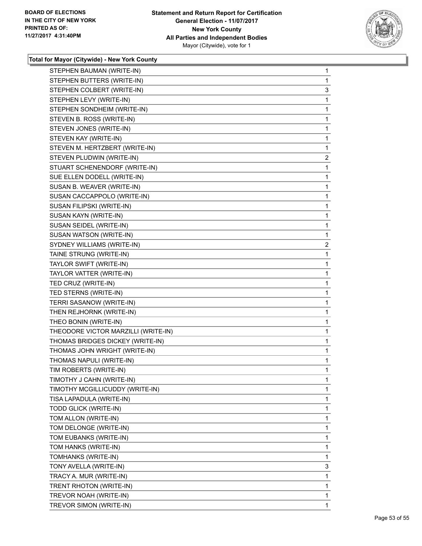

| STEPHEN BAUMAN (WRITE-IN)           | 1           |
|-------------------------------------|-------------|
| STEPHEN BUTTERS (WRITE-IN)          | 1           |
| STEPHEN COLBERT (WRITE-IN)          | 3           |
| STEPHEN LEVY (WRITE-IN)             | 1           |
| STEPHEN SONDHEIM (WRITE-IN)         | 1           |
| STEVEN B. ROSS (WRITE-IN)           | 1           |
| STEVEN JONES (WRITE-IN)             | 1           |
| STEVEN KAY (WRITE-IN)               | 1           |
| STEVEN M. HERTZBERT (WRITE-IN)      | 1           |
| STEVEN PLUDWIN (WRITE-IN)           | 2           |
| STUART SCHENENDORF (WRITE-IN)       | 1           |
| SUE ELLEN DODELL (WRITE-IN)         | $\mathbf 1$ |
| SUSAN B. WEAVER (WRITE-IN)          | 1           |
| SUSAN CACCAPPOLO (WRITE-IN)         | 1           |
| SUSAN FILIPSKI (WRITE-IN)           | $\mathbf 1$ |
| SUSAN KAYN (WRITE-IN)               | 1           |
| SUSAN SEIDEL (WRITE-IN)             | 1           |
| SUSAN WATSON (WRITE-IN)             | 1           |
| SYDNEY WILLIAMS (WRITE-IN)          | 2           |
| TAINE STRUNG (WRITE-IN)             | 1           |
| TAYLOR SWIFT (WRITE-IN)             | $\mathbf 1$ |
| TAYLOR VATTER (WRITE-IN)            | 1           |
| TED CRUZ (WRITE-IN)                 | 1           |
| TED STERNS (WRITE-IN)               | 1           |
| TERRI SASANOW (WRITE-IN)            | 1           |
| THEN REJHORNK (WRITE-IN)            | 1           |
| THEO BONIN (WRITE-IN)               | $\mathbf 1$ |
| THEODORE VICTOR MARZILLI (WRITE-IN) | 1           |
| THOMAS BRIDGES DICKEY (WRITE-IN)    | 1           |
| THOMAS JOHN WRIGHT (WRITE-IN)       | $\mathbf 1$ |
| THOMAS NAPULI (WRITE-IN)            | $\mathbf 1$ |
| TIM ROBERTS (WRITE-IN)              | 1           |
| TIMOTHY J CAHN (WRITE-IN)           | 1           |
| TIMOTHY MCGILLICUDDY (WRITE-IN)     | 1           |
| TISA LAPADULA (WRITE-IN)            | 1           |
| TODD GLICK (WRITE-IN)               | 1           |
| TOM ALLON (WRITE-IN)                | 1           |
| TOM DELONGE (WRITE-IN)              | 1           |
| TOM EUBANKS (WRITE-IN)              | 1           |
| TOM HANKS (WRITE-IN)                | 1           |
| TOMHANKS (WRITE-IN)                 | 1           |
| TONY AVELLA (WRITE-IN)              | 3           |
| TRACY A. MUR (WRITE-IN)             | 1           |
| TRENT RHOTON (WRITE-IN)             | 1           |
| TREVOR NOAH (WRITE-IN)              | 1           |
| TREVOR SIMON (WRITE-IN)             | 1           |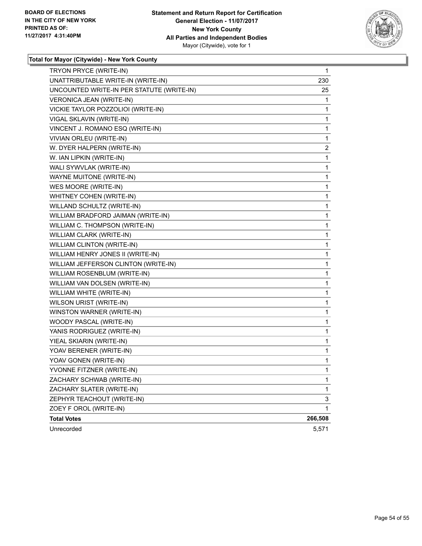

| TRYON PRYCE (WRITE-IN)                    | 1       |
|-------------------------------------------|---------|
| UNATTRIBUTABLE WRITE-IN (WRITE-IN)        | 230     |
| UNCOUNTED WRITE-IN PER STATUTE (WRITE-IN) | 25      |
| VERONICA JEAN (WRITE-IN)                  | 1       |
| VICKIE TAYLOR POZZOLIOI (WRITE-IN)        | 1       |
| VIGAL SKLAVIN (WRITE-IN)                  | 1       |
| VINCENT J. ROMANO ESQ (WRITE-IN)          | 1       |
| VIVIAN ORLEU (WRITE-IN)                   | 1       |
| W. DYER HALPERN (WRITE-IN)                | 2       |
| W. IAN LIPKIN (WRITE-IN)                  | 1       |
| WALI SYWVLAK (WRITE-IN)                   | 1       |
| <b>WAYNE MUITONE (WRITE-IN)</b>           | 1       |
| WES MOORE (WRITE-IN)                      | 1       |
| WHITNEY COHEN (WRITE-IN)                  | 1       |
| WILLAND SCHULTZ (WRITE-IN)                | 1       |
| WILLIAM BRADFORD JAIMAN (WRITE-IN)        | 1       |
| WILLIAM C. THOMPSON (WRITE-IN)            | 1       |
| WILLIAM CLARK (WRITE-IN)                  | 1       |
| <b>WILLIAM CLINTON (WRITE-IN)</b>         | 1       |
| WILLIAM HENRY JONES II (WRITE-IN)         | 1       |
| WILLIAM JEFFERSON CLINTON (WRITE-IN)      | 1       |
| WILLIAM ROSENBLUM (WRITE-IN)              | 1       |
| WILLIAM VAN DOLSEN (WRITE-IN)             | 1       |
| WILLIAM WHITE (WRITE-IN)                  | 1       |
| WILSON URIST (WRITE-IN)                   | 1       |
| WINSTON WARNER (WRITE-IN)                 | 1       |
| WOODY PASCAL (WRITE-IN)                   | 1       |
| YANIS RODRIGUEZ (WRITE-IN)                | 1       |
| YIEAL SKIARIN (WRITE-IN)                  | 1       |
| YOAV BERENER (WRITE-IN)                   | 1       |
| YOAV GONEN (WRITE-IN)                     | 1       |
| YVONNE FITZNER (WRITE-IN)                 | 1       |
| ZACHARY SCHWAB (WRITE-IN)                 | 1       |
| ZACHARY SLATER (WRITE-IN)                 | 1       |
| ZEPHYR TEACHOUT (WRITE-IN)                | 3       |
| ZOEY F OROL (WRITE-IN)                    | 1       |
| <b>Total Votes</b>                        | 266,508 |
| Unrecorded                                | 5,571   |